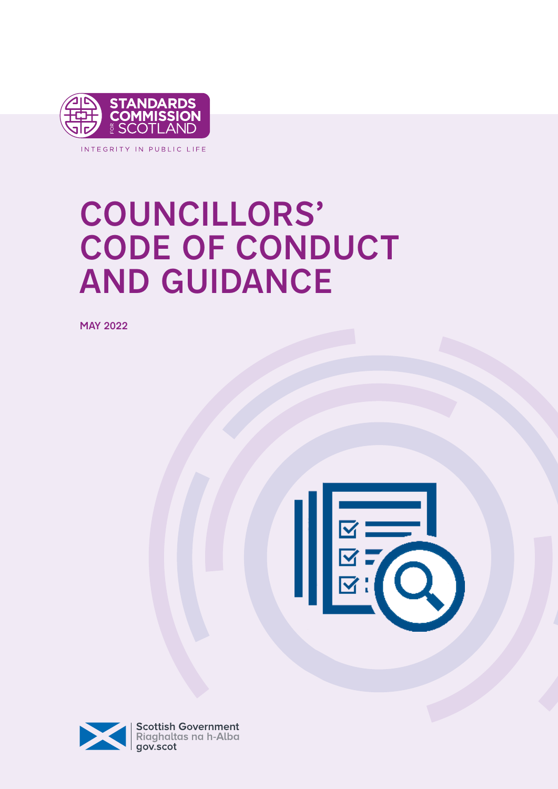

INTEGRITY IN PUBLIC LIFE

# COUNCILLORS' CODE OF CONDUCT AND GUIDANCE

MAY 2022



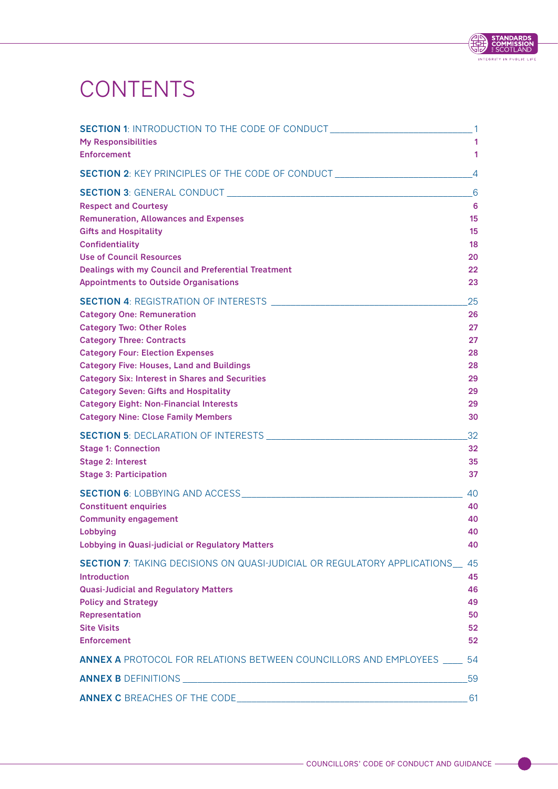# **CONTENTS**

| SECTION 1: INTRODUCTION TO THE CODE OF CONDUCT _________________________________1 |                 |
|-----------------------------------------------------------------------------------|-----------------|
| <b>My Responsibilities</b>                                                        | 1               |
| <b>Enforcement</b>                                                                | 1               |
| <b>SECTION 2: KEY PRINCIPLES OF THE CODE OF CONDUCT LEADER AND RESIDENCE</b>      | $\overline{4}$  |
|                                                                                   | $-6$            |
| <b>Respect and Courtesy</b>                                                       | 6               |
| <b>Remuneration, Allowances and Expenses</b>                                      | 15              |
| <b>Gifts and Hospitality</b>                                                      | 15              |
| <b>Confidentiality</b>                                                            | 18              |
| <b>Use of Council Resources</b>                                                   | 20              |
| Dealings with my Council and Preferential Treatment                               | 22              |
| <b>Appointments to Outside Organisations</b>                                      | 23              |
|                                                                                   | 25              |
| <b>Category One: Remuneration</b>                                                 | 26              |
| <b>Category Two: Other Roles</b>                                                  | 27              |
| <b>Category Three: Contracts</b>                                                  | 27              |
| <b>Category Four: Election Expenses</b>                                           | 28              |
| <b>Category Five: Houses, Land and Buildings</b>                                  | 28              |
| <b>Category Six: Interest in Shares and Securities</b>                            | 29              |
| <b>Category Seven: Gifts and Hospitality</b>                                      | 29              |
| <b>Category Eight: Non-Financial Interests</b>                                    | 29              |
| <b>Category Nine: Close Family Members</b>                                        | 30              |
|                                                                                   | 32              |
| <b>Stage 1: Connection</b>                                                        | 32              |
| Stage 2: Interest                                                                 | 35              |
| <b>Stage 3: Participation</b>                                                     | 37              |
|                                                                                   | 40              |
| <b>Constituent enquiries</b>                                                      | 40              |
| <b>Community engagement</b>                                                       | 40              |
| Lobbying                                                                          | 40              |
| <b>Lobbying in Quasi-judicial or Regulatory Matters</b>                           | 40              |
| <b>SECTION 7: TAKING DECISIONS ON QUASI-JUDICIAL OR REGULATORY APPLICATIONS</b>   | 45              |
| <b>Introduction</b>                                                               | 45              |
| <b>Quasi-Judicial and Regulatory Matters</b>                                      | 46              |
| <b>Policy and Strategy</b>                                                        | 49              |
| Representation                                                                    | 50              |
| <b>Site Visits</b>                                                                | 52 <sub>2</sub> |
| <b>Enforcement</b>                                                                | 52              |
| <b>ANNEX A</b> PROTOCOL FOR RELATIONS BETWEEN COUNCILLORS AND EMPLOYEES _____ 54  |                 |
|                                                                                   | 59              |
|                                                                                   | -61             |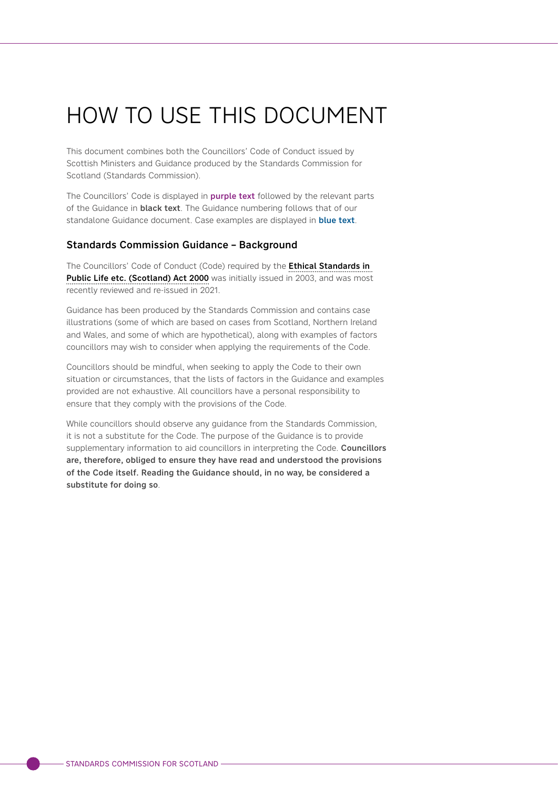# HOW TO USE THIS DOCUMENT

This document combines both the Councillors' Code of Conduct issued by Scottish Ministers and Guidance produced by the Standards Commission for Scotland (Standards Commission).

The Councillors' Code is displayed in **purple text** followed by the relevant parts of the Guidance in **black text**. The Guidance numbering follows that of our standalone Guidance document. Case examples are displayed in **blue text**.

# Standards Commission Guidance – Background

The Councillors' Code of Conduct (Code) required by the Ethical Standards in [Public Life etc. \(Scotland\) Act 2000](https://www.legislation.gov.uk/asp/2000/7/contents) was initially issued in 2003, and was most recently reviewed and re-issued in 2021.

Guidance has been produced by the Standards Commission and contains case illustrations (some of which are based on cases from Scotland, Northern Ireland and Wales, and some of which are hypothetical), along with examples of factors councillors may wish to consider when applying the requirements of the Code.

Councillors should be mindful, when seeking to apply the Code to their own situation or circumstances, that the lists of factors in the Guidance and examples provided are not exhaustive. All councillors have a personal responsibility to ensure that they comply with the provisions of the Code.

While councillors should observe any guidance from the Standards Commission, it is not a substitute for the Code. The purpose of the Guidance is to provide supplementary information to aid councillors in interpreting the Code. Councillors are, therefore, obliged to ensure they have read and understood the provisions of the Code itself. Reading the Guidance should, in no way, be considered a substitute for doing so.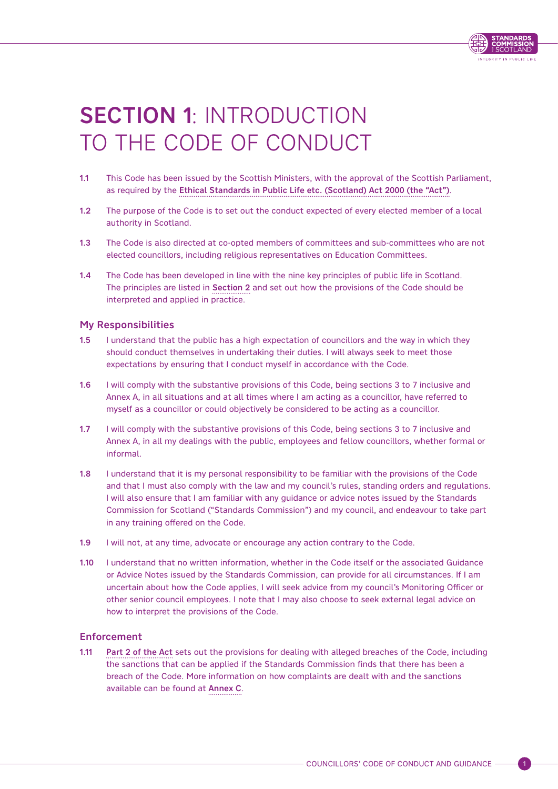

# <span id="page-4-0"></span>SECTION 1: INTRODUCTION TO THE CODE OF CONDUCT

- 1.1 This Code has been issued by the Scottish Ministers, with the approval of the Scottish Parliament, as required by the [Ethical Standards in Public Life etc. \(Scotland\) Act 2000 \(the "Act"\)](https://www.legislation.gov.uk/asp/2000/7/contents).
- 1.2 The purpose of the Code is to set out the conduct expected of every elected member of a local authority in Scotland.
- 1.3 The Code is also directed at co-opted members of committees and sub-committees who are not elected councillors, including religious representatives on Education Committees.
- 1.4 The Code has been developed in line with the nine key principles of public life in Scotland. The principles are listed in [Section 2](#page-7-0) and set out how the provisions of the Code should be interpreted and applied in practice.

# My Responsibilities

- 1.5 I understand that the public has a high expectation of councillors and the way in which they should conduct themselves in undertaking their duties. I will always seek to meet those expectations by ensuring that I conduct myself in accordance with the Code.
- 1.6 I will comply with the substantive provisions of this Code, being sections 3 to 7 inclusive and Annex A, in all situations and at all times where I am acting as a councillor, have referred to myself as a councillor or could objectively be considered to be acting as a councillor.
- 1.7 I will comply with the substantive provisions of this Code, being sections 3 to 7 inclusive and Annex A, in all my dealings with the public, employees and fellow councillors, whether formal or informal.
- 1.8 I understand that it is my personal responsibility to be familiar with the provisions of the Code and that I must also comply with the law and my council's rules, standing orders and regulations. I will also ensure that I am familiar with any guidance or advice notes issued by the Standards Commission for Scotland ("Standards Commission") and my council, and endeavour to take part in any training offered on the Code.
- 1.9 I will not, at any time, advocate or encourage any action contrary to the Code.
- 1.10 I understand that no written information, whether in the Code itself or the associated Guidance or Advice Notes issued by the Standards Commission, can provide for all circumstances. If I am uncertain about how the Code applies, I will seek advice from my council's Monitoring Officer or other senior council employees. I note that I may also choose to seek external legal advice on how to interpret the provisions of the Code.

# Enforcement

1.11 [Part 2 of the Act](https://www.legislation.gov.uk/asp/2000/7/part/2) sets out the provisions for dealing with alleged breaches of the Code, including the sanctions that can be applied if the Standards Commission finds that there has been a breach of the Code. More information on how complaints are dealt with and the sanctions available can be found at [Annex C](#page-64-0).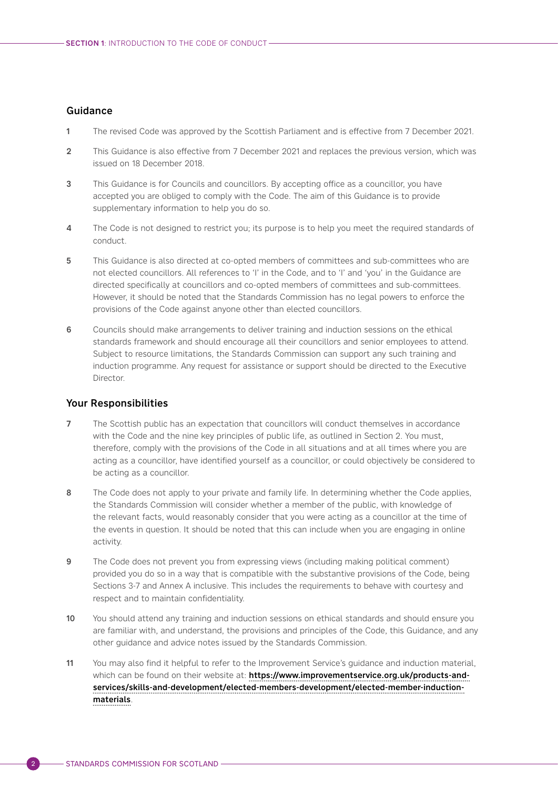## Guidance

- 1 The revised Code was approved by the Scottish Parliament and is effective from 7 December 2021.
- 2 This Guidance is also effective from 7 December 2021 and replaces the previous version, which was issued on 18 December 2018.
- 3 This Guidance is for Councils and councillors. By accepting office as a councillor, you have accepted you are obliged to comply with the Code. The aim of this Guidance is to provide supplementary information to help you do so.
- 4 The Code is not designed to restrict you; its purpose is to help you meet the required standards of conduct.
- 5 This Guidance is also directed at co-opted members of committees and sub-committees who are not elected councillors. All references to 'I' in the Code, and to 'I' and 'you' in the Guidance are directed specifically at councillors and co-opted members of committees and sub-committees. However, it should be noted that the Standards Commission has no legal powers to enforce the provisions of the Code against anyone other than elected councillors.
- 6 Councils should make arrangements to deliver training and induction sessions on the ethical standards framework and should encourage all their councillors and senior employees to attend. Subject to resource limitations, the Standards Commission can support any such training and induction programme. Any request for assistance or support should be directed to the Executive Director.

### Your Responsibilities

- 7 The Scottish public has an expectation that councillors will conduct themselves in accordance with the Code and the nine key principles of public life, as outlined in Section 2. You must, therefore, comply with the provisions of the Code in all situations and at all times where you are acting as a councillor, have identified yourself as a councillor, or could objectively be considered to be acting as a councillor.
- 8 The Code does not apply to your private and family life. In determining whether the Code applies, the Standards Commission will consider whether a member of the public, with knowledge of the relevant facts, would reasonably consider that you were acting as a councillor at the time of the events in question. It should be noted that this can include when you are engaging in online activity.
- 9 The Code does not prevent you from expressing views (including making political comment) provided you do so in a way that is compatible with the substantive provisions of the Code, being Sections 3-7 and Annex A inclusive. This includes the requirements to behave with courtesy and respect and to maintain confidentiality.
- 10 You should attend any training and induction sessions on ethical standards and should ensure you are familiar with, and understand, the provisions and principles of the Code, this Guidance, and any other guidance and advice notes issued by the Standards Commission.
- 11 You may also find it helpful to refer to the Improvement Service's guidance and induction material, which can be found on their website at: [https://www.improvementservice.org.uk/products-and](https://www.improvementservice.org.uk/products-and-services/skills-and-development/elected-members-development/elected-member-induction-materials)[services/skills-and-development/elected-members-development/elected-member-induction](https://www.improvementservice.org.uk/products-and-services/skills-and-development/elected-members-development/elected-member-induction-materials)[materials](https://www.improvementservice.org.uk/products-and-services/skills-and-development/elected-members-development/elected-member-induction-materials).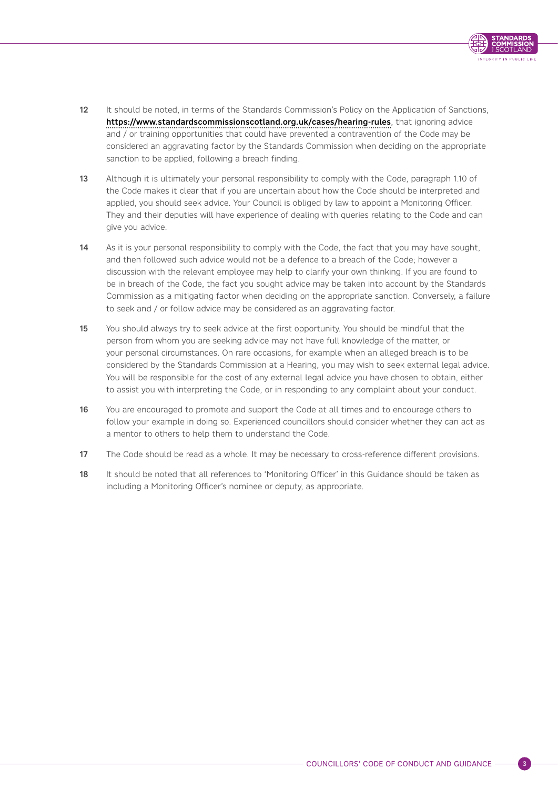

- 12 It should be noted, in terms of the Standards Commission's Policy on the Application of Sanctions, <https://www.standardscommissionscotland.org.uk/cases/hearing-rules>, that ignoring advice and / or training opportunities that could have prevented a contravention of the Code may be considered an aggravating factor by the Standards Commission when deciding on the appropriate sanction to be applied, following a breach finding.
- 13 Although it is ultimately your personal responsibility to comply with the Code, paragraph 1.10 of the Code makes it clear that if you are uncertain about how the Code should be interpreted and applied, you should seek advice. Your Council is obliged by law to appoint a Monitoring Officer. They and their deputies will have experience of dealing with queries relating to the Code and can give you advice.
- 14 As it is your personal responsibility to comply with the Code, the fact that you may have sought, and then followed such advice would not be a defence to a breach of the Code; however a discussion with the relevant employee may help to clarify your own thinking. If you are found to be in breach of the Code, the fact you sought advice may be taken into account by the Standards Commission as a mitigating factor when deciding on the appropriate sanction. Conversely, a failure to seek and / or follow advice may be considered as an aggravating factor.
- 15 You should always try to seek advice at the first opportunity. You should be mindful that the person from whom you are seeking advice may not have full knowledge of the matter, or your personal circumstances. On rare occasions, for example when an alleged breach is to be considered by the Standards Commission at a Hearing, you may wish to seek external legal advice. You will be responsible for the cost of any external legal advice you have chosen to obtain, either to assist you with interpreting the Code, or in responding to any complaint about your conduct.
- 16 You are encouraged to promote and support the Code at all times and to encourage others to follow your example in doing so. Experienced councillors should consider whether they can act as a mentor to others to help them to understand the Code.
- 17 The Code should be read as a whole. It may be necessary to cross-reference different provisions.
- 18 It should be noted that all references to 'Monitoring Officer' in this Guidance should be taken as including a Monitoring Officer's nominee or deputy, as appropriate.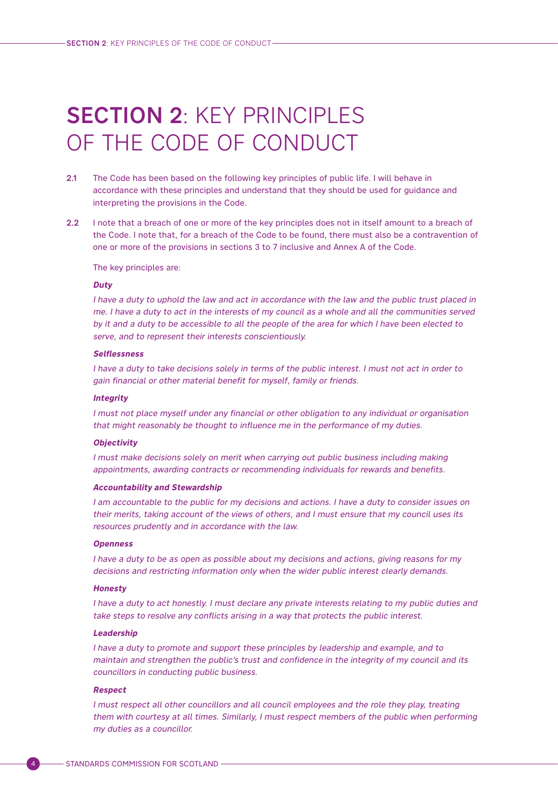# <span id="page-7-0"></span>SECTION 2: KEY PRINCIPLES OF THE CODE OF CONDUCT

- 2.1 The Code has been based on the following key principles of public life. I will behave in accordance with these principles and understand that they should be used for guidance and interpreting the provisions in the Code.
- 2.2 I note that a breach of one or more of the key principles does not in itself amount to a breach of the Code. I note that, for a breach of the Code to be found, there must also be a contravention of one or more of the provisions in sections 3 to 7 inclusive and Annex A of the Code.

The key principles are:

#### **Duty**

I have a duty to uphold the law and act in accordance with the law and the public trust placed in me. I have a duty to act in the interests of my council as a whole and all the communities served by it and a duty to be accessible to all the people of the area for which I have been elected to serve, and to represent their interests conscientiously.

#### **Selflessness**

I have a duty to take decisions solely in terms of the public interest. I must not act in order to gain financial or other material benefit for myself, family or friends.

#### **Integrity**

I must not place myself under any financial or other obligation to any individual or organisation that might reasonably be thought to influence me in the performance of my duties.

#### **Objectivity**

I must make decisions solely on merit when carrying out public business including making appointments, awarding contracts or recommending individuals for rewards and benefits.

#### **Accountability and Stewardship**

I am accountable to the public for my decisions and actions. I have a duty to consider issues on their merits, taking account of the views of others, and I must ensure that my council uses its resources prudently and in accordance with the law.

#### **Openness**

I have a duty to be as open as possible about my decisions and actions, giving reasons for my decisions and restricting information only when the wider public interest clearly demands.

#### **Honesty**

I have a duty to act honestly. I must declare any private interests relating to my public duties and take steps to resolve any conflicts arising in a way that protects the public interest.

#### **Leadership**

I have a duty to promote and support these principles by leadership and example, and to maintain and strengthen the public's trust and confidence in the integrity of my council and its councillors in conducting public business.

#### **Respect**

I must respect all other councillors and all council employees and the role they play, treating them with courtesy at all times. Similarly, I must respect members of the public when performing my duties as a councillor.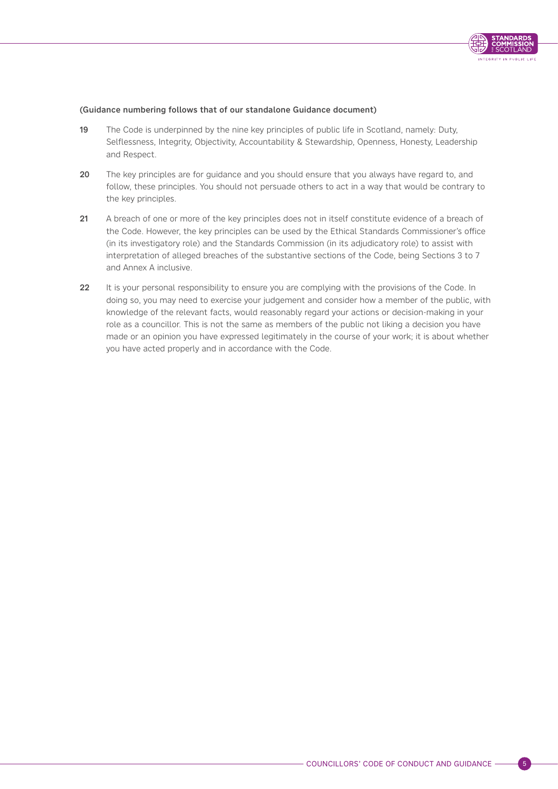

#### (Guidance numbering follows that of our standalone Guidance document)

- 19 The Code is underpinned by the nine key principles of public life in Scotland, namely: Duty, Selflessness, Integrity, Objectivity, Accountability & Stewardship, Openness, Honesty, Leadership and Respect.
- 20 The key principles are for guidance and you should ensure that you always have regard to, and follow, these principles. You should not persuade others to act in a way that would be contrary to the key principles.
- 21 A breach of one or more of the key principles does not in itself constitute evidence of a breach of the Code. However, the key principles can be used by the Ethical Standards Commissioner's office (in its investigatory role) and the Standards Commission (in its adjudicatory role) to assist with interpretation of alleged breaches of the substantive sections of the Code, being Sections 3 to 7 and Annex A inclusive.
- 22 It is your personal responsibility to ensure you are complying with the provisions of the Code. In doing so, you may need to exercise your judgement and consider how a member of the public, with knowledge of the relevant facts, would reasonably regard your actions or decision-making in your role as a councillor. This is not the same as members of the public not liking a decision you have made or an opinion you have expressed legitimately in the course of your work; it is about whether you have acted properly and in accordance with the Code.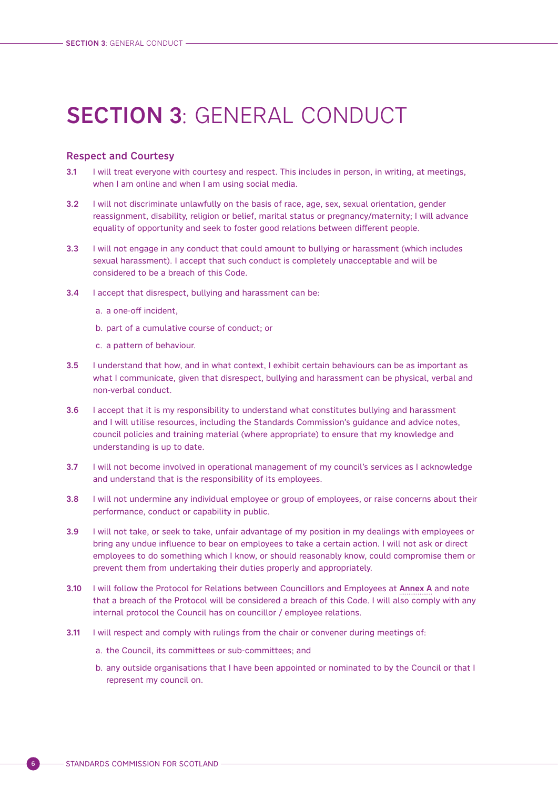# <span id="page-9-0"></span>SECTION 3: GENERAL CONDUCT

#### Respect and Courtesy

- 3.1 I will treat everyone with courtesy and respect. This includes in person, in writing, at meetings, when I am online and when I am using social media.
- 3.2 I will not discriminate unlawfully on the basis of race, age, sex, sexual orientation, gender reassignment, disability, religion or belief, marital status or pregnancy/maternity; I will advance equality of opportunity and seek to foster good relations between different people.
- 3.3 I will not engage in any conduct that could amount to bullying or harassment (which includes sexual harassment). I accept that such conduct is completely unacceptable and will be considered to be a breach of this Code.
- 3.4 I accept that disrespect, bullying and harassment can be:
	- a. a one-off incident,
	- b. part of a cumulative course of conduct; or
	- c. a pattern of behaviour.
- 3.5 I understand that how, and in what context, I exhibit certain behaviours can be as important as what I communicate, given that disrespect, bullying and harassment can be physical, verbal and non-verbal conduct.
- 3.6 I accept that it is my responsibility to understand what constitutes bullying and harassment and I will utilise resources, including the Standards Commission's guidance and advice notes, council policies and training material (where appropriate) to ensure that my knowledge and understanding is up to date.
- 3.7 I will not become involved in operational management of my council's services as I acknowledge and understand that is the responsibility of its employees.
- 3.8 I will not undermine any individual employee or group of employees, or raise concerns about their performance, conduct or capability in public.
- 3.9 I will not take, or seek to take, unfair advantage of my position in my dealings with employees or bring any undue influence to bear on employees to take a certain action. I will not ask or direct employees to do something which I know, or should reasonably know, could compromise them or prevent them from undertaking their duties properly and appropriately.
- 3.10 I will follow the Protocol for Relations between Councillors and Employees at Annex A and note that a breach of the Protocol will be considered a breach of this Code. I will also comply with any internal protocol the Council has on councillor / employee relations.
- 3.11 I will respect and comply with rulings from the chair or convener during meetings of:
	- a. the Council, its committees or sub-committees; and
	- b. any outside organisations that I have been appointed or nominated to by the Council or that I represent my council on.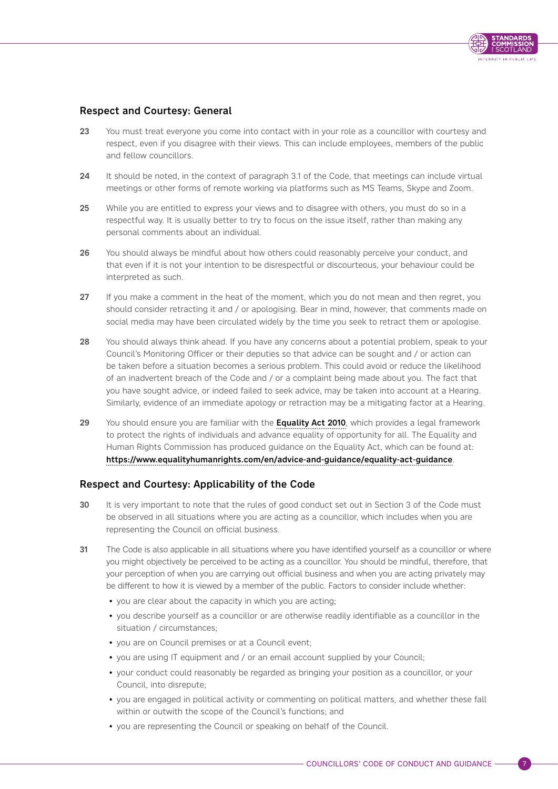

# Respect and Courtesy: General

- 23 You must treat everyone you come into contact with in your role as a councillor with courtesy and respect, even if you disagree with their views. This can include employees, members of the public and fellow councillors.
- 24 It should be noted, in the context of paragraph 3.1 of the Code, that meetings can include virtual meetings or other forms of remote working via platforms such as MS Teams, Skype and Zoom.
- 25 While you are entitled to express your views and to disagree with others, you must do so in a respectful way. It is usually better to try to focus on the issue itself, rather than making any personal comments about an individual.
- 26 You should always be mindful about how others could reasonably perceive your conduct, and that even if it is not your intention to be disrespectful or discourteous, your behaviour could be interpreted as such.
- 27 If you make a comment in the heat of the moment, which you do not mean and then regret, you should consider retracting it and / or apologising. Bear in mind, however, that comments made on social media may have been circulated widely by the time you seek to retract them or apologise.
- 28 You should always think ahead. If you have any concerns about a potential problem, speak to your Council's Monitoring Officer or their deputies so that advice can be sought and / or action can be taken before a situation becomes a serious problem. This could avoid or reduce the likelihood of an inadvertent breach of the Code and / or a complaint being made about you. The fact that you have sought advice, or indeed failed to seek advice, may be taken into account at a Hearing. Similarly, evidence of an immediate apology or retraction may be a mitigating factor at a Hearing.
- 29 You should ensure you are familiar with the [Equality Act 2010](https://www.legislation.gov.uk/ukpga/2010/15/contents), which provides a legal framework to protect the rights of individuals and advance equality of opportunity for all. The Equality and Human Rights Commission has produced guidance on the Equality Act, which can be found at: <https://www.equalityhumanrights.com/en/advice-and-guidance/equality-act-guidance>.

# Respect and Courtesy: Applicability of the Code

- 30 It is very important to note that the rules of good conduct set out in Section 3 of the Code must be observed in all situations where you are acting as a councillor, which includes when you are representing the Council on official business.
- 31 The Code is also applicable in all situations where you have identified yourself as a councillor or where you might objectively be perceived to be acting as a councillor. You should be mindful, therefore, that your perception of when you are carrying out official business and when you are acting privately may be different to how it is viewed by a member of the public. Factors to consider include whether:
	- you are clear about the capacity in which you are acting;
	- you describe yourself as a councillor or are otherwise readily identifiable as a councillor in the situation / circumstances;
	- you are on Council premises or at a Council event;
	- you are using IT equipment and / or an email account supplied by your Council:
	- your conduct could reasonably be regarded as bringing your position as a councillor, or your Council, into disrepute;
	- you are engaged in political activity or commenting on political matters, and whether these fall within or outwith the scope of the Council's functions; and
	- you are representing the Council or speaking on behalf of the Council.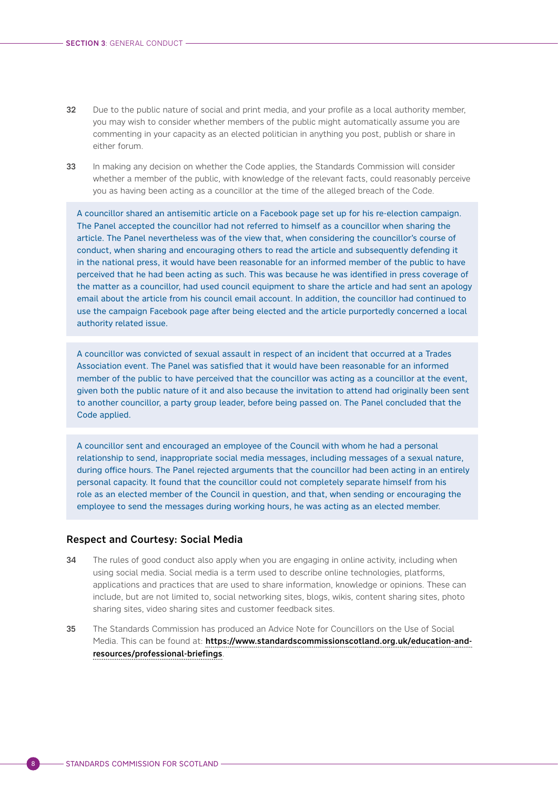- 32 Due to the public nature of social and print media, and your profile as a local authority member, you may wish to consider whether members of the public might automatically assume you are commenting in your capacity as an elected politician in anything you post, publish or share in either forum.
- 33 In making any decision on whether the Code applies, the Standards Commission will consider whether a member of the public, with knowledge of the relevant facts, could reasonably perceive you as having been acting as a councillor at the time of the alleged breach of the Code.

A councillor shared an antisemitic article on a Facebook page set up for his re-election campaign. The Panel accepted the councillor had not referred to himself as a councillor when sharing the article. The Panel nevertheless was of the view that, when considering the councillor's course of conduct, when sharing and encouraging others to read the article and subsequently defending it in the national press, it would have been reasonable for an informed member of the public to have perceived that he had been acting as such. This was because he was identified in press coverage of the matter as a councillor, had used council equipment to share the article and had sent an apology email about the article from his council email account. In addition, the councillor had continued to use the campaign Facebook page after being elected and the article purportedly concerned a local authority related issue.

A councillor was convicted of sexual assault in respect of an incident that occurred at a Trades Association event. The Panel was satisfied that it would have been reasonable for an informed member of the public to have perceived that the councillor was acting as a councillor at the event, given both the public nature of it and also because the invitation to attend had originally been sent to another councillor, a party group leader, before being passed on. The Panel concluded that the Code applied.

A councillor sent and encouraged an employee of the Council with whom he had a personal relationship to send, inappropriate social media messages, including messages of a sexual nature, during office hours. The Panel rejected arguments that the councillor had been acting in an entirely personal capacity. It found that the councillor could not completely separate himself from his role as an elected member of the Council in question, and that, when sending or encouraging the employee to send the messages during working hours, he was acting as an elected member.

#### Respect and Courtesy: Social Media

- 34 The rules of good conduct also apply when you are engaging in online activity, including when using social media. Social media is a term used to describe online technologies, platforms, applications and practices that are used to share information, knowledge or opinions. These can include, but are not limited to, social networking sites, blogs, wikis, content sharing sites, photo sharing sites, video sharing sites and customer feedback sites.
- 35 The Standards Commission has produced an Advice Note for Councillors on the Use of Social Media. This can be found at: [https://www.standardscommissionscotland.org.uk/education-and](https://www.standardscommissionscotland.org.uk/education-and-resources/professional-briefings)[resources/professional-briefings](https://www.standardscommissionscotland.org.uk/education-and-resources/professional-briefings).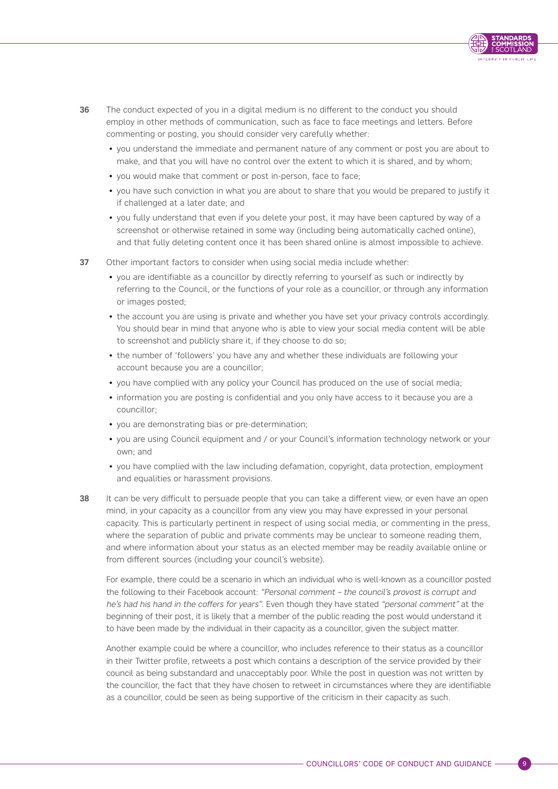

- 36 The conduct expected of you in a digital medium is no different to the conduct you should employ in other methods of communication, such as face to face meetings and letters. Before commenting or posting, you should consider very carefully whether:
	- you understand the immediate and permanent nature of any comment or post you are about to make, and that you will have no control over the extent to which it is shared, and by whom;
	- you would make that comment or post in-person, face to face;
	- you have such conviction in what you are about to share that you would be prepared to justify it if challenged at a later date; and
	- you fully understand that even if you delete your post, it may have been captured by way of a screenshot or otherwise retained in some way (including being automatically cached online), and that fully deleting content once it has been shared online is almost impossible to achieve.
- 37 Other important factors to consider when using social media include whether:
	- you are identifiable as a councillor by directly referring to yourself as such or indirectly by referring to the Council, or the functions of your role as a councillor, or through any information or images posted;
	- the account you are using is private and whether you have set your privacy controls accordingly. You should bear in mind that anyone who is able to view your social media content will be able to screenshot and publicly share it, if they choose to do so;
	- the number of 'followers' you have any and whether these individuals are following your account because you are a councillor;
	- you have complied with any policy your Council has produced on the use of social media;
	- information you are posting is confidential and you only have access to it because you are a councillor;
	- you are demonstrating bias or pre-determination;
	- you are using Council equipment and / or your Council's information technology network or your own; and
	- you have complied with the law including defamation, copyright, data protection, employment and equalities or harassment provisions.
- 38 It can be very difficult to persuade people that you can take a different view, or even have an open mind, in your capacity as a councillor from any view you may have expressed in your personal capacity. This is particularly pertinent in respect of using social media, or commenting in the press, where the separation of public and private comments may be unclear to someone reading them, and where information about your status as an elected member may be readily available online or from different sources (including your council's website).

For example, there could be a scenario in which an individual who is well-known as a councillor posted the following to their Facebook account: "Personal comment – the council's provost is corrupt and he's had his hand in the coffers for years". Even though they have stated "personal comment" at the beginning of their post, it is likely that a member of the public reading the post would understand it to have been made by the individual in their capacity as a councillor, given the subject matter.

Another example could be where a councillor, who includes reference to their status as a councillor in their Twitter profile, retweets a post which contains a description of the service provided by their council as being substandard and unacceptably poor. While the post in question was not written by the councillor, the fact that they have chosen to retweet in circumstances where they are identifiable as a councillor, could be seen as being supportive of the criticism in their capacity as such.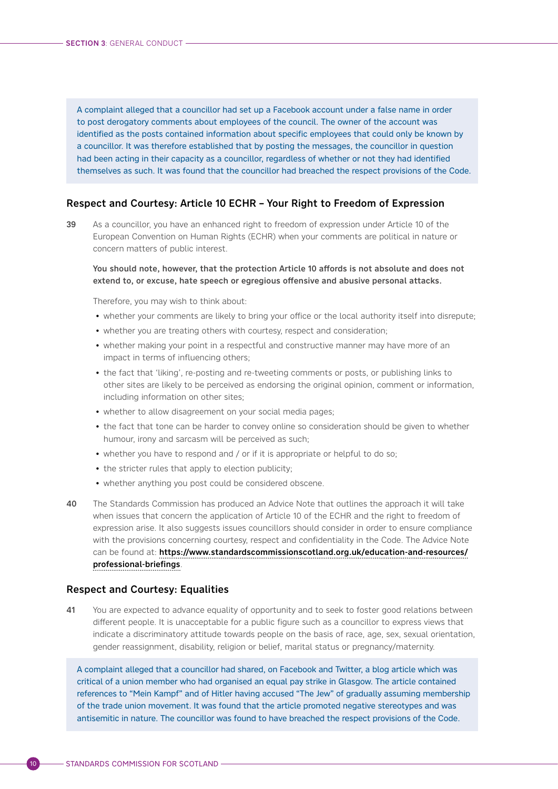A complaint alleged that a councillor had set up a Facebook account under a false name in order to post derogatory comments about employees of the council. The owner of the account was identified as the posts contained information about specific employees that could only be known by a councillor. It was therefore established that by posting the messages, the councillor in question had been acting in their capacity as a councillor, regardless of whether or not they had identified themselves as such. It was found that the councillor had breached the respect provisions of the Code.

# Respect and Courtesy: Article 10 ECHR – Your Right to Freedom of Expression

39 As a councillor, you have an enhanced right to freedom of expression under Article 10 of the European Convention on Human Rights (ECHR) when your comments are political in nature or concern matters of public interest.

#### You should note, however, that the protection Article 10 affords is not absolute and does not extend to, or excuse, hate speech or egregious offensive and abusive personal attacks.

Therefore, you may wish to think about:

- whether your comments are likely to bring your office or the local authority itself into disrepute;
- whether you are treating others with courtesy, respect and consideration;
- whether making your point in a respectful and constructive manner may have more of an impact in terms of influencing others;
- the fact that 'liking', re-posting and re-tweeting comments or posts, or publishing links to other sites are likely to be perceived as endorsing the original opinion, comment or information, including information on other sites;
- whether to allow disagreement on your social media pages;
- the fact that tone can be harder to convey online so consideration should be given to whether humour, irony and sarcasm will be perceived as such;
- whether you have to respond and / or if it is appropriate or helpful to do so;
- the stricter rules that apply to election publicity;
- whether anything you post could be considered obscene.
- 40 The Standards Commission has produced an Advice Note that outlines the approach it will take when issues that concern the application of Article 10 of the ECHR and the right to freedom of expression arise. It also suggests issues councillors should consider in order to ensure compliance with the provisions concerning courtesy, respect and confidentiality in the Code. The Advice Note can be found at: [https://www.standardscommissionscotland.org.uk/education-and-resources/](https://www.standardscommissionscotland.org.uk/education-and-resources/professional-briefings) [professional-briefings](https://www.standardscommissionscotland.org.uk/education-and-resources/professional-briefings).

# Respect and Courtesy: Equalities

41 You are expected to advance equality of opportunity and to seek to foster good relations between different people. It is unacceptable for a public figure such as a councillor to express views that indicate a discriminatory attitude towards people on the basis of race, age, sex, sexual orientation, gender reassignment, disability, religion or belief, marital status or pregnancy/maternity.

A complaint alleged that a councillor had shared, on Facebook and Twitter, a blog article which was critical of a union member who had organised an equal pay strike in Glasgow. The article contained references to "Mein Kampf" and of Hitler having accused "The Jew" of gradually assuming membership of the trade union movement. It was found that the article promoted negative stereotypes and was antisemitic in nature. The councillor was found to have breached the respect provisions of the Code.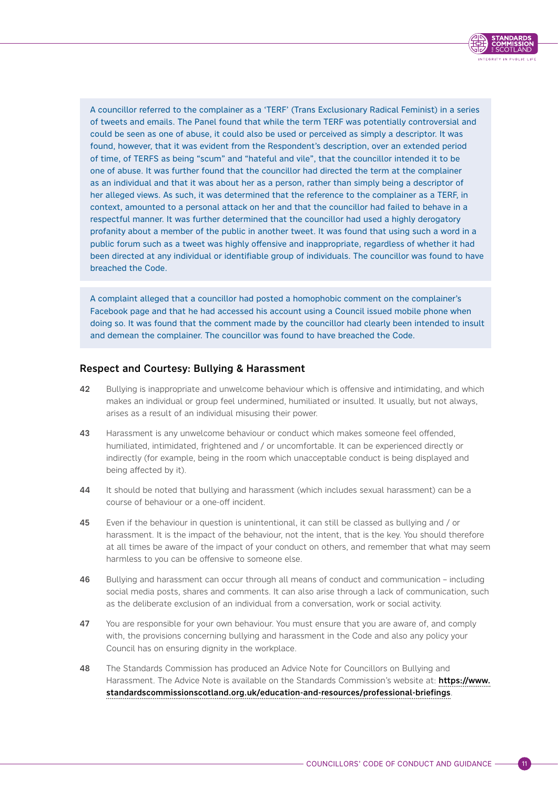

A councillor referred to the complainer as a 'TERF' (Trans Exclusionary Radical Feminist) in a series of tweets and emails. The Panel found that while the term TERF was potentially controversial and could be seen as one of abuse, it could also be used or perceived as simply a descriptor. It was found, however, that it was evident from the Respondent's description, over an extended period of time, of TERFS as being "scum" and "hateful and vile", that the councillor intended it to be one of abuse. It was further found that the councillor had directed the term at the complainer as an individual and that it was about her as a person, rather than simply being a descriptor of her alleged views. As such, it was determined that the reference to the complainer as a TERF, in context, amounted to a personal attack on her and that the councillor had failed to behave in a respectful manner. It was further determined that the councillor had used a highly derogatory profanity about a member of the public in another tweet. It was found that using such a word in a public forum such as a tweet was highly offensive and inappropriate, regardless of whether it had been directed at any individual or identifiable group of individuals. The councillor was found to have breached the Code.

A complaint alleged that a councillor had posted a homophobic comment on the complainer's Facebook page and that he had accessed his account using a Council issued mobile phone when doing so. It was found that the comment made by the councillor had clearly been intended to insult and demean the complainer. The councillor was found to have breached the Code.

# Respect and Courtesy: Bullying & Harassment

- 42 Bullying is inappropriate and unwelcome behaviour which is offensive and intimidating, and which makes an individual or group feel undermined, humiliated or insulted. It usually, but not always, arises as a result of an individual misusing their power.
- 43 Harassment is any unwelcome behaviour or conduct which makes someone feel offended, humiliated, intimidated, frightened and / or uncomfortable. It can be experienced directly or indirectly (for example, being in the room which unacceptable conduct is being displayed and being affected by it).
- 44 It should be noted that bullying and harassment (which includes sexual harassment) can be a course of behaviour or a one-off incident.
- 45 Even if the behaviour in question is unintentional, it can still be classed as bullying and / or harassment. It is the impact of the behaviour, not the intent, that is the key. You should therefore at all times be aware of the impact of your conduct on others, and remember that what may seem harmless to you can be offensive to someone else.
- 46 Bullying and harassment can occur through all means of conduct and communication including social media posts, shares and comments. It can also arise through a lack of communication, such as the deliberate exclusion of an individual from a conversation, work or social activity.
- 47 You are responsible for your own behaviour. You must ensure that you are aware of, and comply with, the provisions concerning bullying and harassment in the Code and also any policy your Council has on ensuring dignity in the workplace.
- 48 The Standards Commission has produced an Advice Note for Councillors on Bullying and Harassment. The Advice Note is available on the Standards Commission's website at: [https://www.](https://www.standardscommissionscotland.org.uk/education-and-resources/professional-briefings) [standardscommissionscotland.org.uk/education-and-resources/professional-briefings](https://www.standardscommissionscotland.org.uk/education-and-resources/professional-briefings).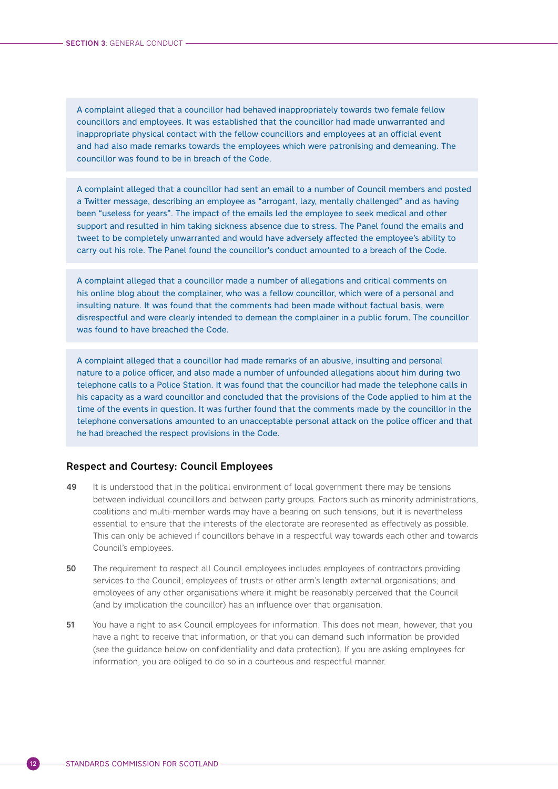A complaint alleged that a councillor had behaved inappropriately towards two female fellow councillors and employees. It was established that the councillor had made unwarranted and inappropriate physical contact with the fellow councillors and employees at an official event and had also made remarks towards the employees which were patronising and demeaning. The councillor was found to be in breach of the Code.

A complaint alleged that a councillor had sent an email to a number of Council members and posted a Twitter message, describing an employee as "arrogant, lazy, mentally challenged" and as having been "useless for years". The impact of the emails led the employee to seek medical and other support and resulted in him taking sickness absence due to stress. The Panel found the emails and tweet to be completely unwarranted and would have adversely affected the employee's ability to carry out his role. The Panel found the councillor's conduct amounted to a breach of the Code.

A complaint alleged that a councillor made a number of allegations and critical comments on his online blog about the complainer, who was a fellow councillor, which were of a personal and insulting nature. It was found that the comments had been made without factual basis, were disrespectful and were clearly intended to demean the complainer in a public forum. The councillor was found to have breached the Code.

A complaint alleged that a councillor had made remarks of an abusive, insulting and personal nature to a police officer, and also made a number of unfounded allegations about him during two telephone calls to a Police Station. It was found that the councillor had made the telephone calls in his capacity as a ward councillor and concluded that the provisions of the Code applied to him at the time of the events in question. It was further found that the comments made by the councillor in the telephone conversations amounted to an unacceptable personal attack on the police officer and that he had breached the respect provisions in the Code.

# Respect and Courtesy: Council Employees

- 49 It is understood that in the political environment of local government there may be tensions between individual councillors and between party groups. Factors such as minority administrations, coalitions and multi-member wards may have a bearing on such tensions, but it is nevertheless essential to ensure that the interests of the electorate are represented as effectively as possible. This can only be achieved if councillors behave in a respectful way towards each other and towards Council's employees.
- 50 The requirement to respect all Council employees includes employees of contractors providing services to the Council; employees of trusts or other arm's length external organisations; and employees of any other organisations where it might be reasonably perceived that the Council (and by implication the councillor) has an influence over that organisation.
- 51 You have a right to ask Council employees for information. This does not mean, however, that you have a right to receive that information, or that you can demand such information be provided (see the guidance below on confidentiality and data protection). If you are asking employees for information, you are obliged to do so in a courteous and respectful manner.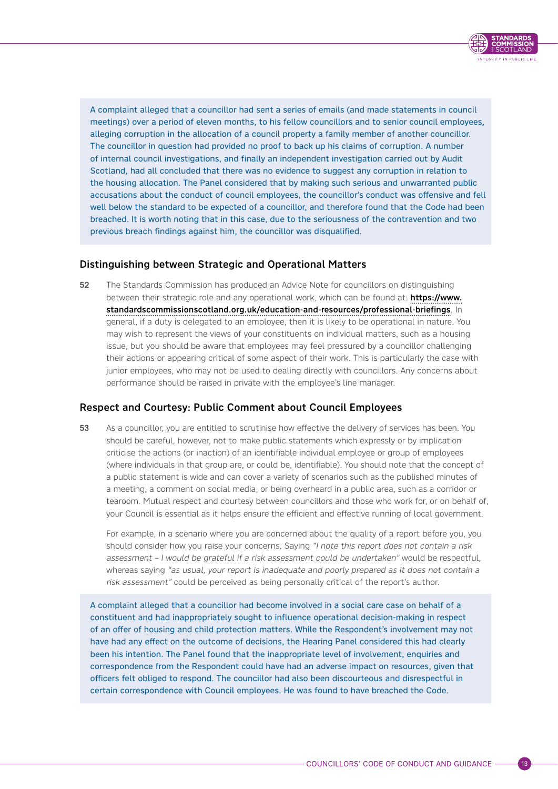

A complaint alleged that a councillor had sent a series of emails (and made statements in council meetings) over a period of eleven months, to his fellow councillors and to senior council employees, alleging corruption in the allocation of a council property a family member of another councillor. The councillor in question had provided no proof to back up his claims of corruption. A number of internal council investigations, and finally an independent investigation carried out by Audit Scotland, had all concluded that there was no evidence to suggest any corruption in relation to the housing allocation. The Panel considered that by making such serious and unwarranted public accusations about the conduct of council employees, the councillor's conduct was offensive and fell well below the standard to be expected of a councillor, and therefore found that the Code had been breached. It is worth noting that in this case, due to the seriousness of the contravention and two previous breach findings against him, the councillor was disqualified.

# Distinguishing between Strategic and Operational Matters

52 The Standards Commission has produced an Advice Note for councillors on distinguishing between their strategic role and any operational work, which can be found at: [https://www.](https://www.standardscommissionscotland.org.uk/education-and-resources/professional-briefings) [standardscommissionscotland.org.uk/education-and-resources/professional-briefings](https://www.standardscommissionscotland.org.uk/education-and-resources/professional-briefings). In general, if a duty is delegated to an employee, then it is likely to be operational in nature. You may wish to represent the views of your constituents on individual matters, such as a housing issue, but you should be aware that employees may feel pressured by a councillor challenging their actions or appearing critical of some aspect of their work. This is particularly the case with junior employees, who may not be used to dealing directly with councillors. Any concerns about performance should be raised in private with the employee's line manager.

# Respect and Courtesy: Public Comment about Council Employees

53 As a councillor, you are entitled to scrutinise how effective the delivery of services has been. You should be careful, however, not to make public statements which expressly or by implication criticise the actions (or inaction) of an identifiable individual employee or group of employees (where individuals in that group are, or could be, identifiable). You should note that the concept of a public statement is wide and can cover a variety of scenarios such as the published minutes of a meeting, a comment on social media, or being overheard in a public area, such as a corridor or tearoom. Mutual respect and courtesy between councillors and those who work for, or on behalf of, your Council is essential as it helps ensure the efficient and effective running of local government.

For example, in a scenario where you are concerned about the quality of a report before you, you should consider how you raise your concerns. Saying "I note this report does not contain a risk assessment – I would be grateful if a risk assessment could be undertaken" would be respectful, whereas saying "as usual, your report is inadequate and poorly prepared as it does not contain a risk assessment" could be perceived as being personally critical of the report's author.

A complaint alleged that a councillor had become involved in a social care case on behalf of a constituent and had inappropriately sought to influence operational decision-making in respect of an offer of housing and child protection matters. While the Respondent's involvement may not have had any effect on the outcome of decisions, the Hearing Panel considered this had clearly been his intention. The Panel found that the inappropriate level of involvement, enquiries and correspondence from the Respondent could have had an adverse impact on resources, given that officers felt obliged to respond. The councillor had also been discourteous and disrespectful in certain correspondence with Council employees. He was found to have breached the Code.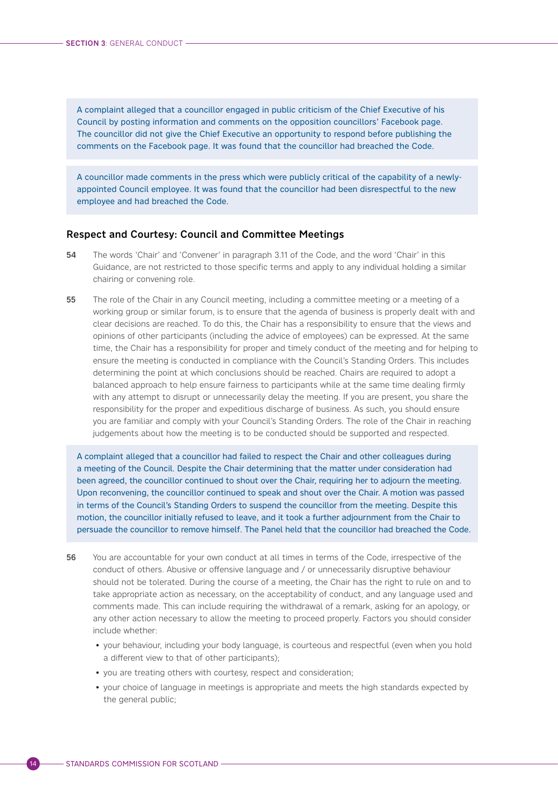A complaint alleged that a councillor engaged in public criticism of the Chief Executive of his Council by posting information and comments on the opposition councillors' Facebook page. The councillor did not give the Chief Executive an opportunity to respond before publishing the comments on the Facebook page. It was found that the councillor had breached the Code.

A councillor made comments in the press which were publicly critical of the capability of a newlyappointed Council employee. It was found that the councillor had been disrespectful to the new employee and had breached the Code.

#### Respect and Courtesy: Council and Committee Meetings

- 54 The words 'Chair' and 'Convener' in paragraph 3.11 of the Code, and the word 'Chair' in this Guidance, are not restricted to those specific terms and apply to any individual holding a similar chairing or convening role.
- 55 The role of the Chair in any Council meeting, including a committee meeting or a meeting of a working group or similar forum, is to ensure that the agenda of business is properly dealt with and clear decisions are reached. To do this, the Chair has a responsibility to ensure that the views and opinions of other participants (including the advice of employees) can be expressed. At the same time, the Chair has a responsibility for proper and timely conduct of the meeting and for helping to ensure the meeting is conducted in compliance with the Council's Standing Orders. This includes determining the point at which conclusions should be reached. Chairs are required to adopt a balanced approach to help ensure fairness to participants while at the same time dealing firmly with any attempt to disrupt or unnecessarily delay the meeting. If you are present, you share the responsibility for the proper and expeditious discharge of business. As such, you should ensure you are familiar and comply with your Council's Standing Orders. The role of the Chair in reaching judgements about how the meeting is to be conducted should be supported and respected.

A complaint alleged that a councillor had failed to respect the Chair and other colleagues during a meeting of the Council. Despite the Chair determining that the matter under consideration had been agreed, the councillor continued to shout over the Chair, requiring her to adjourn the meeting. Upon reconvening, the councillor continued to speak and shout over the Chair. A motion was passed in terms of the Council's Standing Orders to suspend the councillor from the meeting. Despite this motion, the councillor initially refused to leave, and it took a further adjournment from the Chair to persuade the councillor to remove himself. The Panel held that the councillor had breached the Code.

- 56 You are accountable for your own conduct at all times in terms of the Code, irrespective of the conduct of others. Abusive or offensive language and / or unnecessarily disruptive behaviour should not be tolerated. During the course of a meeting, the Chair has the right to rule on and to take appropriate action as necessary, on the acceptability of conduct, and any language used and comments made. This can include requiring the withdrawal of a remark, asking for an apology, or any other action necessary to allow the meeting to proceed properly. Factors you should consider include whether:
	- your behaviour, including your body language, is courteous and respectful (even when you hold a different view to that of other participants);
	- you are treating others with courtesy, respect and consideration;
	- your choice of language in meetings is appropriate and meets the high standards expected by the general public;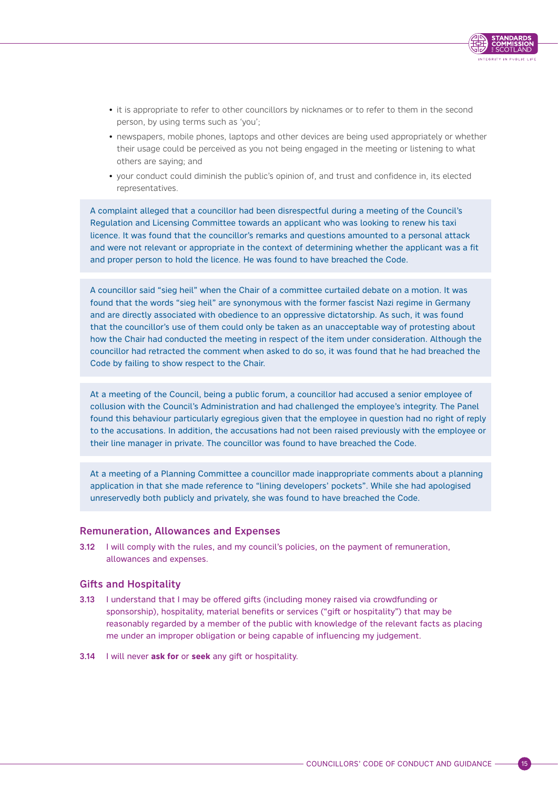

- <span id="page-18-0"></span>• it is appropriate to refer to other councillors by nicknames or to refer to them in the second person, by using terms such as 'you';
- newspapers, mobile phones, laptops and other devices are being used appropriately or whether their usage could be perceived as you not being engaged in the meeting or listening to what others are saying; and
- your conduct could diminish the public's opinion of, and trust and confidence in, its elected representatives.

A complaint alleged that a councillor had been disrespectful during a meeting of the Council's Regulation and Licensing Committee towards an applicant who was looking to renew his taxi licence. It was found that the councillor's remarks and questions amounted to a personal attack and were not relevant or appropriate in the context of determining whether the applicant was a fit and proper person to hold the licence. He was found to have breached the Code.

A councillor said "sieg heil" when the Chair of a committee curtailed debate on a motion. It was found that the words "sieg heil" are synonymous with the former fascist Nazi regime in Germany and are directly associated with obedience to an oppressive dictatorship. As such, it was found that the councillor's use of them could only be taken as an unacceptable way of protesting about how the Chair had conducted the meeting in respect of the item under consideration. Although the councillor had retracted the comment when asked to do so, it was found that he had breached the Code by failing to show respect to the Chair.

At a meeting of the Council, being a public forum, a councillor had accused a senior employee of collusion with the Council's Administration and had challenged the employee's integrity. The Panel found this behaviour particularly egregious given that the employee in question had no right of reply to the accusations. In addition, the accusations had not been raised previously with the employee or their line manager in private. The councillor was found to have breached the Code.

At a meeting of a Planning Committee a councillor made inappropriate comments about a planning application in that she made reference to "lining developers' pockets". While she had apologised unreservedly both publicly and privately, she was found to have breached the Code.

### Remuneration, Allowances and Expenses

3.12 I will comply with the rules, and my council's policies, on the payment of remuneration, allowances and expenses.

#### Gifts and Hospitality

- 3.13 I understand that I may be offered gifts (including money raised via crowdfunding or sponsorship), hospitality, material benefits or services ("gift or hospitality") that may be reasonably regarded by a member of the public with knowledge of the relevant facts as placing me under an improper obligation or being capable of influencing my judgement.
- 3.14 I will never **ask for** or **seek** any gift or hospitality.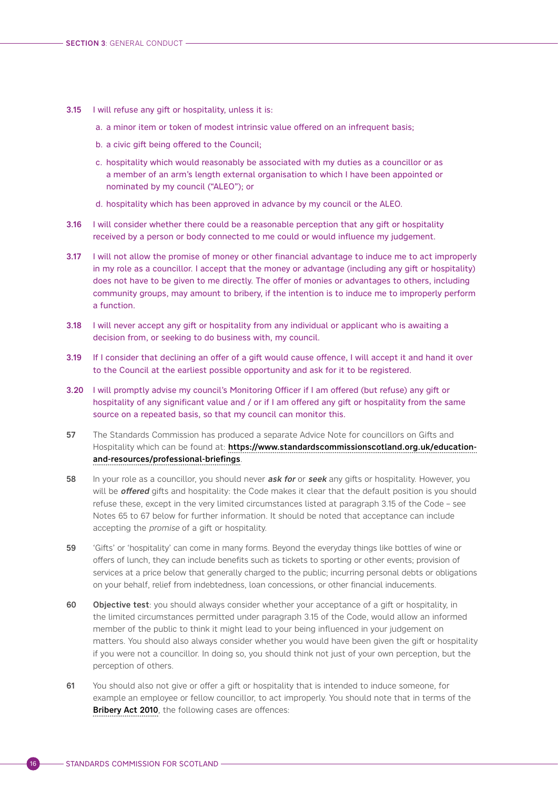- 3.15 I will refuse any gift or hospitality, unless it is:
	- a. a minor item or token of modest intrinsic value offered on an infrequent basis;
	- b. a civic gift being offered to the Council;
	- c. hospitality which would reasonably be associated with my duties as a councillor or as a member of an arm's length external organisation to which I have been appointed or nominated by my council ("ALEO"); or
	- d. hospitality which has been approved in advance by my council or the ALEO.
- 3.16 I will consider whether there could be a reasonable perception that any gift or hospitality received by a person or body connected to me could or would influence my judgement.
- 3.17 I will not allow the promise of money or other financial advantage to induce me to act improperly in my role as a councillor. I accept that the money or advantage (including any gift or hospitality) does not have to be given to me directly. The offer of monies or advantages to others, including community groups, may amount to bribery, if the intention is to induce me to improperly perform a function.
- 3.18 I will never accept any gift or hospitality from any individual or applicant who is awaiting a decision from, or seeking to do business with, my council.
- 3.19 If I consider that declining an offer of a gift would cause offence, I will accept it and hand it over to the Council at the earliest possible opportunity and ask for it to be registered.
- 3.20 I will promptly advise my council's Monitoring Officer if I am offered (but refuse) any gift or hospitality of any significant value and / or if I am offered any gift or hospitality from the same source on a repeated basis, so that my council can monitor this.
- 57 The Standards Commission has produced a separate Advice Note for councillors on Gifts and Hospitality which can be found at: [https://www.standardscommissionscotland.org.uk/education](https://www.standardscommissionscotland.org.uk/education-and-resources/professional-briefings)[and-resources/professional-briefings](https://www.standardscommissionscotland.org.uk/education-and-resources/professional-briefings).
- 58 In your role as a councillor, you should never *ask for* or *seek* any gifts or hospitality. However, you will be **offered** gifts and hospitality: the Code makes it clear that the default position is you should refuse these, except in the very limited circumstances listed at paragraph 3.15 of the Code – see Notes 65 to 67 below for further information. It should be noted that acceptance can include accepting the promise of a gift or hospitality.
- 59 'Gifts' or 'hospitality' can come in many forms. Beyond the everyday things like bottles of wine or offers of lunch, they can include benefits such as tickets to sporting or other events; provision of services at a price below that generally charged to the public; incurring personal debts or obligations on your behalf, relief from indebtedness, loan concessions, or other financial inducements.
- 60 Objective test: you should always consider whether your acceptance of a gift or hospitality, in the limited circumstances permitted under paragraph 3.15 of the Code, would allow an informed member of the public to think it might lead to your being influenced in your judgement on matters. You should also always consider whether you would have been given the gift or hospitality if you were not a councillor. In doing so, you should think not just of your own perception, but the perception of others.
- 61 You should also not give or offer a gift or hospitality that is intended to induce someone, for example an employee or fellow councillor, to act improperly. You should note that in terms of the [Bribery Act 2010](https://www.legislation.gov.uk/ukpga/2010/23/section/1), the following cases are offences: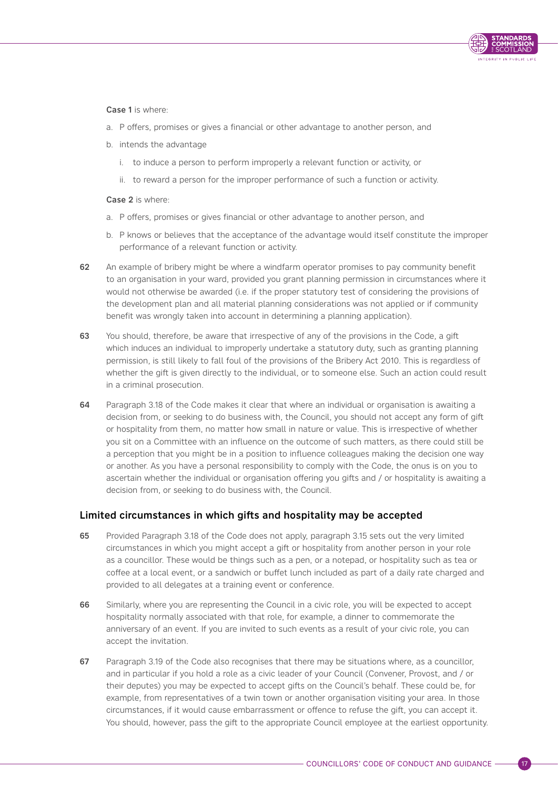

Case 1 is where:

- a. P offers, promises or gives a financial or other advantage to another person, and
- b. intends the advantage
	- i. to induce a person to perform improperly a relevant function or activity, or
	- ii. to reward a person for the improper performance of such a function or activity.

Case 2 is where:

- a. P offers, promises or gives financial or other advantage to another person, and
- b. P knows or believes that the acceptance of the advantage would itself constitute the improper performance of a relevant function or activity.
- 62 An example of bribery might be where a windfarm operator promises to pay community benefit to an organisation in your ward, provided you grant planning permission in circumstances where it would not otherwise be awarded (i.e. if the proper statutory test of considering the provisions of the development plan and all material planning considerations was not applied or if community benefit was wrongly taken into account in determining a planning application).
- 63 You should, therefore, be aware that irrespective of any of the provisions in the Code, a gift which induces an individual to improperly undertake a statutory duty, such as granting planning permission, is still likely to fall foul of the provisions of the Bribery Act 2010. This is regardless of whether the gift is given directly to the individual, or to someone else. Such an action could result in a criminal prosecution.
- 64 Paragraph 3.18 of the Code makes it clear that where an individual or organisation is awaiting a decision from, or seeking to do business with, the Council, you should not accept any form of gift or hospitality from them, no matter how small in nature or value. This is irrespective of whether you sit on a Committee with an influence on the outcome of such matters, as there could still be a perception that you might be in a position to influence colleagues making the decision one way or another. As you have a personal responsibility to comply with the Code, the onus is on you to ascertain whether the individual or organisation offering you gifts and / or hospitality is awaiting a decision from, or seeking to do business with, the Council.

# Limited circumstances in which gifts and hospitality may be accepted

- 65 Provided Paragraph 3.18 of the Code does not apply, paragraph 3.15 sets out the very limited circumstances in which you might accept a gift or hospitality from another person in your role as a councillor. These would be things such as a pen, or a notepad, or hospitality such as tea or coffee at a local event, or a sandwich or buffet lunch included as part of a daily rate charged and provided to all delegates at a training event or conference.
- 66 Similarly, where you are representing the Council in a civic role, you will be expected to accept hospitality normally associated with that role, for example, a dinner to commemorate the anniversary of an event. If you are invited to such events as a result of your civic role, you can accept the invitation.
- 67 Paragraph 3.19 of the Code also recognises that there may be situations where, as a councillor, and in particular if you hold a role as a civic leader of your Council (Convener, Provost, and / or their deputes) you may be expected to accept gifts on the Council's behalf. These could be, for example, from representatives of a twin town or another organisation visiting your area. In those circumstances, if it would cause embarrassment or offence to refuse the gift, you can accept it. You should, however, pass the gift to the appropriate Council employee at the earliest opportunity.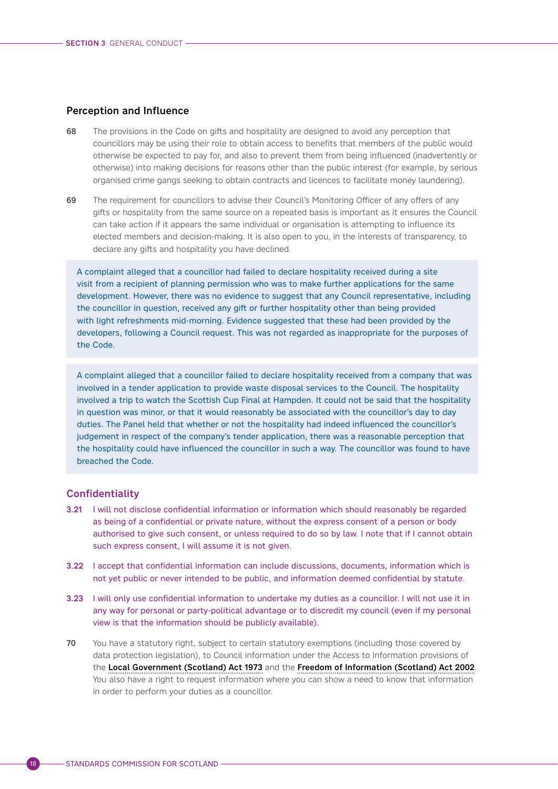### <span id="page-21-0"></span>Perception and Influence

- 68 The provisions in the Code on gifts and hospitality are designed to avoid any perception that councillors may be using their role to obtain access to benefits that members of the public would otherwise be expected to pay for, and also to prevent them from being influenced (inadvertently or otherwise) into making decisions for reasons other than the public interest (for example, by serious organised crime gangs seeking to obtain contracts and licences to facilitate money laundering).
- 69 The requirement for councillors to advise their Council's Monitoring Officer of any offers of any gifts or hospitality from the same source on a repeated basis is important as it ensures the Council can take action if it appears the same individual or organisation is attempting to influence its elected members and decision-making. It is also open to you, in the interests of transparency, to declare any gifts and hospitality you have declined.

A complaint alleged that a councillor had failed to declare hospitality received during a site visit from a recipient of planning permission who was to make further applications for the same development. However, there was no evidence to suggest that any Council representative, including the councillor in question, received any gift or further hospitality other than being provided with light refreshments mid-morning. Evidence suggested that these had been provided by the developers, following a Council request. This was not regarded as inappropriate for the purposes of the Code.

A complaint alleged that a councillor failed to declare hospitality received from a company that was involved in a tender application to provide waste disposal services to the Council. The hospitality involved a trip to watch the Scottish Cup Final at Hampden. It could not be said that the hospitality in question was minor, or that it would reasonably be associated with the councillor's day to day duties. The Panel held that whether or not the hospitality had indeed influenced the councillor's judgement in respect of the company's tender application, there was a reasonable perception that the hospitality could have influenced the councillor in such a way. The councillor was found to have breached the Code.

### **Confidentiality**

- 3.21 I will not disclose confidential information or information which should reasonably be regarded as being of a confidential or private nature, without the express consent of a person or body authorised to give such consent, or unless required to do so by law. I note that if I cannot obtain such express consent, I will assume it is not given.
- 3.22 I accept that confidential information can include discussions, documents, information which is not yet public or never intended to be public, and information deemed confidential by statute.
- 3.23 I will only use confidential information to undertake my duties as a councillor. I will not use it in any way for personal or party-political advantage or to discredit my council (even if my personal view is that the information should be publicly available).
- 70 You have a statutory right, subject to certain statutory exemptions (including those covered by data protection legislation), to Council information under the Access to Information provisions of the [Local Government \(Scotland\) Act 1973](https://www.legislation.gov.uk/ukpga/1973/65/contents) and the [Freedom of Information \(Scotland\) Act 2002](https://www.legislation.gov.uk/asp/2002/13/contents). You also have a right to request information where you can show a need to know that information in order to perform your duties as a councillor.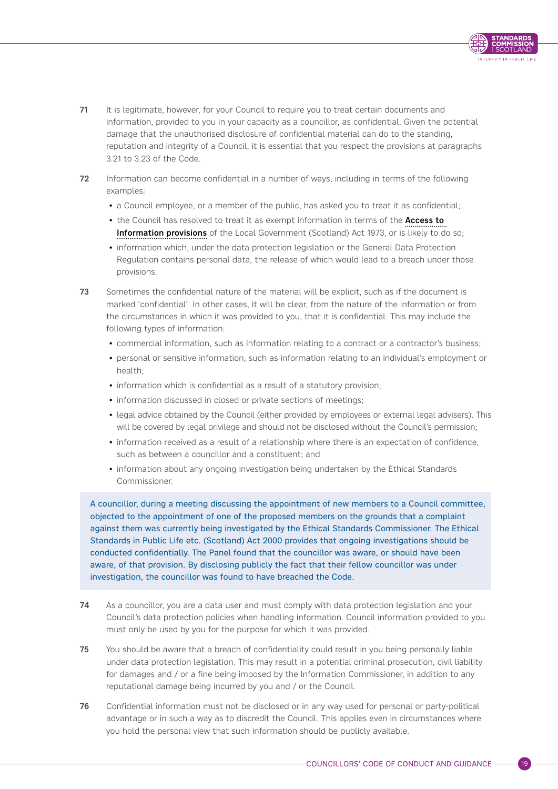

- 71 It is legitimate, however, for your Council to require you to treat certain documents and information, provided to you in your capacity as a councillor, as confidential. Given the potential damage that the unauthorised disclosure of confidential material can do to the standing, reputation and integrity of a Council, it is essential that you respect the provisions at paragraphs 3.21 to 3.23 of the Code.
- 72 Information can become confidential in a number of ways, including in terms of the following examples:
	- a Council employee, or a member of the public, has asked you to treat it as confidential;
	- the Council has resolved to treat it as exempt information in terms of the Access to [Information provisions](https://www.legislation.gov.uk/ukpga/1973/65/schedule/7A) of the Local Government (Scotland) Act 1973, or is likely to do so;
	- information which, under the data protection legislation or the General Data Protection Regulation contains personal data, the release of which would lead to a breach under those provisions.
- 73 Sometimes the confidential nature of the material will be explicit, such as if the document is marked 'confidential'. In other cases, it will be clear, from the nature of the information or from the circumstances in which it was provided to you, that it is confidential. This may include the following types of information:
	- commercial information, such as information relating to a contract or a contractor's business;
	- personal or sensitive information, such as information relating to an individual's employment or health;
	- information which is confidential as a result of a statutory provision;
	- information discussed in closed or private sections of meetings;
	- legal advice obtained by the Council (either provided by employees or external legal advisers). This will be covered by legal privilege and should not be disclosed without the Council's permission;
	- information received as a result of a relationship where there is an expectation of confidence, such as between a councillor and a constituent; and
	- information about any ongoing investigation being undertaken by the Ethical Standards Commissioner.

A councillor, during a meeting discussing the appointment of new members to a Council committee, objected to the appointment of one of the proposed members on the grounds that a complaint against them was currently being investigated by the Ethical Standards Commissioner. The Ethical Standards in Public Life etc. (Scotland) Act 2000 provides that ongoing investigations should be conducted confidentially. The Panel found that the councillor was aware, or should have been aware, of that provision. By disclosing publicly the fact that their fellow councillor was under investigation, the councillor was found to have breached the Code.

- 74 As a councillor, you are a data user and must comply with data protection legislation and your Council's data protection policies when handling information. Council information provided to you must only be used by you for the purpose for which it was provided.
- 75 You should be aware that a breach of confidentiality could result in you being personally liable under data protection legislation. This may result in a potential criminal prosecution, civil liability for damages and / or a fine being imposed by the Information Commissioner, in addition to any reputational damage being incurred by you and / or the Council.
- 76 Confidential information must not be disclosed or in any way used for personal or party-political advantage or in such a way as to discredit the Council. This applies even in circumstances where you hold the personal view that such information should be publicly available.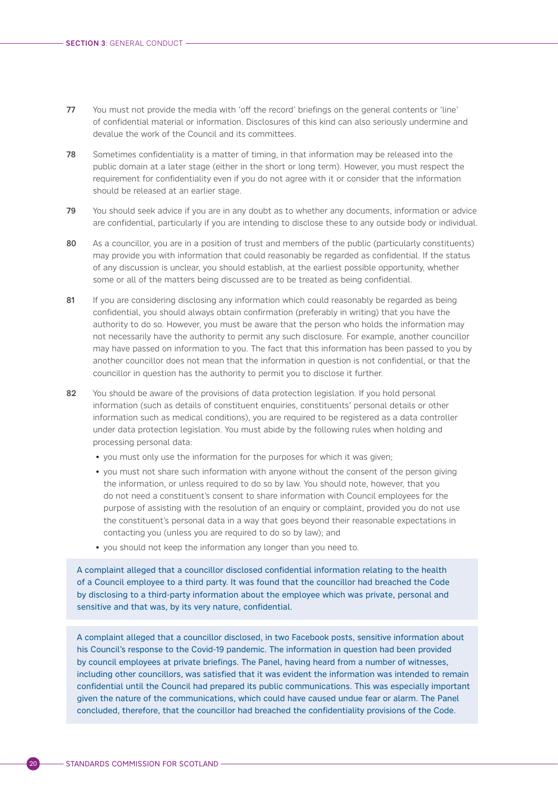- <span id="page-23-0"></span>77 You must not provide the media with 'off the record' briefings on the general contents or 'line' of confidential material or information. Disclosures of this kind can also seriously undermine and devalue the work of the Council and its committees.
- 78 Sometimes confidentiality is a matter of timing, in that information may be released into the public domain at a later stage (either in the short or long term). However, you must respect the requirement for confidentiality even if you do not agree with it or consider that the information should be released at an earlier stage.
- 79 You should seek advice if you are in any doubt as to whether any documents, information or advice are confidential, particularly if you are intending to disclose these to any outside body or individual.
- 80 As a councillor, you are in a position of trust and members of the public (particularly constituents) may provide you with information that could reasonably be regarded as confidential. If the status of any discussion is unclear, you should establish, at the earliest possible opportunity, whether some or all of the matters being discussed are to be treated as being confidential.
- 81 If you are considering disclosing any information which could reasonably be regarded as being confidential, you should always obtain confirmation (preferably in writing) that you have the authority to do so. However, you must be aware that the person who holds the information may not necessarily have the authority to permit any such disclosure. For example, another councillor may have passed on information to you. The fact that this information has been passed to you by another councillor does not mean that the information in question is not confidential, or that the councillor in question has the authority to permit you to disclose it further.
- 82 You should be aware of the provisions of data protection legislation. If you hold personal information (such as details of constituent enquiries, constituents' personal details or other information such as medical conditions), you are required to be registered as a data controller under data protection legislation. You must abide by the following rules when holding and processing personal data:
	- you must only use the information for the purposes for which it was given;
	- you must not share such information with anyone without the consent of the person giving the information, or unless required to do so by law. You should note, however, that you do not need a constituent's consent to share information with Council employees for the purpose of assisting with the resolution of an enquiry or complaint, provided you do not use the constituent's personal data in a way that goes beyond their reasonable expectations in contacting you (unless you are required to do so by law); and
	- you should not keep the information any longer than you need to.

A complaint alleged that a councillor disclosed confidential information relating to the health of a Council employee to a third party. It was found that the councillor had breached the Code by disclosing to a third-party information about the employee which was private, personal and sensitive and that was, by its very nature, confidential.

A complaint alleged that a councillor disclosed, in two Facebook posts, sensitive information about his Council's response to the Covid-19 pandemic. The information in question had been provided by council employees at private briefings. The Panel, having heard from a number of witnesses, including other councillors, was satisfied that it was evident the information was intended to remain confidential until the Council had prepared its public communications. This was especially important given the nature of the communications, which could have caused undue fear or alarm. The Panel concluded, therefore, that the councillor had breached the confidentiality provisions of the Code.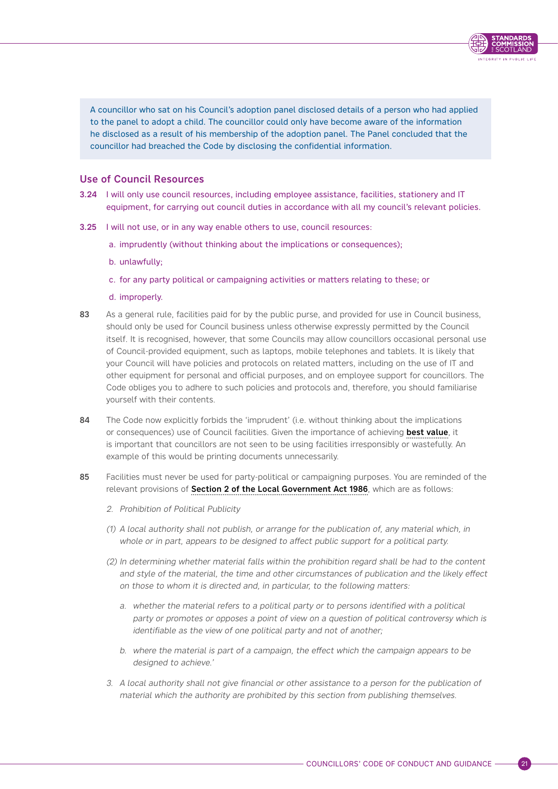A councillor who sat on his Council's adoption panel disclosed details of a person who had applied to the panel to adopt a child. The councillor could only have become aware of the information he disclosed as a result of his membership of the adoption panel. The Panel concluded that the councillor had breached the Code by disclosing the confidential information.

INTEGRITY IN PUBLIC LIFE

# Use of Council Resources

- 3.24 I will only use council resources, including employee assistance, facilities, stationery and IT equipment, for carrying out council duties in accordance with all my council's relevant policies.
- 3.25 I will not use, or in any way enable others to use, council resources:
	- a. imprudently (without thinking about the implications or consequences);
	- b. unlawfully;
	- c. for any party political or campaigning activities or matters relating to these; or
	- d. improperly.
- 83 As a general rule, facilities paid for by the public purse, and provided for use in Council business, should only be used for Council business unless otherwise expressly permitted by the Council itself. It is recognised, however, that some Councils may allow councillors occasional personal use of Council-provided equipment, such as laptops, mobile telephones and tablets. It is likely that your Council will have policies and protocols on related matters, including on the use of IT and other equipment for personal and official purposes, and on employee support for councillors. The Code obliges you to adhere to such policies and protocols and, therefore, you should familiarise yourself with their contents.
- 84 The Code now explicitly forbids the 'imprudent' (i.e. without thinking about the implications or consequences) use of Council facilities. Given the importance of achieving [best value](https://www.gov.scot/publications/best-value-revised-statutory-guidance-2020/), it is important that councillors are not seen to be using facilities irresponsibly or wastefully. An example of this would be printing documents unnecessarily.
- 85 Facilities must never be used for party-political or campaigning purposes. You are reminded of the relevant provisions of [Section 2 of the Local Government Act 1986](https://www.legislation.gov.uk/ukpga/1986/10/part/II), which are as follows:
	- 2. Prohibition of Political Publicity
	- (1) A local authority shall not publish, or arrange for the publication of, any material which, in whole or in part, appears to be designed to affect public support for a political party.
	- (2) In determining whether material falls within the prohibition regard shall be had to the content and style of the material, the time and other circumstances of publication and the likely effect on those to whom it is directed and, in particular, to the following matters:
		- a. whether the material refers to a political party or to persons identified with a political party or promotes or opposes a point of view on a question of political controversy which is identifiable as the view of one political party and not of another;
		- b. where the material is part of a campaign, the effect which the campaign appears to be designed to achieve.'
	- 3. A local authority shall not give financial or other assistance to a person for the publication of material which the authority are prohibited by this section from publishing themselves.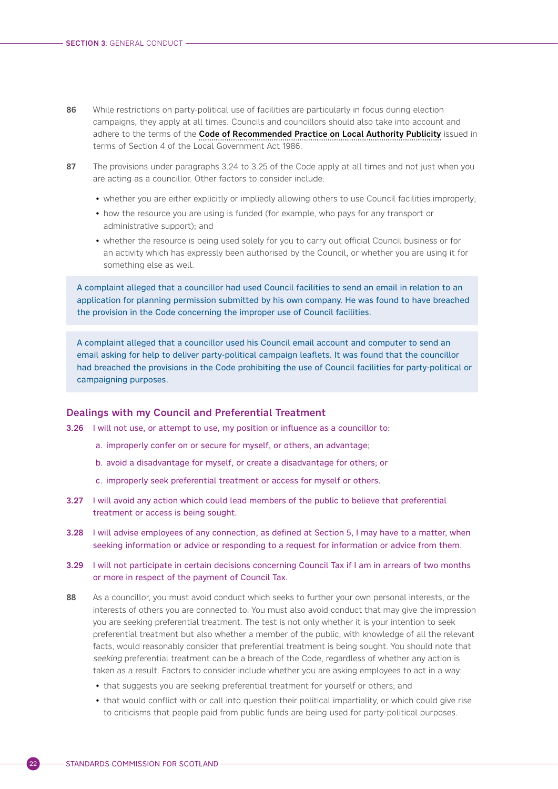- <span id="page-25-0"></span>86 While restrictions on party-political use of facilities are particularly in focus during election campaigns, they apply at all times. Councils and councillors should also take into account and adhere to the terms of the [Code of Recommended Practice on Local Authority Publicity](https://www.gov.scot/publications/local-authority-publicity-code-of-practice/) issued in terms of Section 4 of the Local Government Act 1986.
- 87 The provisions under paragraphs 3.24 to 3.25 of the Code apply at all times and not just when you are acting as a councillor. Other factors to consider include:
	- whether you are either explicitly or impliedly allowing others to use Council facilities improperly;
	- how the resource you are using is funded (for example, who pays for any transport or administrative support); and
	- whether the resource is being used solely for you to carry out official Council business or for an activity which has expressly been authorised by the Council, or whether you are using it for something else as well.

A complaint alleged that a councillor had used Council facilities to send an email in relation to an application for planning permission submitted by his own company. He was found to have breached the provision in the Code concerning the improper use of Council facilities.

A complaint alleged that a councillor used his Council email account and computer to send an email asking for help to deliver party-political campaign leaflets. It was found that the councillor had breached the provisions in the Code prohibiting the use of Council facilities for party-political or campaigning purposes.

#### Dealings with my Council and Preferential Treatment

- 3.26 I will not use, or attempt to use, my position or influence as a councillor to:
	- a. improperly confer on or secure for myself, or others, an advantage;
	- b. avoid a disadvantage for myself, or create a disadvantage for others; or
	- c. improperly seek preferential treatment or access for myself or others.
- 3.27 I will avoid any action which could lead members of the public to believe that preferential treatment or access is being sought.
- 3.28 I will advise employees of any connection, as defined at Section 5, I may have to a matter, when seeking information or advice or responding to a request for information or advice from them.
- 3.29 I will not participate in certain decisions concerning Council Tax if I am in arrears of two months or more in respect of the payment of Council Tax.
- 88 As a councillor, you must avoid conduct which seeks to further your own personal interests, or the interests of others you are connected to. You must also avoid conduct that may give the impression you are seeking preferential treatment. The test is not only whether it is your intention to seek preferential treatment but also whether a member of the public, with knowledge of all the relevant facts, would reasonably consider that preferential treatment is being sought. You should note that seeking preferential treatment can be a breach of the Code, regardless of whether any action is taken as a result. Factors to consider include whether you are asking employees to act in a way:
	- that suggests you are seeking preferential treatment for yourself or others; and
	- that would conflict with or call into question their political impartiality, or which could give rise to criticisms that people paid from public funds are being used for party-political purposes.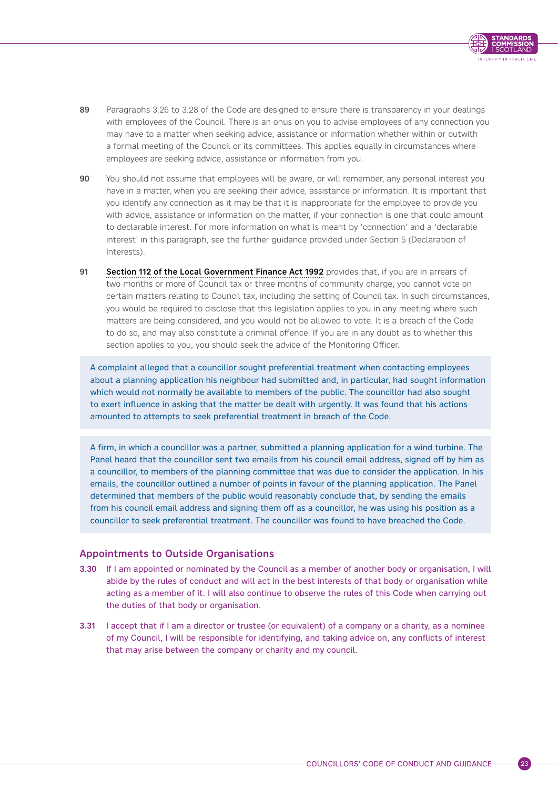

- <span id="page-26-0"></span>89 Paragraphs 3.26 to 3.28 of the Code are designed to ensure there is transparency in your dealings with employees of the Council. There is an onus on you to advise employees of any connection you may have to a matter when seeking advice, assistance or information whether within or outwith a formal meeting of the Council or its committees. This applies equally in circumstances where employees are seeking advice, assistance or information from you.
- 90 You should not assume that employees will be aware, or will remember, any personal interest you have in a matter, when you are seeking their advice, assistance or information. It is important that you identify any connection as it may be that it is inappropriate for the employee to provide you with advice, assistance or information on the matter, if your connection is one that could amount to declarable interest. For more information on what is meant by 'connection' and a 'declarable interest' in this paragraph, see the further guidance provided under Section 5 (Declaration of Interests).
- 91 [Section 112 of the Local Government Finance Act 1992](https://www.legislation.gov.uk/ukpga/1992/14/section/112) provides that, if you are in arrears of two months or more of Council tax or three months of community charge, you cannot vote on certain matters relating to Council tax, including the setting of Council tax. In such circumstances, you would be required to disclose that this legislation applies to you in any meeting where such matters are being considered, and you would not be allowed to vote. It is a breach of the Code to do so, and may also constitute a criminal offence. If you are in any doubt as to whether this section applies to you, you should seek the advice of the Monitoring Officer.

A complaint alleged that a councillor sought preferential treatment when contacting employees about a planning application his neighbour had submitted and, in particular, had sought information which would not normally be available to members of the public. The councillor had also sought to exert influence in asking that the matter be dealt with urgently. It was found that his actions amounted to attempts to seek preferential treatment in breach of the Code.

A firm, in which a councillor was a partner, submitted a planning application for a wind turbine. The Panel heard that the councillor sent two emails from his council email address, signed off by him as a councillor, to members of the planning committee that was due to consider the application. In his emails, the councillor outlined a number of points in favour of the planning application. The Panel determined that members of the public would reasonably conclude that, by sending the emails from his council email address and signing them off as a councillor, he was using his position as a councillor to seek preferential treatment. The councillor was found to have breached the Code.

### Appointments to Outside Organisations

- 3.30 If I am appointed or nominated by the Council as a member of another body or organisation, I will abide by the rules of conduct and will act in the best interests of that body or organisation while acting as a member of it. I will also continue to observe the rules of this Code when carrying out the duties of that body or organisation.
- 3.31 I accept that if I am a director or trustee (or equivalent) of a company or a charity, as a nominee of my Council, I will be responsible for identifying, and taking advice on, any conflicts of interest that may arise between the company or charity and my council.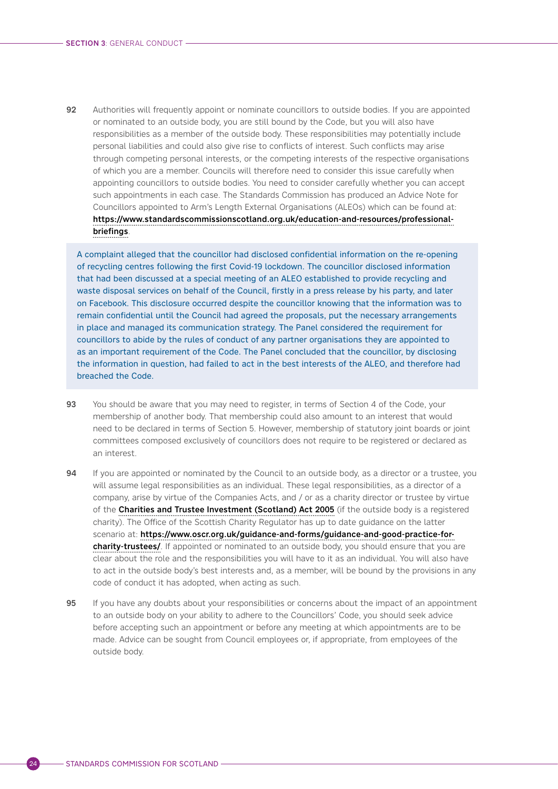92 Authorities will frequently appoint or nominate councillors to outside bodies. If you are appointed or nominated to an outside body, you are still bound by the Code, but you will also have responsibilities as a member of the outside body. These responsibilities may potentially include personal liabilities and could also give rise to conflicts of interest. Such conflicts may arise through competing personal interests, or the competing interests of the respective organisations of which you are a member. Councils will therefore need to consider this issue carefully when appointing councillors to outside bodies. You need to consider carefully whether you can accept such appointments in each case. The Standards Commission has produced an Advice Note for Councillors appointed to Arm's Length External Organisations (ALEOs) which can be found at: [https://www.standardscommissionscotland.org.uk/education-and-resources/professional](https://www.standardscommissionscotland.org.uk/education-and-resources/professional-briefings)[briefings](https://www.standardscommissionscotland.org.uk/education-and-resources/professional-briefings).

A complaint alleged that the councillor had disclosed confidential information on the re-opening of recycling centres following the first Covid-19 lockdown. The councillor disclosed information that had been discussed at a special meeting of an ALEO established to provide recycling and waste disposal services on behalf of the Council, firstly in a press release by his party, and later on Facebook. This disclosure occurred despite the councillor knowing that the information was to remain confidential until the Council had agreed the proposals, put the necessary arrangements in place and managed its communication strategy. The Panel considered the requirement for councillors to abide by the rules of conduct of any partner organisations they are appointed to as an important requirement of the Code. The Panel concluded that the councillor, by disclosing the information in question, had failed to act in the best interests of the ALEO, and therefore had breached the Code.

- 93 You should be aware that you may need to register, in terms of Section 4 of the Code, your membership of another body. That membership could also amount to an interest that would need to be declared in terms of Section 5. However, membership of statutory joint boards or joint committees composed exclusively of councillors does not require to be registered or declared as an interest.
- 94 If you are appointed or nominated by the Council to an outside body, as a director or a trustee, you will assume legal responsibilities as an individual. These legal responsibilities, as a director of a company, arise by virtue of the Companies Acts, and / or as a charity director or trustee by virtue of the [Charities and Trustee Investment \(Scotland\) Act 2005](https://www.legislation.gov.uk/asp/2005/10/contents) (if the outside body is a registered charity). The Office of the Scottish Charity Regulator has up to date guidance on the latter scenario at: [https://www.oscr.org.uk/guidance-and-forms/guidance-and-good-practice-for](https://www.oscr.org.uk/guidance-and-forms/guidance-and-good-practice-for-charity-trustees/)[charity-trustees/](https://www.oscr.org.uk/guidance-and-forms/guidance-and-good-practice-for-charity-trustees/). If appointed or nominated to an outside body, you should ensure that you are clear about the role and the responsibilities you will have to it as an individual. You will also have to act in the outside body's best interests and, as a member, will be bound by the provisions in any code of conduct it has adopted, when acting as such.
- 95 If you have any doubts about your responsibilities or concerns about the impact of an appointment to an outside body on your ability to adhere to the Councillors' Code, you should seek advice before accepting such an appointment or before any meeting at which appointments are to be made. Advice can be sought from Council employees or, if appropriate, from employees of the outside body.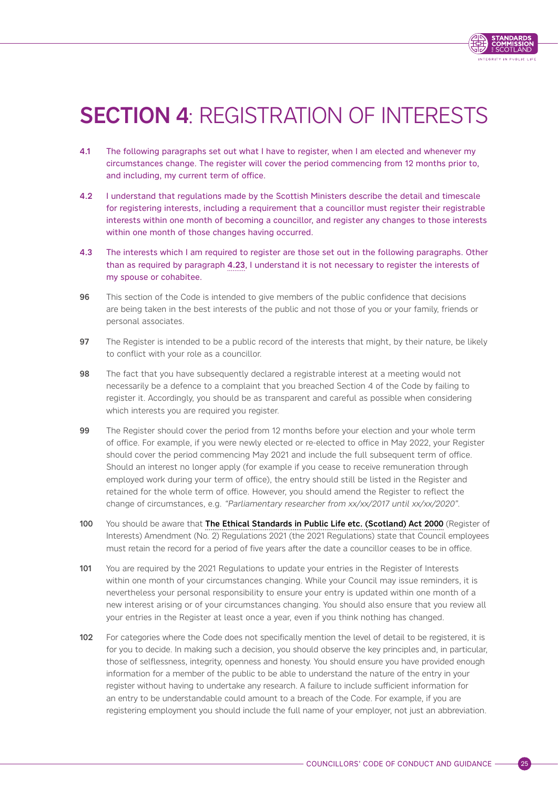

# <span id="page-28-0"></span>**SECTION 4: REGISTRATION OF INTERESTS**

- 4.1 The following paragraphs set out what I have to register, when I am elected and whenever my circumstances change. The register will cover the period commencing from 12 months prior to, and including, my current term of office.
- 4.2 I understand that regulations made by the Scottish Ministers describe the detail and timescale for registering interests, including a requirement that a councillor must register their registrable interests within one month of becoming a councillor, and register any changes to those interests within one month of those changes having occurred.
- 4.3 The interests which I am required to register are those set out in the following paragraphs. Other than as required by paragraph [4.23](#page-33-0), I understand it is not necessary to register the interests of my spouse or cohabitee.
- 96 This section of the Code is intended to give members of the public confidence that decisions are being taken in the best interests of the public and not those of you or your family, friends or personal associates.
- 97 The Register is intended to be a public record of the interests that might, by their nature, be likely to conflict with your role as a councillor.
- 98 The fact that you have subsequently declared a registrable interest at a meeting would not necessarily be a defence to a complaint that you breached Section 4 of the Code by failing to register it. Accordingly, you should be as transparent and careful as possible when considering which interests you are required you register.
- 99 The Register should cover the period from 12 months before your election and your whole term of office. For example, if you were newly elected or re-elected to office in May 2022, your Register should cover the period commencing May 2021 and include the full subsequent term of office. Should an interest no longer apply (for example if you cease to receive remuneration through employed work during your term of office), the entry should still be listed in the Register and retained for the whole term of office. However, you should amend the Register to reflect the change of circumstances, e.g. "Parliamentary researcher from xx/xx/2017 until xx/xx/2020".
- 100 You should be aware that [The Ethical Standards in Public Life etc. \(Scotland\) Act 2000](https://www.standardscommissionscotland.org.uk/corporate-info/ethical-standards-legislation) (Register of Interests) Amendment (No. 2) Regulations 2021 (the 2021 Regulations) state that Council employees must retain the record for a period of five years after the date a councillor ceases to be in office.
- 101 You are required by the 2021 Requlations to update your entries in the Register of Interests within one month of your circumstances changing. While your Council may issue reminders, it is nevertheless your personal responsibility to ensure your entry is updated within one month of a new interest arising or of your circumstances changing. You should also ensure that you review all your entries in the Register at least once a year, even if you think nothing has changed.
- 102 For categories where the Code does not specifically mention the level of detail to be registered, it is for you to decide. In making such a decision, you should observe the key principles and, in particular, those of selflessness, integrity, openness and honesty. You should ensure you have provided enough information for a member of the public to be able to understand the nature of the entry in your register without having to undertake any research. A failure to include sufficient information for an entry to be understandable could amount to a breach of the Code. For example, if you are registering employment you should include the full name of your employer, not just an abbreviation.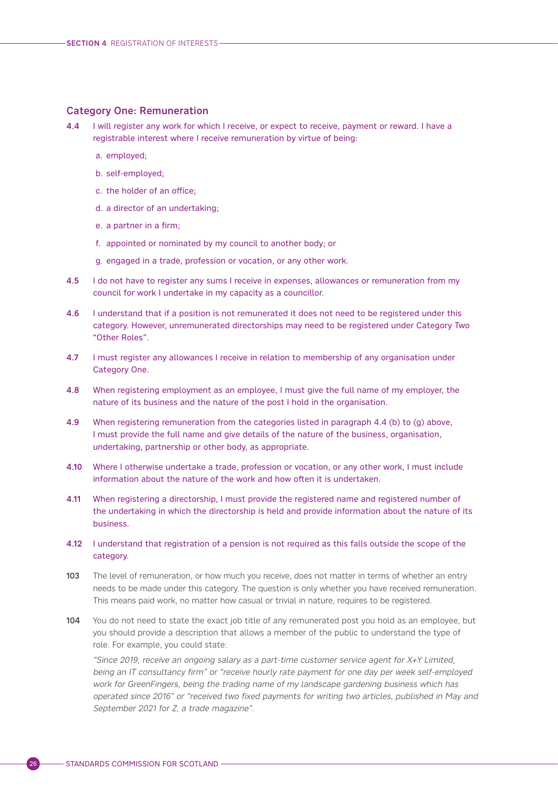#### <span id="page-29-0"></span>Category One: Remuneration

- 4.4 I will register any work for which I receive, or expect to receive, payment or reward. I have a registrable interest where I receive remuneration by virtue of being:
	- a. employed;
	- b. self-employed;
	- c. the holder of an office;
	- d. a director of an undertaking;
	- e. a partner in a firm;
	- f. appointed or nominated by my council to another body; or
	- g. engaged in a trade, profession or vocation, or any other work.
- 4.5 I do not have to register any sums I receive in expenses, allowances or remuneration from my council for work I undertake in my capacity as a councillor.
- 4.6 I understand that if a position is not remunerated it does not need to be registered under this category. However, unremunerated directorships may need to be registered under Category Two "Other Roles".
- 4.7 I must register any allowances I receive in relation to membership of any organisation under Category One.
- 4.8 When registering employment as an employee, I must give the full name of my employer, the nature of its business and the nature of the post I hold in the organisation.
- 4.9 When registering remuneration from the categories listed in paragraph 4.4 (b) to (g) above, I must provide the full name and give details of the nature of the business, organisation, undertaking, partnership or other body, as appropriate.
- 4.10 Where I otherwise undertake a trade, profession or vocation, or any other work, I must include information about the nature of the work and how often it is undertaken.
- 4.11 When registering a directorship, I must provide the registered name and registered number of the undertaking in which the directorship is held and provide information about the nature of its business.
- 4.12 I understand that registration of a pension is not required as this falls outside the scope of the category.
- 103 The level of remuneration, or how much you receive, does not matter in terms of whether an entry needs to be made under this category. The question is only whether you have received remuneration. This means paid work, no matter how casual or trivial in nature, requires to be registered.
- 104 You do not need to state the exact job title of any remunerated post you hold as an employee, but you should provide a description that allows a member of the public to understand the type of role. For example, you could state:

"Since 2019, receive an ongoing salary as a part-time customer service agent for X+Y Limited, being an IT consultancy firm" or "receive hourly rate payment for one day per week self-employed work for GreenFingers, being the trading name of my landscape gardening business which has operated since 2016" or "received two fixed payments for writing two articles, published in May and September 2021 for Z, a trade magazine".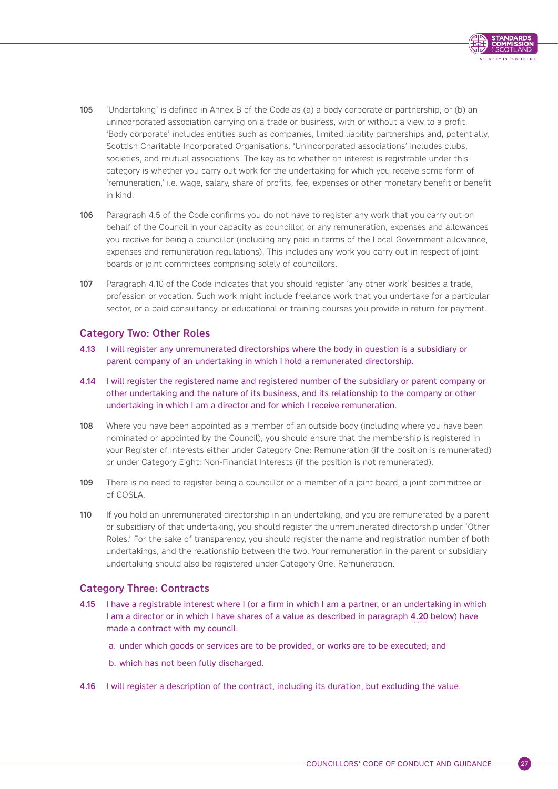

- <span id="page-30-0"></span>105 'Undertaking' is defined in Annex B of the Code as (a) a body corporate or partnership; or (b) an unincorporated association carrying on a trade or business, with or without a view to a profit. 'Body corporate' includes entities such as companies, limited liability partnerships and, potentially, Scottish Charitable Incorporated Organisations. 'Unincorporated associations' includes clubs, societies, and mutual associations. The key as to whether an interest is registrable under this category is whether you carry out work for the undertaking for which you receive some form of 'remuneration,' i.e. wage, salary, share of profits, fee, expenses or other monetary benefit or benefit in kind.
- 106 Paragraph 4.5 of the Code confirms you do not have to register any work that you carry out on behalf of the Council in your capacity as councillor, or any remuneration, expenses and allowances you receive for being a councillor (including any paid in terms of the Local Government allowance, expenses and remuneration regulations). This includes any work you carry out in respect of joint boards or joint committees comprising solely of councillors.
- 107 Paragraph 4.10 of the Code indicates that you should register 'any other work' besides a trade, profession or vocation. Such work might include freelance work that you undertake for a particular sector, or a paid consultancy, or educational or training courses you provide in return for payment.

# Category Two: Other Roles

- 4.13 I will register any unremunerated directorships where the body in question is a subsidiary or parent company of an undertaking in which I hold a remunerated directorship.
- 4.14 I will register the registered name and registered number of the subsidiary or parent company or other undertaking and the nature of its business, and its relationship to the company or other undertaking in which I am a director and for which I receive remuneration.
- 108 Where you have been appointed as a member of an outside body (including where you have been nominated or appointed by the Council), you should ensure that the membership is registered in your Register of Interests either under Category One: Remuneration (if the position is remunerated) or under Category Eight: Non-Financial Interests (if the position is not remunerated).
- 109 There is no need to register being a councillor or a member of a joint board, a joint committee or of COSLA.
- 110 If you hold an unremunerated directorship in an undertaking, and you are remunerated by a parent or subsidiary of that undertaking, you should register the unremunerated directorship under 'Other Roles.' For the sake of transparency, you should register the name and registration number of both undertakings, and the relationship between the two. Your remuneration in the parent or subsidiary undertaking should also be registered under Category One: Remuneration.

# Category Three: Contracts

- 4.15 I have a registrable interest where I (or a firm in which I am a partner, or an undertaking in which I am a director or in which I have shares of a value as described in paragraph [4.20](#page-32-0) below) have made a contract with my council:
	- a. under which goods or services are to be provided, or works are to be executed; and
	- b. which has not been fully discharged.
- 4.16 I will register a description of the contract, including its duration, but excluding the value.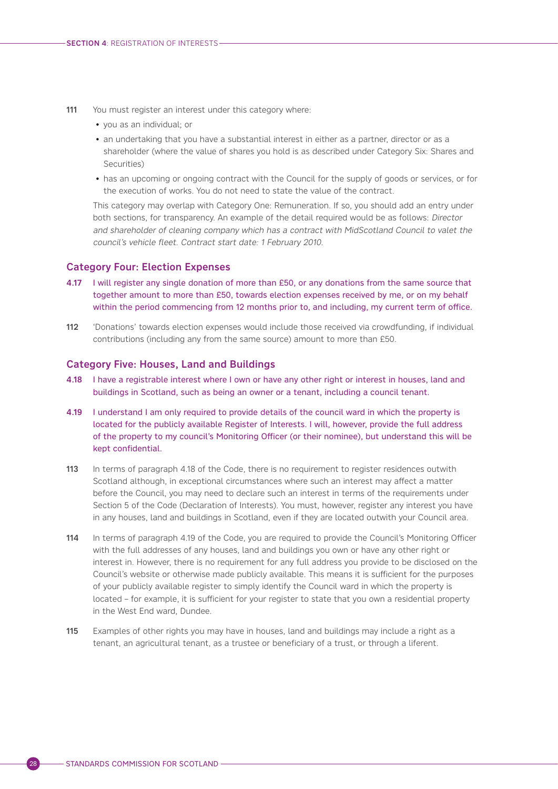- <span id="page-31-0"></span>111 You must register an interest under this category where:
	- you as an individual; or
	- an undertaking that you have a substantial interest in either as a partner, director or as a shareholder (where the value of shares you hold is as described under Category Six: Shares and Securities)
	- has an upcoming or ongoing contract with the Council for the supply of goods or services, or for the execution of works. You do not need to state the value of the contract.

This category may overlap with Category One: Remuneration. If so, you should add an entry under both sections, for transparency. An example of the detail required would be as follows: Director and shareholder of cleaning company which has a contract with MidScotland Council to valet the council's vehicle fleet. Contract start date: 1 February 2010.

#### Category Four: Election Expenses

- 4.17 I will register any single donation of more than £50, or any donations from the same source that together amount to more than £50, towards election expenses received by me, or on my behalf within the period commencing from 12 months prior to, and including, my current term of office.
- 112 'Donations' towards election expenses would include those received via crowdfunding, if individual contributions (including any from the same source) amount to more than £50.

#### Category Five: Houses, Land and Buildings

- 4.18 I have a registrable interest where I own or have any other right or interest in houses, land and buildings in Scotland, such as being an owner or a tenant, including a council tenant.
- 4.19 I understand I am only required to provide details of the council ward in which the property is located for the publicly available Register of Interests. I will, however, provide the full address of the property to my council's Monitoring Officer (or their nominee), but understand this will be kept confidential.
- 113 In terms of paragraph 4.18 of the Code, there is no requirement to register residences outwith Scotland although, in exceptional circumstances where such an interest may affect a matter before the Council, you may need to declare such an interest in terms of the requirements under Section 5 of the Code (Declaration of Interests). You must, however, register any interest you have in any houses, land and buildings in Scotland, even if they are located outwith your Council area.
- 114 In terms of paragraph 4.19 of the Code, you are required to provide the Council's Monitoring Officer with the full addresses of any houses, land and buildings you own or have any other right or interest in. However, there is no requirement for any full address you provide to be disclosed on the Council's website or otherwise made publicly available. This means it is sufficient for the purposes of your publicly available register to simply identify the Council ward in which the property is located – for example, it is sufficient for your register to state that you own a residential property in the West End ward, Dundee.
- 115 Examples of other rights you may have in houses, land and buildings may include a right as a tenant, an agricultural tenant, as a trustee or beneficiary of a trust, or through a liferent.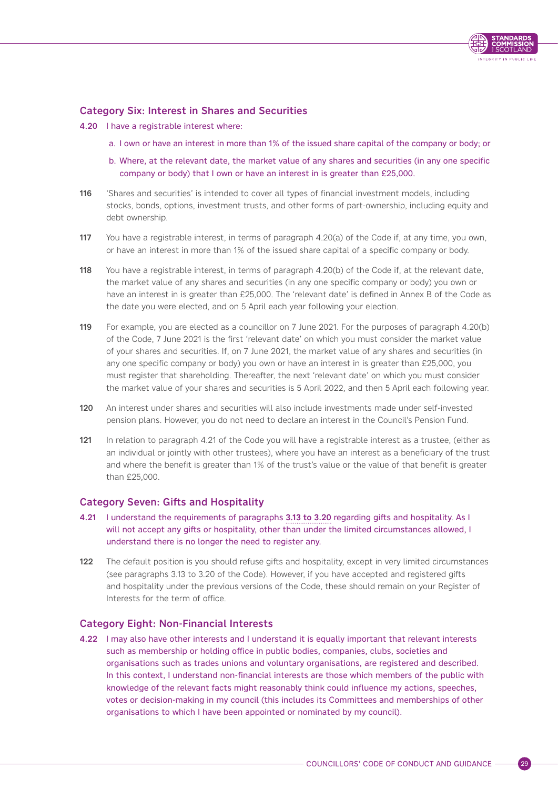

# <span id="page-32-0"></span>Category Six: Interest in Shares and Securities

- 4.20 I have a registrable interest where:
	- a. I own or have an interest in more than 1% of the issued share capital of the company or body; or
	- b. Where, at the relevant date, the market value of any shares and securities (in any one specific company or body) that I own or have an interest in is greater than £25,000.
- 116 'Shares and securities' is intended to cover all types of financial investment models, including stocks, bonds, options, investment trusts, and other forms of part-ownership, including equity and debt ownership.
- 117 You have a registrable interest, in terms of paragraph 4.20(a) of the Code if, at any time, you own, or have an interest in more than 1% of the issued share capital of a specific company or body.
- 118 You have a registrable interest, in terms of paragraph 4.20(b) of the Code if, at the relevant date, the market value of any shares and securities (in any one specific company or body) you own or have an interest in is greater than £25,000. The 'relevant date' is defined in Annex B of the Code as the date you were elected, and on 5 April each year following your election.
- 119 For example, you are elected as a councillor on 7 June 2021. For the purposes of paragraph 4.20(b) of the Code, 7 June 2021 is the first 'relevant date' on which you must consider the market value of your shares and securities. If, on 7 June 2021, the market value of any shares and securities (in any one specific company or body) you own or have an interest in is greater than £25,000, you must register that shareholding. Thereafter, the next 'relevant date' on which you must consider the market value of your shares and securities is 5 April 2022, and then 5 April each following year.
- 120 An interest under shares and securities will also include investments made under self-invested pension plans. However, you do not need to declare an interest in the Council's Pension Fund.
- 121 In relation to paragraph 4.21 of the Code you will have a registrable interest as a trustee, (either as an individual or jointly with other trustees), where you have an interest as a beneficiary of the trust and where the benefit is greater than 1% of the trust's value or the value of that benefit is greater than £25,000.

# Category Seven: Gifts and Hospitality

- 4.21 I understand the requirements of paragraphs [3.13 to 3.20](#page-18-0) regarding gifts and hospitality. As I will not accept any gifts or hospitality, other than under the limited circumstances allowed, I understand there is no longer the need to register any.
- 122 The default position is you should refuse gifts and hospitality, except in very limited circumstances (see paragraphs 3.13 to 3.20 of the Code). However, if you have accepted and registered gifts and hospitality under the previous versions of the Code, these should remain on your Register of Interests for the term of office.

# Category Eight: Non-Financial Interests

4.22 I may also have other interests and I understand it is equally important that relevant interests such as membership or holding office in public bodies, companies, clubs, societies and organisations such as trades unions and voluntary organisations, are registered and described. In this context, I understand non-financial interests are those which members of the public with knowledge of the relevant facts might reasonably think could influence my actions, speeches, votes or decision-making in my council (this includes its Committees and memberships of other organisations to which I have been appointed or nominated by my council).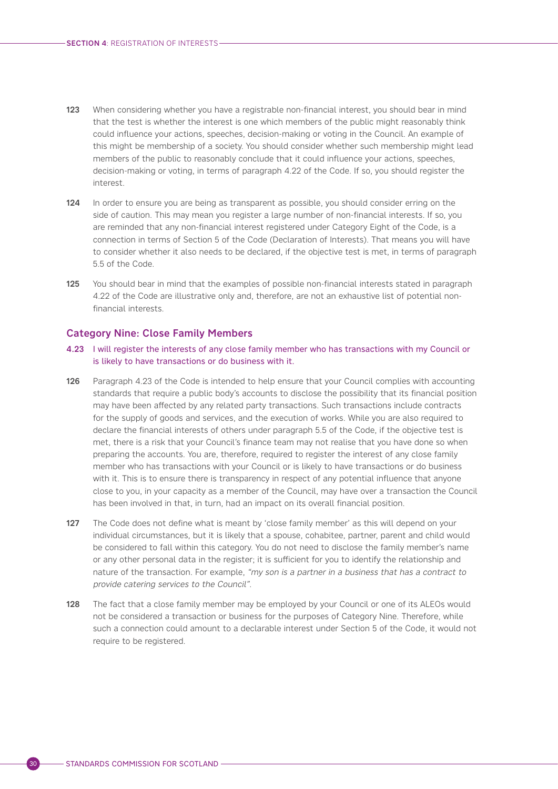- <span id="page-33-0"></span>123 When considering whether you have a registrable non-financial interest, you should bear in mind that the test is whether the interest is one which members of the public might reasonably think could influence your actions, speeches, decision-making or voting in the Council. An example of this might be membership of a society. You should consider whether such membership might lead members of the public to reasonably conclude that it could influence your actions, speeches, decision-making or voting, in terms of paragraph 4.22 of the Code. If so, you should register the interest.
- 124 In order to ensure you are being as transparent as possible, you should consider erring on the side of caution. This may mean you register a large number of non-financial interests. If so, you are reminded that any non-financial interest registered under Category Eight of the Code, is a connection in terms of Section 5 of the Code (Declaration of Interests). That means you will have to consider whether it also needs to be declared, if the objective test is met, in terms of paragraph 5.5 of the Code.
- 125 You should bear in mind that the examples of possible non-financial interests stated in paragraph 4.22 of the Code are illustrative only and, therefore, are not an exhaustive list of potential nonfinancial interests.

### Category Nine: Close Family Members

- 4.23 I will register the interests of any close family member who has transactions with my Council or is likely to have transactions or do business with it.
- 126 Paragraph 4.23 of the Code is intended to help ensure that your Council complies with accounting standards that require a public body's accounts to disclose the possibility that its financial position may have been affected by any related party transactions. Such transactions include contracts for the supply of goods and services, and the execution of works. While you are also required to declare the financial interests of others under paragraph 5.5 of the Code, if the objective test is met, there is a risk that your Council's finance team may not realise that you have done so when preparing the accounts. You are, therefore, required to register the interest of any close family member who has transactions with your Council or is likely to have transactions or do business with it. This is to ensure there is transparency in respect of any potential influence that anyone close to you, in your capacity as a member of the Council, may have over a transaction the Council has been involved in that, in turn, had an impact on its overall financial position.
- 127 The Code does not define what is meant by 'close family member' as this will depend on your individual circumstances, but it is likely that a spouse, cohabitee, partner, parent and child would be considered to fall within this category. You do not need to disclose the family member's name or any other personal data in the register; it is sufficient for you to identify the relationship and nature of the transaction. For example, "my son is a partner in a business that has a contract to provide catering services to the Council".
- 128 The fact that a close family member may be employed by your Council or one of its ALEOs would not be considered a transaction or business for the purposes of Category Nine. Therefore, while such a connection could amount to a declarable interest under Section 5 of the Code, it would not require to be registered.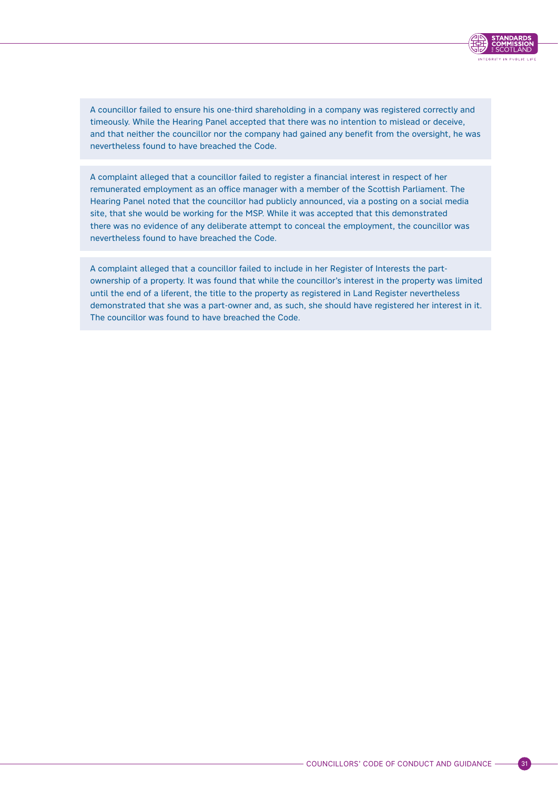

A councillor failed to ensure his one-third shareholding in a company was registered correctly and timeously. While the Hearing Panel accepted that there was no intention to mislead or deceive, and that neither the councillor nor the company had gained any benefit from the oversight, he was nevertheless found to have breached the Code.

A complaint alleged that a councillor failed to register a financial interest in respect of her remunerated employment as an office manager with a member of the Scottish Parliament. The Hearing Panel noted that the councillor had publicly announced, via a posting on a social media site, that she would be working for the MSP. While it was accepted that this demonstrated there was no evidence of any deliberate attempt to conceal the employment, the councillor was nevertheless found to have breached the Code.

A complaint alleged that a councillor failed to include in her Register of Interests the partownership of a property. It was found that while the councillor's interest in the property was limited until the end of a liferent, the title to the property as registered in Land Register nevertheless demonstrated that she was a part-owner and, as such, she should have registered her interest in it. The councillor was found to have breached the Code.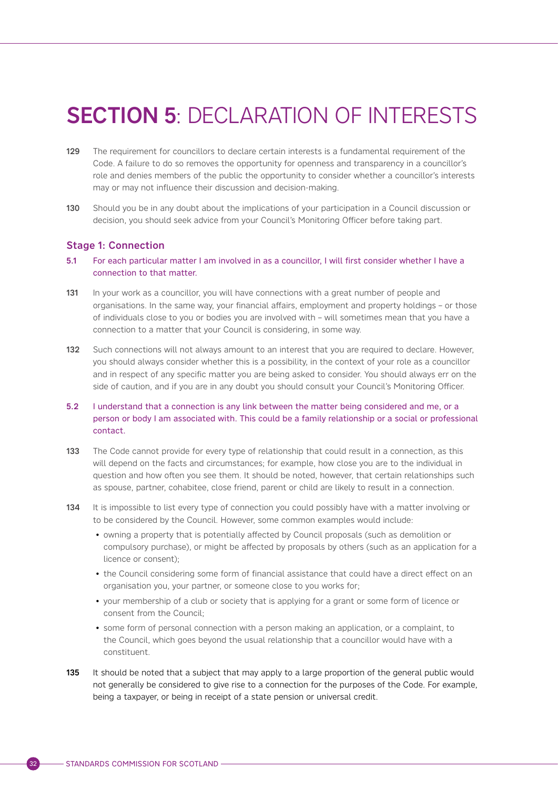# <span id="page-35-0"></span>**SECTION 5: DECLARATION OF INTERESTS**

- 129 The requirement for councillors to declare certain interests is a fundamental requirement of the Code. A failure to do so removes the opportunity for openness and transparency in a councillor's role and denies members of the public the opportunity to consider whether a councillor's interests may or may not influence their discussion and decision-making.
- 130 Should you be in any doubt about the implications of your participation in a Council discussion or decision, you should seek advice from your Council's Monitoring Officer before taking part.

## Stage 1: Connection

- 5.1 For each particular matter I am involved in as a councillor, I will first consider whether I have a connection to that matter.
- 131 In your work as a councillor, you will have connections with a great number of people and organisations. In the same way, your financial affairs, employment and property holdings – or those of individuals close to you or bodies you are involved with – will sometimes mean that you have a connection to a matter that your Council is considering, in some way.
- 132 Such connections will not always amount to an interest that you are required to declare. However, you should always consider whether this is a possibility, in the context of your role as a councillor and in respect of any specific matter you are being asked to consider. You should always err on the side of caution, and if you are in any doubt you should consult your Council's Monitoring Officer.
- 5.2 I understand that a connection is any link between the matter being considered and me, or a person or body I am associated with. This could be a family relationship or a social or professional contact.
- 133 The Code cannot provide for every type of relationship that could result in a connection, as this will depend on the facts and circumstances; for example, how close you are to the individual in question and how often you see them. It should be noted, however, that certain relationships such as spouse, partner, cohabitee, close friend, parent or child are likely to result in a connection.
- 134 It is impossible to list every type of connection you could possibly have with a matter involving or to be considered by the Council. However, some common examples would include:
	- owning a property that is potentially affected by Council proposals (such as demolition or compulsory purchase), or might be affected by proposals by others (such as an application for a licence or consent);
	- the Council considering some form of financial assistance that could have a direct effect on an organisation you, your partner, or someone close to you works for;
	- your membership of a club or society that is applying for a grant or some form of licence or consent from the Council;
	- some form of personal connection with a person making an application, or a complaint, to the Council, which goes beyond the usual relationship that a councillor would have with a constituent.
- 135 It should be noted that a subject that may apply to a large proportion of the general public would not generally be considered to give rise to a connection for the purposes of the Code. For example, being a taxpayer, or being in receipt of a state pension or universal credit.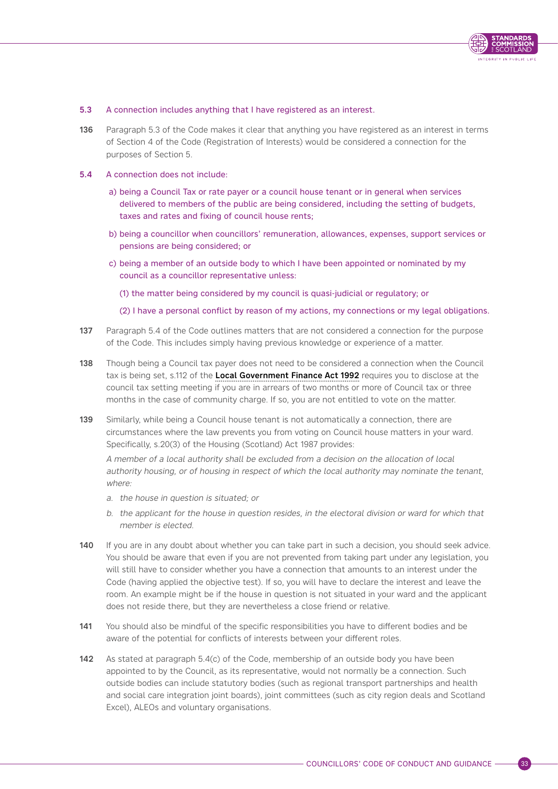

#### 5.3 A connection includes anything that I have registered as an interest.

136 Paragraph 5.3 of the Code makes it clear that anything you have registered as an interest in terms of Section 4 of the Code (Registration of Interests) would be considered a connection for the purposes of Section 5.

#### 5.4 A connection does not include:

- a) being a Council Tax or rate payer or a council house tenant or in general when services delivered to members of the public are being considered, including the setting of budgets, taxes and rates and fixing of council house rents;
- b) being a councillor when councillors' remuneration, allowances, expenses, support services or pensions are being considered; or
- c) being a member of an outside body to which I have been appointed or nominated by my council as a councillor representative unless:
	- (1) the matter being considered by my council is quasi-judicial or regulatory; or
	- (2) I have a personal conflict by reason of my actions, my connections or my legal obligations.
- 137 Paragraph 5.4 of the Code outlines matters that are not considered a connection for the purpose of the Code. This includes simply having previous knowledge or experience of a matter.
- 138 Though being a Council tax payer does not need to be considered a connection when the Council tax is being set, s.112 of the [Local Government Finance Act 1992](https://www.legislation.gov.uk/ukpga/1992/14/contents) requires you to disclose at the council tax setting meeting if you are in arrears of two months or more of Council tax or three months in the case of community charge. If so, you are not entitled to vote on the matter.
- 139 Similarly, while being a Council house tenant is not automatically a connection, there are circumstances where the law prevents you from voting on Council house matters in your ward. Specifically, s.20(3) of the Housing (Scotland) Act 1987 provides:

A member of a local authority shall be excluded from a decision on the allocation of local authority housing, or of housing in respect of which the local authority may nominate the tenant, where:

- a. the house in question is situated; or
- b. the applicant for the house in question resides, in the electoral division or ward for which that member is elected.
- 140 If you are in any doubt about whether you can take part in such a decision, you should seek advice. You should be aware that even if you are not prevented from taking part under any legislation, you will still have to consider whether you have a connection that amounts to an interest under the Code (having applied the objective test). If so, you will have to declare the interest and leave the room. An example might be if the house in question is not situated in your ward and the applicant does not reside there, but they are nevertheless a close friend or relative.
- 141 You should also be mindful of the specific responsibilities you have to different bodies and be aware of the potential for conflicts of interests between your different roles.
- 142 As stated at paragraph 5.4(c) of the Code, membership of an outside body you have been appointed to by the Council, as its representative, would not normally be a connection. Such outside bodies can include statutory bodies (such as regional transport partnerships and health and social care integration joint boards), joint committees (such as city region deals and Scotland Excel), ALEOs and voluntary organisations.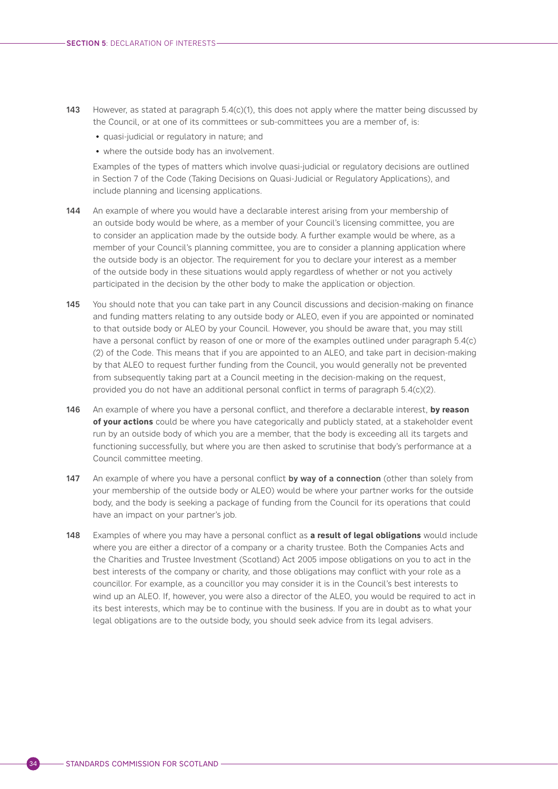- 143 However, as stated at paragraph 5.4(c)(1), this does not apply where the matter being discussed by the Council, or at one of its committees or sub-committees you are a member of, is:
	- quasi-judicial or regulatory in nature; and
	- where the outside body has an involvement.

Examples of the types of matters which involve quasi-judicial or regulatory decisions are outlined in Section 7 of the Code (Taking Decisions on Quasi-Judicial or Regulatory Applications), and include planning and licensing applications.

- 144 An example of where you would have a declarable interest arising from your membership of an outside body would be where, as a member of your Council's licensing committee, you are to consider an application made by the outside body. A further example would be where, as a member of your Council's planning committee, you are to consider a planning application where the outside body is an objector. The requirement for you to declare your interest as a member of the outside body in these situations would apply regardless of whether or not you actively participated in the decision by the other body to make the application or objection.
- 145 You should note that you can take part in any Council discussions and decision-making on finance and funding matters relating to any outside body or ALEO, even if you are appointed or nominated to that outside body or ALEO by your Council. However, you should be aware that, you may still have a personal conflict by reason of one or more of the examples outlined under paragraph 5.4(c) (2) of the Code. This means that if you are appointed to an ALEO, and take part in decision-making by that ALEO to request further funding from the Council, you would generally not be prevented from subsequently taking part at a Council meeting in the decision-making on the request, provided you do not have an additional personal conflict in terms of paragraph 5.4(c)(2).
- 146 An example of where you have a personal conflict, and therefore a declarable interest, **by reason of your actions** could be where you have categorically and publicly stated, at a stakeholder event run by an outside body of which you are a member, that the body is exceeding all its targets and functioning successfully, but where you are then asked to scrutinise that body's performance at a Council committee meeting.
- 147 An example of where you have a personal conflict by way of a connection (other than solely from your membership of the outside body or ALEO) would be where your partner works for the outside body, and the body is seeking a package of funding from the Council for its operations that could have an impact on your partner's job.
- 148 Examples of where you may have a personal conflict as **a result of legal obligations** would include where you are either a director of a company or a charity trustee. Both the Companies Acts and the Charities and Trustee Investment (Scotland) Act 2005 impose obligations on you to act in the best interests of the company or charity, and those obligations may conflict with your role as a councillor. For example, as a councillor you may consider it is in the Council's best interests to wind up an ALEO. If, however, you were also a director of the ALEO, you would be required to act in its best interests, which may be to continue with the business. If you are in doubt as to what your legal obligations are to the outside body, you should seek advice from its legal advisers.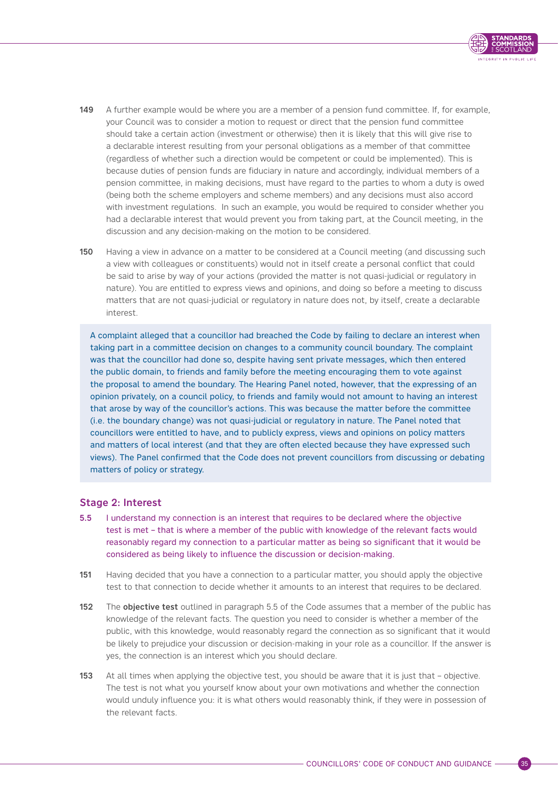

- <span id="page-38-0"></span>149 A further example would be where you are a member of a pension fund committee. If, for example, your Council was to consider a motion to request or direct that the pension fund committee should take a certain action (investment or otherwise) then it is likely that this will give rise to a declarable interest resulting from your personal obligations as a member of that committee (regardless of whether such a direction would be competent or could be implemented). This is because duties of pension funds are fiduciary in nature and accordingly, individual members of a pension committee, in making decisions, must have regard to the parties to whom a duty is owed (being both the scheme employers and scheme members) and any decisions must also accord with investment regulations. In such an example, you would be required to consider whether you had a declarable interest that would prevent you from taking part, at the Council meeting, in the discussion and any decision-making on the motion to be considered.
- 150 Having a view in advance on a matter to be considered at a Council meeting (and discussing such a view with colleagues or constituents) would not in itself create a personal conflict that could be said to arise by way of your actions (provided the matter is not quasi-judicial or regulatory in nature). You are entitled to express views and opinions, and doing so before a meeting to discuss matters that are not quasi-judicial or regulatory in nature does not, by itself, create a declarable interest.

A complaint alleged that a councillor had breached the Code by failing to declare an interest when taking part in a committee decision on changes to a community council boundary. The complaint was that the councillor had done so, despite having sent private messages, which then entered the public domain, to friends and family before the meeting encouraging them to vote against the proposal to amend the boundary. The Hearing Panel noted, however, that the expressing of an opinion privately, on a council policy, to friends and family would not amount to having an interest that arose by way of the councillor's actions. This was because the matter before the committee (i.e. the boundary change) was not quasi-judicial or regulatory in nature. The Panel noted that councillors were entitled to have, and to publicly express, views and opinions on policy matters and matters of local interest (and that they are often elected because they have expressed such views). The Panel confirmed that the Code does not prevent councillors from discussing or debating matters of policy or strategy.

# Stage 2: Interest

- 5.5 I understand my connection is an interest that requires to be declared where the objective test is met – that is where a member of the public with knowledge of the relevant facts would reasonably regard my connection to a particular matter as being so significant that it would be considered as being likely to influence the discussion or decision-making.
- 151 Having decided that you have a connection to a particular matter, you should apply the objective test to that connection to decide whether it amounts to an interest that requires to be declared.
- 152 The objective test outlined in paragraph 5.5 of the Code assumes that a member of the public has knowledge of the relevant facts. The question you need to consider is whether a member of the public, with this knowledge, would reasonably regard the connection as so significant that it would be likely to prejudice your discussion or decision-making in your role as a councillor. If the answer is yes, the connection is an interest which you should declare.
- 153 At all times when applying the objective test, you should be aware that it is just that objective. The test is not what you yourself know about your own motivations and whether the connection would unduly influence you: it is what others would reasonably think, if they were in possession of the relevant facts.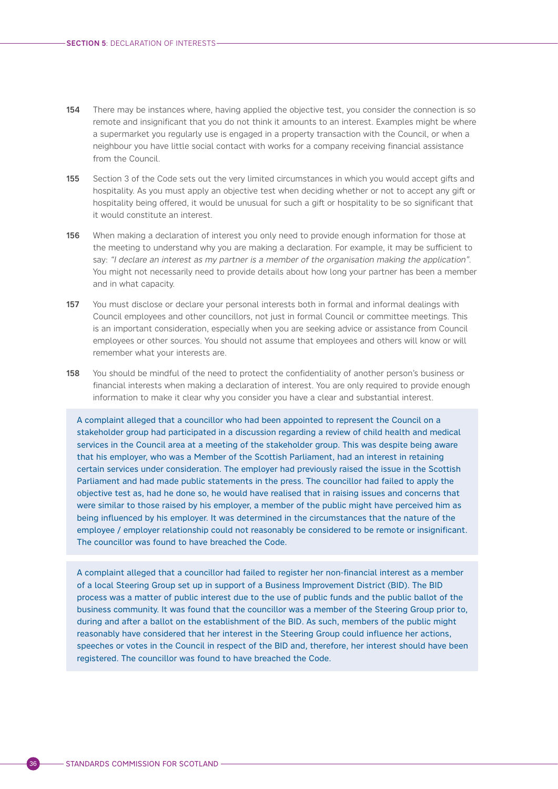- 154 There may be instances where, having applied the objective test, you consider the connection is so remote and insignificant that you do not think it amounts to an interest. Examples might be where a supermarket you regularly use is engaged in a property transaction with the Council, or when a neighbour you have little social contact with works for a company receiving financial assistance from the Council.
- 155 Section 3 of the Code sets out the very limited circumstances in which you would accept gifts and hospitality. As you must apply an objective test when deciding whether or not to accept any gift or hospitality being offered, it would be unusual for such a gift or hospitality to be so significant that it would constitute an interest.
- 156 When making a declaration of interest you only need to provide enough information for those at the meeting to understand why you are making a declaration. For example, it may be sufficient to say: "I declare an interest as my partner is a member of the organisation making the application". You might not necessarily need to provide details about how long your partner has been a member and in what capacity.
- 157 You must disclose or declare your personal interests both in formal and informal dealings with Council employees and other councillors, not just in formal Council or committee meetings. This is an important consideration, especially when you are seeking advice or assistance from Council employees or other sources. You should not assume that employees and others will know or will remember what your interests are.
- 158 You should be mindful of the need to protect the confidentiality of another person's business or financial interests when making a declaration of interest. You are only required to provide enough information to make it clear why you consider you have a clear and substantial interest.

A complaint alleged that a councillor who had been appointed to represent the Council on a stakeholder group had participated in a discussion regarding a review of child health and medical services in the Council area at a meeting of the stakeholder group. This was despite being aware that his employer, who was a Member of the Scottish Parliament, had an interest in retaining certain services under consideration. The employer had previously raised the issue in the Scottish Parliament and had made public statements in the press. The councillor had failed to apply the objective test as, had he done so, he would have realised that in raising issues and concerns that were similar to those raised by his employer, a member of the public might have perceived him as being influenced by his employer. It was determined in the circumstances that the nature of the employee / employer relationship could not reasonably be considered to be remote or insignificant. The councillor was found to have breached the Code.

A complaint alleged that a councillor had failed to register her non-financial interest as a member of a local Steering Group set up in support of a Business Improvement District (BID). The BID process was a matter of public interest due to the use of public funds and the public ballot of the business community. It was found that the councillor was a member of the Steering Group prior to, during and after a ballot on the establishment of the BID. As such, members of the public might reasonably have considered that her interest in the Steering Group could influence her actions, speeches or votes in the Council in respect of the BID and, therefore, her interest should have been registered. The councillor was found to have breached the Code.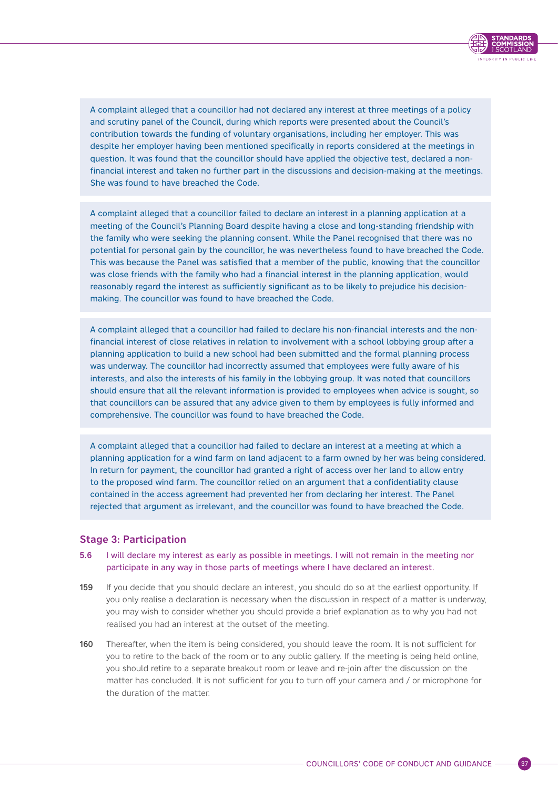

<span id="page-40-0"></span>A complaint alleged that a councillor had not declared any interest at three meetings of a policy and scrutiny panel of the Council, during which reports were presented about the Council's contribution towards the funding of voluntary organisations, including her employer. This was despite her employer having been mentioned specifically in reports considered at the meetings in question. It was found that the councillor should have applied the objective test, declared a nonfinancial interest and taken no further part in the discussions and decision-making at the meetings. She was found to have breached the Code.

A complaint alleged that a councillor failed to declare an interest in a planning application at a meeting of the Council's Planning Board despite having a close and long-standing friendship with the family who were seeking the planning consent. While the Panel recognised that there was no potential for personal gain by the councillor, he was nevertheless found to have breached the Code. This was because the Panel was satisfied that a member of the public, knowing that the councillor was close friends with the family who had a financial interest in the planning application, would reasonably regard the interest as sufficiently significant as to be likely to prejudice his decisionmaking. The councillor was found to have breached the Code.

A complaint alleged that a councillor had failed to declare his non-financial interests and the nonfinancial interest of close relatives in relation to involvement with a school lobbying group after a planning application to build a new school had been submitted and the formal planning process was underway. The councillor had incorrectly assumed that employees were fully aware of his interests, and also the interests of his family in the lobbying group. It was noted that councillors should ensure that all the relevant information is provided to employees when advice is sought, so that councillors can be assured that any advice given to them by employees is fully informed and comprehensive. The councillor was found to have breached the Code.

A complaint alleged that a councillor had failed to declare an interest at a meeting at which a planning application for a wind farm on land adjacent to a farm owned by her was being considered. In return for payment, the councillor had granted a right of access over her land to allow entry to the proposed wind farm. The councillor relied on an argument that a confidentiality clause contained in the access agreement had prevented her from declaring her interest. The Panel rejected that argument as irrelevant, and the councillor was found to have breached the Code.

### Stage 3: Participation

- 5.6 I will declare my interest as early as possible in meetings. I will not remain in the meeting nor participate in any way in those parts of meetings where I have declared an interest.
- 159 If you decide that you should declare an interest, you should do so at the earliest opportunity. If you only realise a declaration is necessary when the discussion in respect of a matter is underway, you may wish to consider whether you should provide a brief explanation as to why you had not realised you had an interest at the outset of the meeting.
- 160 Thereafter, when the item is being considered, you should leave the room. It is not sufficient for you to retire to the back of the room or to any public gallery. If the meeting is being held online, you should retire to a separate breakout room or leave and re-join after the discussion on the matter has concluded. It is not sufficient for you to turn off your camera and / or microphone for the duration of the matter.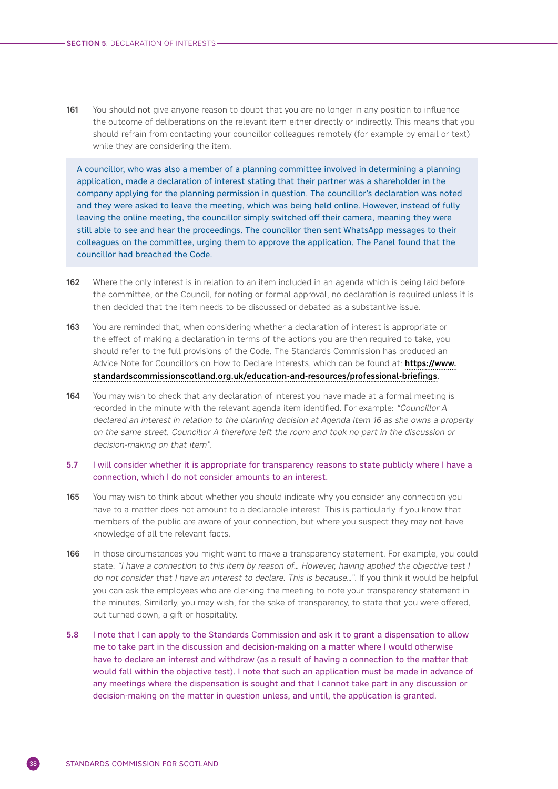161 You should not give anyone reason to doubt that you are no longer in any position to influence the outcome of deliberations on the relevant item either directly or indirectly. This means that you should refrain from contacting your councillor colleagues remotely (for example by email or text) while they are considering the item.

A councillor, who was also a member of a planning committee involved in determining a planning application, made a declaration of interest stating that their partner was a shareholder in the company applying for the planning permission in question. The councillor's declaration was noted and they were asked to leave the meeting, which was being held online. However, instead of fully leaving the online meeting, the councillor simply switched off their camera, meaning they were still able to see and hear the proceedings. The councillor then sent WhatsApp messages to their colleagues on the committee, urging them to approve the application. The Panel found that the councillor had breached the Code.

- 162 Where the only interest is in relation to an item included in an agenda which is being laid before the committee, or the Council, for noting or formal approval, no declaration is required unless it is then decided that the item needs to be discussed or debated as a substantive issue.
- 163 You are reminded that, when considering whether a declaration of interest is appropriate or the effect of making a declaration in terms of the actions you are then required to take, you should refer to the full provisions of the Code. The Standards Commission has produced an Advice Note for Councillors on How to Declare Interests, which can be found at: [https://www.](https://www.standardscommissionscotland.org.uk/education-and-resources/professional-briefings) [standardscommissionscotland.org.uk/education-and-resources/professional-briefings](https://www.standardscommissionscotland.org.uk/education-and-resources/professional-briefings).
- 164 You may wish to check that any declaration of interest you have made at a formal meeting is recorded in the minute with the relevant agenda item identified. For example: "Councillor A declared an interest in relation to the planning decision at Agenda Item 16 as she owns a property on the same street. Councillor A therefore left the room and took no part in the discussion or decision-making on that item".

#### 5.7 I will consider whether it is appropriate for transparency reasons to state publicly where I have a connection, which I do not consider amounts to an interest.

- 165 You may wish to think about whether you should indicate why you consider any connection you have to a matter does not amount to a declarable interest. This is particularly if you know that members of the public are aware of your connection, but where you suspect they may not have knowledge of all the relevant facts.
- 166 In those circumstances you might want to make a transparency statement. For example, you could state: "I have a connection to this item by reason of... However, having applied the objective test I do not consider that I have an interest to declare. This is because…". If you think it would be helpful you can ask the employees who are clerking the meeting to note your transparency statement in the minutes. Similarly, you may wish, for the sake of transparency, to state that you were offered, but turned down, a gift or hospitality.
- 5.8 I note that I can apply to the Standards Commission and ask it to grant a dispensation to allow me to take part in the discussion and decision-making on a matter where I would otherwise have to declare an interest and withdraw (as a result of having a connection to the matter that would fall within the objective test). I note that such an application must be made in advance of any meetings where the dispensation is sought and that I cannot take part in any discussion or decision-making on the matter in question unless, and until, the application is granted.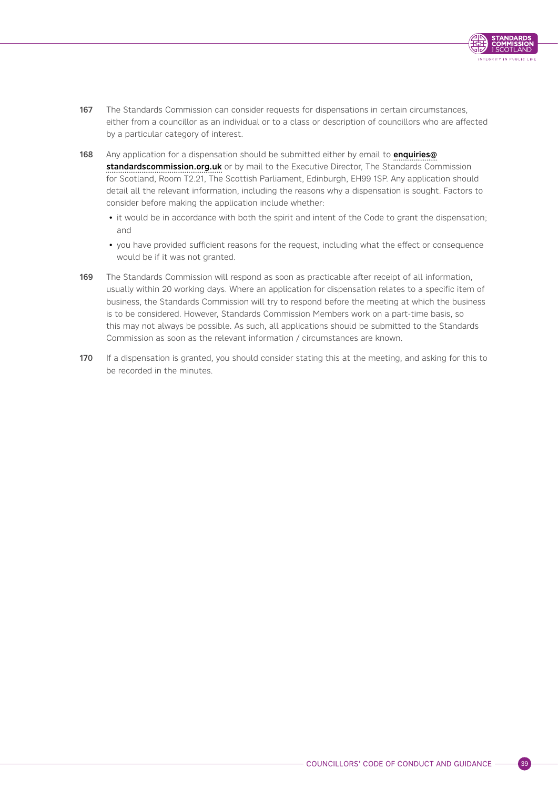

- 167 The Standards Commission can consider requests for dispensations in certain circumstances. either from a councillor as an individual or to a class or description of councillors who are affected by a particular category of interest.
- 168 Any application for a dispensation should be submitted either by email to [enquiries@](mailto:enquiries@standardscommission.org.uk) [standardscommission.org.uk](mailto:enquiries@standardscommission.org.uk) or by mail to the Executive Director, The Standards Commission for Scotland, Room T2.21, The Scottish Parliament, Edinburgh, EH99 1SP. Any application should detail all the relevant information, including the reasons why a dispensation is sought. Factors to consider before making the application include whether:
	- it would be in accordance with both the spirit and intent of the Code to grant the dispensation; and
	- you have provided sufficient reasons for the request, including what the effect or consequence would be if it was not granted.
- 169 The Standards Commission will respond as soon as practicable after receipt of all information, usually within 20 working days. Where an application for dispensation relates to a specific item of business, the Standards Commission will try to respond before the meeting at which the business is to be considered. However, Standards Commission Members work on a part-time basis, so this may not always be possible. As such, all applications should be submitted to the Standards Commission as soon as the relevant information / circumstances are known.
- 170 If a dispensation is granted, you should consider stating this at the meeting, and asking for this to be recorded in the minutes.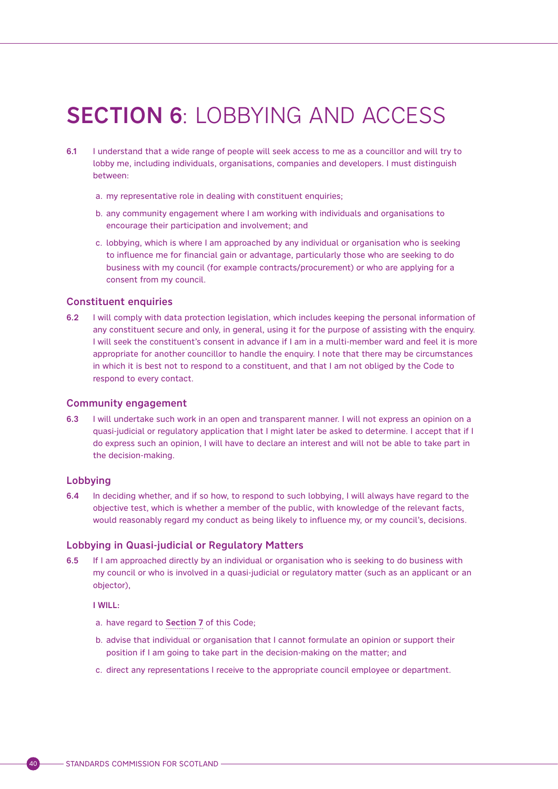# <span id="page-43-0"></span>SECTION 6: LOBBYING AND ACCESS

- 6.1 I understand that a wide range of people will seek access to me as a councillor and will try to lobby me, including individuals, organisations, companies and developers. I must distinguish between:
	- a. my representative role in dealing with constituent enquiries;
	- b. any community engagement where I am working with individuals and organisations to encourage their participation and involvement; and
	- c. lobbying, which is where I am approached by any individual or organisation who is seeking to influence me for financial gain or advantage, particularly those who are seeking to do business with my council (for example contracts/procurement) or who are applying for a consent from my council.

#### Constituent enquiries

6.2 I will comply with data protection legislation, which includes keeping the personal information of any constituent secure and only, in general, using it for the purpose of assisting with the enquiry. I will seek the constituent's consent in advance if I am in a multi-member ward and feel it is more appropriate for another councillor to handle the enquiry. I note that there may be circumstances in which it is best not to respond to a constituent, and that I am not obliged by the Code to respond to every contact.

#### Community engagement

6.3 I will undertake such work in an open and transparent manner. I will not express an opinion on a quasi-judicial or regulatory application that I might later be asked to determine. I accept that if I do express such an opinion, I will have to declare an interest and will not be able to take part in the decision-making.

#### Lobbying

6.4 In deciding whether, and if so how, to respond to such lobbying, I will always have regard to the objective test, which is whether a member of the public, with knowledge of the relevant facts, would reasonably regard my conduct as being likely to influence my, or my council's, decisions.

#### Lobbying in Quasi-judicial or Regulatory Matters

6.5 If I am approached directly by an individual or organisation who is seeking to do business with my council or who is involved in a quasi-judicial or regulatory matter (such as an applicant or an objector),

#### I WILL:

- a. have regard to [Section 7](#page-48-0) of this Code;
- b. advise that individual or organisation that I cannot formulate an opinion or support their position if I am going to take part in the decision-making on the matter; and
- c. direct any representations I receive to the appropriate council employee or department.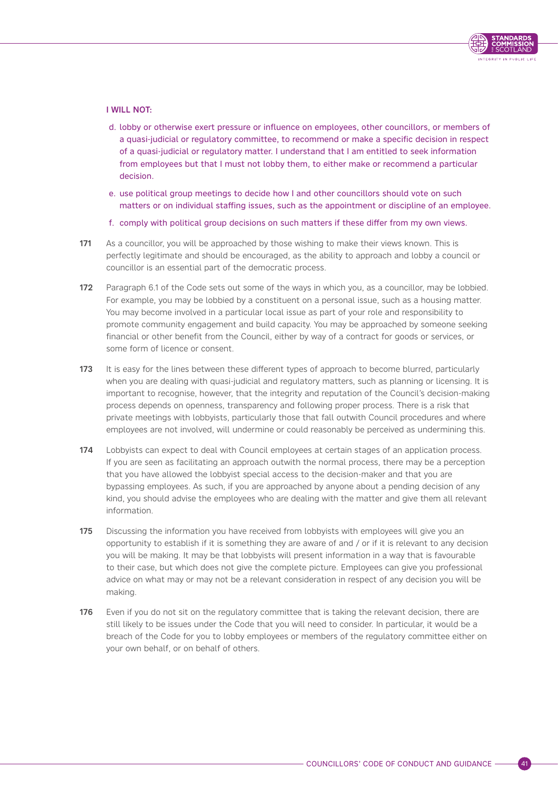

#### I WILL NOT:

- d. lobby or otherwise exert pressure or influence on employees, other councillors, or members of a quasi-judicial or regulatory committee, to recommend or make a specific decision in respect of a quasi-judicial or regulatory matter. I understand that I am entitled to seek information from employees but that I must not lobby them, to either make or recommend a particular decision.
- e. use political group meetings to decide how I and other councillors should vote on such matters or on individual staffing issues, such as the appointment or discipline of an employee.
- f. comply with political group decisions on such matters if these differ from my own views.
- 171 As a councillor, you will be approached by those wishing to make their views known. This is perfectly legitimate and should be encouraged, as the ability to approach and lobby a council or councillor is an essential part of the democratic process.
- 172 Paragraph 6.1 of the Code sets out some of the ways in which you, as a councillor, may be lobbied. For example, you may be lobbied by a constituent on a personal issue, such as a housing matter. You may become involved in a particular local issue as part of your role and responsibility to promote community engagement and build capacity. You may be approached by someone seeking financial or other benefit from the Council, either by way of a contract for goods or services, or some form of licence or consent.
- 173 It is easy for the lines between these different types of approach to become blurred, particularly when you are dealing with quasi-judicial and regulatory matters, such as planning or licensing. It is important to recognise, however, that the integrity and reputation of the Council's decision-making process depends on openness, transparency and following proper process. There is a risk that private meetings with lobbyists, particularly those that fall outwith Council procedures and where employees are not involved, will undermine or could reasonably be perceived as undermining this.
- 174 Lobbyists can expect to deal with Council employees at certain stages of an application process. If you are seen as facilitating an approach outwith the normal process, there may be a perception that you have allowed the lobbyist special access to the decision-maker and that you are bypassing employees. As such, if you are approached by anyone about a pending decision of any kind, you should advise the employees who are dealing with the matter and give them all relevant information.
- 175 Discussing the information you have received from lobbyists with employees will give you an opportunity to establish if it is something they are aware of and / or if it is relevant to any decision you will be making. It may be that lobbyists will present information in a way that is favourable to their case, but which does not give the complete picture. Employees can give you professional advice on what may or may not be a relevant consideration in respect of any decision you will be making.
- 176 Even if you do not sit on the regulatory committee that is taking the relevant decision, there are still likely to be issues under the Code that you will need to consider. In particular, it would be a breach of the Code for you to lobby employees or members of the regulatory committee either on your own behalf, or on behalf of others.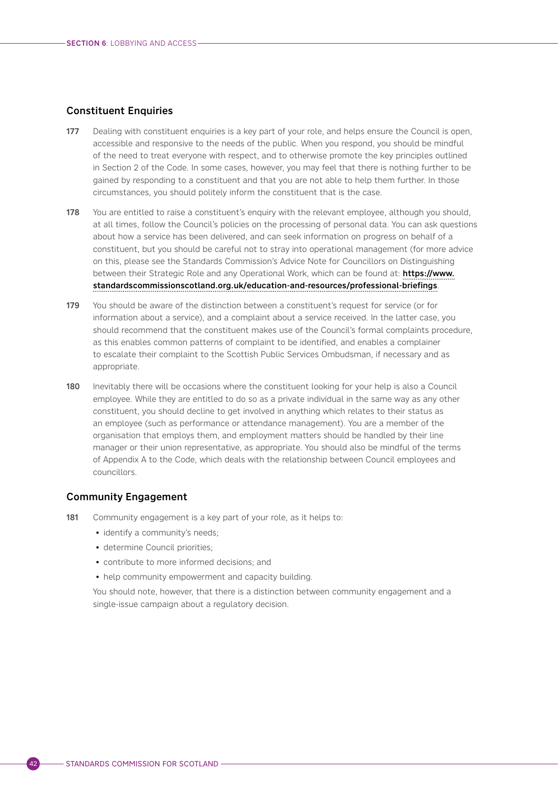## Constituent Enquiries

- 177 Dealing with constituent enquiries is a key part of your role, and helps ensure the Council is open, accessible and responsive to the needs of the public. When you respond, you should be mindful of the need to treat everyone with respect, and to otherwise promote the key principles outlined in Section 2 of the Code. In some cases, however, you may feel that there is nothing further to be gained by responding to a constituent and that you are not able to help them further. In those circumstances, you should politely inform the constituent that is the case.
- 178 You are entitled to raise a constituent's enquiry with the relevant employee, although you should, at all times, follow the Council's policies on the processing of personal data. You can ask questions about how a service has been delivered, and can seek information on progress on behalf of a constituent, but you should be careful not to stray into operational management (for more advice on this, please see the Standards Commission's Advice Note for Councillors on Distinguishing between their Strategic Role and any Operational Work, which can be found at: [https://www.](https://www.standardscommissionscotland.org.uk/education-and-resources/professional-briefings) [standardscommissionscotland.org.uk/education-and-resources/professional-briefings](https://www.standardscommissionscotland.org.uk/education-and-resources/professional-briefings).
- 179 You should be aware of the distinction between a constituent's request for service (or for information about a service), and a complaint about a service received. In the latter case, you should recommend that the constituent makes use of the Council's formal complaints procedure, as this enables common patterns of complaint to be identified, and enables a complainer to escalate their complaint to the Scottish Public Services Ombudsman, if necessary and as appropriate.
- 180 Inevitably there will be occasions where the constituent looking for your help is also a Council employee. While they are entitled to do so as a private individual in the same way as any other constituent, you should decline to get involved in anything which relates to their status as an employee (such as performance or attendance management). You are a member of the organisation that employs them, and employment matters should be handled by their line manager or their union representative, as appropriate. You should also be mindful of the terms of Appendix A to the Code, which deals with the relationship between Council employees and councillors.

### Community Engagement

- 181 Community engagement is a key part of your role, as it helps to:
	- identify a community's needs;
	- determine Council priorities;
	- contribute to more informed decisions; and
	- help community empowerment and capacity building.

You should note, however, that there is a distinction between community engagement and a single-issue campaign about a regulatory decision.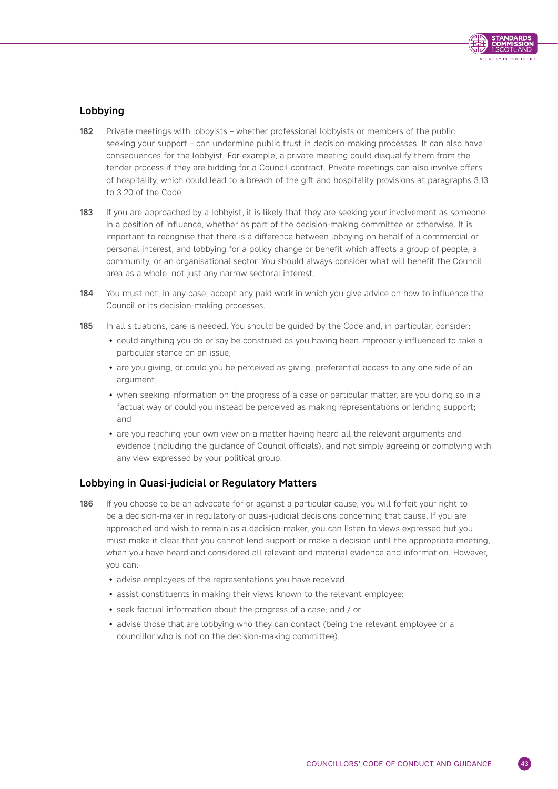

# Lobbying

- 182 Private meetings with lobbyists whether professional lobbyists or members of the public seeking your support – can undermine public trust in decision-making processes. It can also have consequences for the lobbyist. For example, a private meeting could disqualify them from the tender process if they are bidding for a Council contract. Private meetings can also involve offers of hospitality, which could lead to a breach of the gift and hospitality provisions at paragraphs 3.13 to 3.20 of the Code.
- 183 If you are approached by a lobbyist, it is likely that they are seeking your involvement as someone in a position of influence, whether as part of the decision-making committee or otherwise. It is important to recognise that there is a difference between lobbying on behalf of a commercial or personal interest, and lobbying for a policy change or benefit which affects a group of people, a community, or an organisational sector. You should always consider what will benefit the Council area as a whole, not just any narrow sectoral interest.
- 184 You must not, in any case, accept any paid work in which you give advice on how to influence the Council or its decision-making processes.
- 185 In all situations, care is needed. You should be quided by the Code and, in particular, consider:
	- could anything you do or say be construed as you having been improperly influenced to take a particular stance on an issue;
	- are you giving, or could you be perceived as giving, preferential access to any one side of an argument;
	- when seeking information on the progress of a case or particular matter, are you doing so in a factual way or could you instead be perceived as making representations or lending support; and
	- are you reaching your own view on a matter having heard all the relevant arguments and evidence (including the guidance of Council officials), and not simply agreeing or complying with any view expressed by your political group.

# Lobbying in Quasi-judicial or Regulatory Matters

- 186 If you choose to be an advocate for or against a particular cause, you will forfeit your right to be a decision-maker in regulatory or quasi-judicial decisions concerning that cause. If you are approached and wish to remain as a decision-maker, you can listen to views expressed but you must make it clear that you cannot lend support or make a decision until the appropriate meeting, when you have heard and considered all relevant and material evidence and information. However, you can:
	- advise employees of the representations you have received;
	- assist constituents in making their views known to the relevant employee;
	- seek factual information about the progress of a case; and / or
	- advise those that are lobbying who they can contact (being the relevant employee or a councillor who is not on the decision-making committee).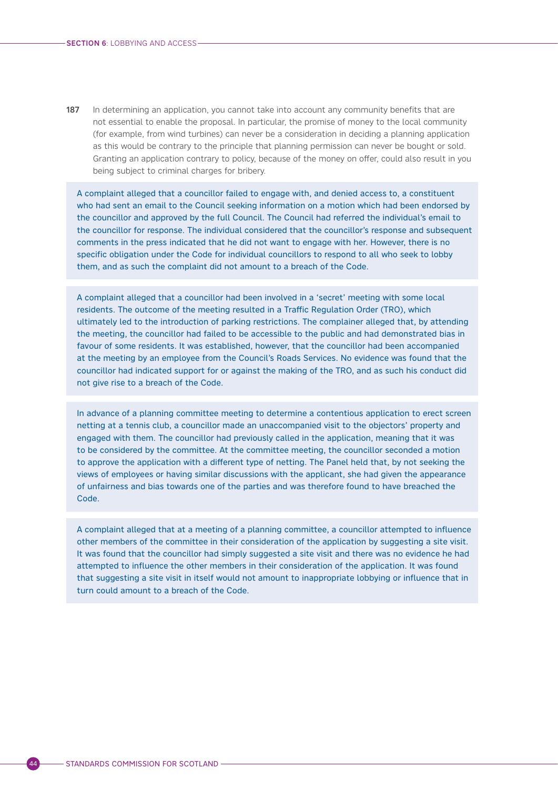187 In determining an application, you cannot take into account any community benefits that are not essential to enable the proposal. In particular, the promise of money to the local community (for example, from wind turbines) can never be a consideration in deciding a planning application as this would be contrary to the principle that planning permission can never be bought or sold. Granting an application contrary to policy, because of the money on offer, could also result in you being subject to criminal charges for bribery.

A complaint alleged that a councillor failed to engage with, and denied access to, a constituent who had sent an email to the Council seeking information on a motion which had been endorsed by the councillor and approved by the full Council. The Council had referred the individual's email to the councillor for response. The individual considered that the councillor's response and subsequent comments in the press indicated that he did not want to engage with her. However, there is no specific obligation under the Code for individual councillors to respond to all who seek to lobby them, and as such the complaint did not amount to a breach of the Code.

A complaint alleged that a councillor had been involved in a 'secret' meeting with some local residents. The outcome of the meeting resulted in a Traffic Regulation Order (TRO), which ultimately led to the introduction of parking restrictions. The complainer alleged that, by attending the meeting, the councillor had failed to be accessible to the public and had demonstrated bias in favour of some residents. It was established, however, that the councillor had been accompanied at the meeting by an employee from the Council's Roads Services. No evidence was found that the councillor had indicated support for or against the making of the TRO, and as such his conduct did not give rise to a breach of the Code.

In advance of a planning committee meeting to determine a contentious application to erect screen netting at a tennis club, a councillor made an unaccompanied visit to the objectors' property and engaged with them. The councillor had previously called in the application, meaning that it was to be considered by the committee. At the committee meeting, the councillor seconded a motion to approve the application with a different type of netting. The Panel held that, by not seeking the views of employees or having similar discussions with the applicant, she had given the appearance of unfairness and bias towards one of the parties and was therefore found to have breached the Code.

A complaint alleged that at a meeting of a planning committee, a councillor attempted to influence other members of the committee in their consideration of the application by suggesting a site visit. It was found that the councillor had simply suggested a site visit and there was no evidence he had attempted to influence the other members in their consideration of the application. It was found that suggesting a site visit in itself would not amount to inappropriate lobbying or influence that in turn could amount to a breach of the Code.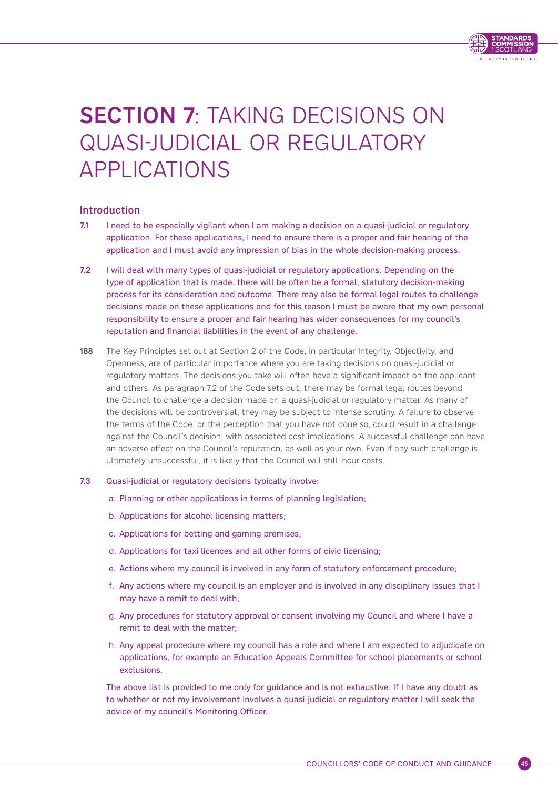

# <span id="page-48-0"></span>SECTION 7: TAKING DECISIONS ON QUASI-JUDICIAL OR REGULATORY APPLICATIONS

# Introduction

- 7.1 I need to be especially vigilant when I am making a decision on a quasi-judicial or regulatory application. For these applications, I need to ensure there is a proper and fair hearing of the application and I must avoid any impression of bias in the whole decision-making process.
- 7.2 I will deal with many types of quasi-judicial or regulatory applications. Depending on the type of application that is made, there will be often be a formal, statutory decision-making process for its consideration and outcome. There may also be formal legal routes to challenge decisions made on these applications and for this reason I must be aware that my own personal responsibility to ensure a proper and fair hearing has wider consequences for my council's reputation and financial liabilities in the event of any challenge.
- 188 The Key Principles set out at Section 2 of the Code, in particular Integrity, Objectivity, and Openness, are of particular importance where you are taking decisions on quasi-judicial or regulatory matters. The decisions you take will often have a significant impact on the applicant and others. As paragraph 7.2 of the Code sets out, there may be formal legal routes beyond the Council to challenge a decision made on a quasi-judicial or regulatory matter. As many of the decisions will be controversial, they may be subject to intense scrutiny. A failure to observe the terms of the Code, or the perception that you have not done so, could result in a challenge against the Council's decision, with associated cost implications. A successful challenge can have an adverse effect on the Council's reputation, as well as your own. Even if any such challenge is ultimately unsuccessful, it is likely that the Council will still incur costs.

#### 7.3 Quasi-judicial or regulatory decisions typically involve:

- a. Planning or other applications in terms of planning legislation;
- b. Applications for alcohol licensing matters;
- c. Applications for betting and gaming premises;
- d. Applications for taxi licences and all other forms of civic licensing;
- e. Actions where my council is involved in any form of statutory enforcement procedure;
- f. Any actions where my council is an employer and is involved in any disciplinary issues that I may have a remit to deal with;
- g. Any procedures for statutory approval or consent involving my Council and where I have a remit to deal with the matter;
- h. Any appeal procedure where my council has a role and where I am expected to adjudicate on applications, for example an Education Appeals Committee for school placements or school exclusions.

The above list is provided to me only for guidance and is not exhaustive. If I have any doubt as to whether or not my involvement involves a quasi-judicial or regulatory matter I will seek the advice of my council's Monitoring Officer.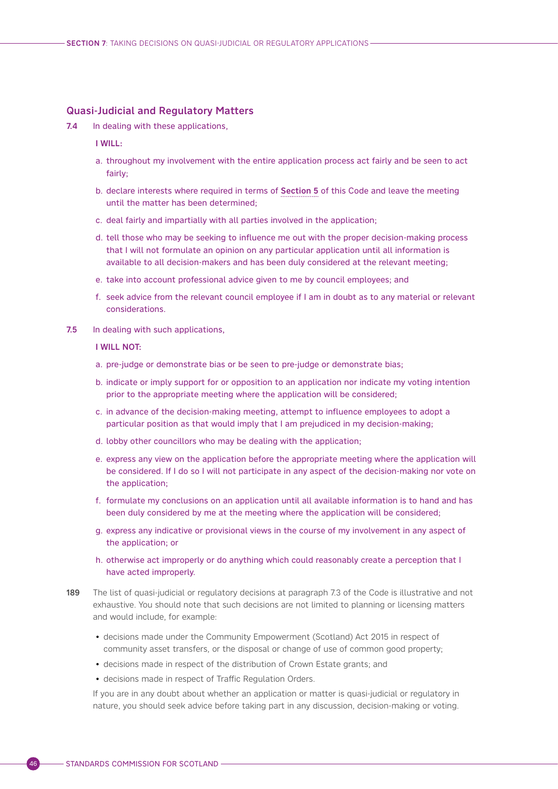#### <span id="page-49-0"></span>Quasi-Judicial and Regulatory Matters

7.4 In dealing with these applications,

I WILL:

- a. throughout my involvement with the entire application process act fairly and be seen to act fairly;
- b. declare interests where required in terms of [Section 5](#page-35-0) of this Code and leave the meeting until the matter has been determined;
- c. deal fairly and impartially with all parties involved in the application;
- d. tell those who may be seeking to influence me out with the proper decision-making process that I will not formulate an opinion on any particular application until all information is available to all decision-makers and has been duly considered at the relevant meeting;
- e. take into account professional advice given to me by council employees; and
- f. seek advice from the relevant council employee if I am in doubt as to any material or relevant considerations.
- 7.5 In dealing with such applications,

I WILL NOT:

- a. pre-judge or demonstrate bias or be seen to pre-judge or demonstrate bias;
- b. indicate or imply support for or opposition to an application nor indicate my voting intention prior to the appropriate meeting where the application will be considered;
- c. in advance of the decision-making meeting, attempt to influence employees to adopt a particular position as that would imply that I am prejudiced in my decision-making;
- d. lobby other councillors who may be dealing with the application;
- e. express any view on the application before the appropriate meeting where the application will be considered. If I do so I will not participate in any aspect of the decision-making nor vote on the application;
- f. formulate my conclusions on an application until all available information is to hand and has been duly considered by me at the meeting where the application will be considered;
- g. express any indicative or provisional views in the course of my involvement in any aspect of the application; or
- h. otherwise act improperly or do anything which could reasonably create a perception that I have acted improperly.
- 189 The list of quasi-judicial or regulatory decisions at paragraph 7.3 of the Code is illustrative and not exhaustive. You should note that such decisions are not limited to planning or licensing matters and would include, for example:
	- decisions made under the Community Empowerment (Scotland) Act 2015 in respect of community asset transfers, or the disposal or change of use of common good property;
	- decisions made in respect of the distribution of Crown Estate grants; and
	- decisions made in respect of Traffic Regulation Orders.

If you are in any doubt about whether an application or matter is quasi-judicial or regulatory in nature, you should seek advice before taking part in any discussion, decision-making or voting.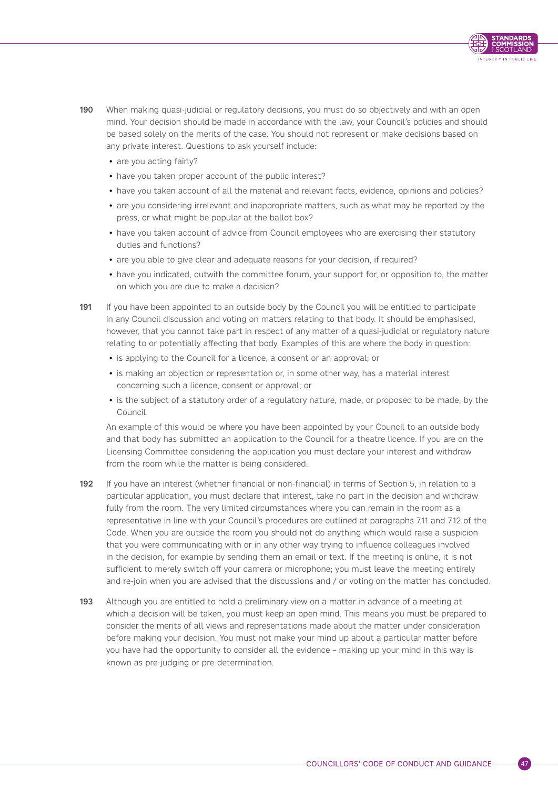

- 190 When making quasi-judicial or regulatory decisions, you must do so objectively and with an open mind. Your decision should be made in accordance with the law, your Council's policies and should be based solely on the merits of the case. You should not represent or make decisions based on any private interest. Questions to ask yourself include:
	- are you acting fairly?
	- have you taken proper account of the public interest?
	- have you taken account of all the material and relevant facts, evidence, opinions and policies?
	- are you considering irrelevant and inappropriate matters, such as what may be reported by the press, or what might be popular at the ballot box?
	- have you taken account of advice from Council employees who are exercising their statutory duties and functions?
	- are you able to give clear and adequate reasons for your decision, if required?
	- have you indicated, outwith the committee forum, your support for, or opposition to, the matter on which you are due to make a decision?
- 191 If you have been appointed to an outside body by the Council you will be entitled to participate in any Council discussion and voting on matters relating to that body. It should be emphasised, however, that you cannot take part in respect of any matter of a quasi-judicial or regulatory nature relating to or potentially affecting that body. Examples of this are where the body in question:
	- is applying to the Council for a licence, a consent or an approval; or
	- is making an objection or representation or, in some other way, has a material interest concerning such a licence, consent or approval; or
	- is the subject of a statutory order of a regulatory nature, made, or proposed to be made, by the Council.

An example of this would be where you have been appointed by your Council to an outside body and that body has submitted an application to the Council for a theatre licence. If you are on the Licensing Committee considering the application you must declare your interest and withdraw from the room while the matter is being considered.

- 192 If you have an interest (whether financial or non-financial) in terms of Section 5, in relation to a particular application, you must declare that interest, take no part in the decision and withdraw fully from the room. The very limited circumstances where you can remain in the room as a representative in line with your Council's procedures are outlined at paragraphs 7.11 and 7.12 of the Code. When you are outside the room you should not do anything which would raise a suspicion that you were communicating with or in any other way trying to influence colleagues involved in the decision, for example by sending them an email or text. If the meeting is online, it is not sufficient to merely switch off your camera or microphone; you must leave the meeting entirely and re-join when you are advised that the discussions and / or voting on the matter has concluded.
- 193 Although you are entitled to hold a preliminary view on a matter in advance of a meeting at which a decision will be taken, you must keep an open mind. This means you must be prepared to consider the merits of all views and representations made about the matter under consideration before making your decision. You must not make your mind up about a particular matter before you have had the opportunity to consider all the evidence – making up your mind in this way is known as pre-judging or pre-determination.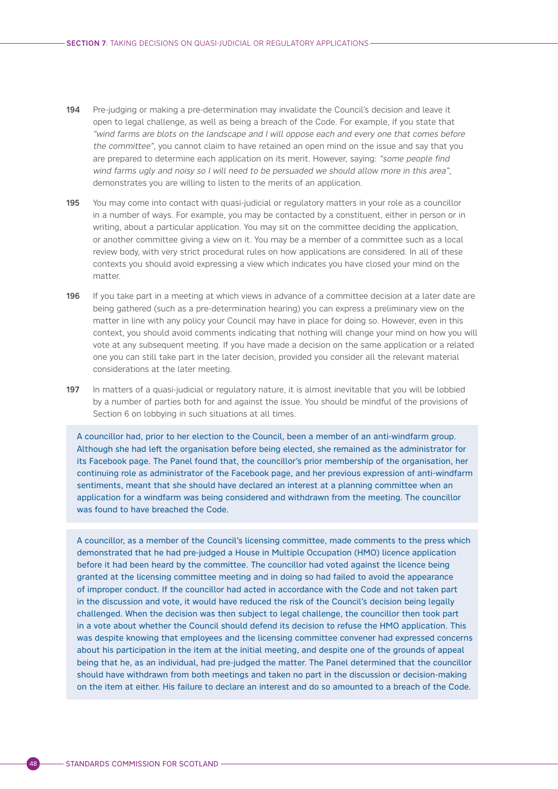- 194 Pre-judging or making a pre-determination may invalidate the Council's decision and leave it open to legal challenge, as well as being a breach of the Code. For example, if you state that "wind farms are blots on the landscape and I will oppose each and every one that comes before the committee", you cannot claim to have retained an open mind on the issue and say that you are prepared to determine each application on its merit. However, saying: "some people find wind farms ugly and noisy so I will need to be persuaded we should allow more in this area", demonstrates you are willing to listen to the merits of an application.
- 195 You may come into contact with quasi-judicial or regulatory matters in your role as a councillor in a number of ways. For example, you may be contacted by a constituent, either in person or in writing, about a particular application. You may sit on the committee deciding the application, or another committee giving a view on it. You may be a member of a committee such as a local review body, with very strict procedural rules on how applications are considered. In all of these contexts you should avoid expressing a view which indicates you have closed your mind on the matter.
- 196 If you take part in a meeting at which views in advance of a committee decision at a later date are being gathered (such as a pre-determination hearing) you can express a preliminary view on the matter in line with any policy your Council may have in place for doing so. However, even in this context, you should avoid comments indicating that nothing will change your mind on how you will vote at any subsequent meeting. If you have made a decision on the same application or a related one you can still take part in the later decision, provided you consider all the relevant material considerations at the later meeting.
- 197 In matters of a quasi-judicial or regulatory nature, it is almost inevitable that you will be lobbied by a number of parties both for and against the issue. You should be mindful of the provisions of Section 6 on lobbying in such situations at all times.

A councillor had, prior to her election to the Council, been a member of an anti-windfarm group. Although she had left the organisation before being elected, she remained as the administrator for its Facebook page. The Panel found that, the councillor's prior membership of the organisation, her continuing role as administrator of the Facebook page, and her previous expression of anti-windfarm sentiments, meant that she should have declared an interest at a planning committee when an application for a windfarm was being considered and withdrawn from the meeting. The councillor was found to have breached the Code.

A councillor, as a member of the Council's licensing committee, made comments to the press which demonstrated that he had pre-judged a House in Multiple Occupation (HMO) licence application before it had been heard by the committee. The councillor had voted against the licence being granted at the licensing committee meeting and in doing so had failed to avoid the appearance of improper conduct. If the councillor had acted in accordance with the Code and not taken part in the discussion and vote, it would have reduced the risk of the Council's decision being legally challenged. When the decision was then subject to legal challenge, the councillor then took part in a vote about whether the Council should defend its decision to refuse the HMO application. This was despite knowing that employees and the licensing committee convener had expressed concerns about his participation in the item at the initial meeting, and despite one of the grounds of appeal being that he, as an individual, had pre-judged the matter. The Panel determined that the councillor should have withdrawn from both meetings and taken no part in the discussion or decision-making on the item at either. His failure to declare an interest and do so amounted to a breach of the Code.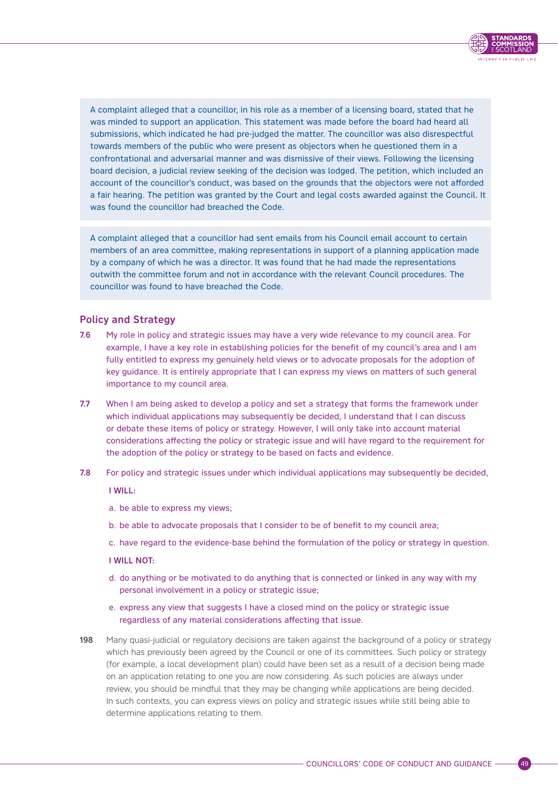

<span id="page-52-0"></span>A complaint alleged that a councillor, in his role as a member of a licensing board, stated that he was minded to support an application. This statement was made before the board had heard all submissions, which indicated he had pre-judged the matter. The councillor was also disrespectful towards members of the public who were present as objectors when he questioned them in a confrontational and adversarial manner and was dismissive of their views. Following the licensing board decision, a judicial review seeking of the decision was lodged. The petition, which included an account of the councillor's conduct, was based on the grounds that the objectors were not afforded a fair hearing. The petition was granted by the Court and legal costs awarded against the Council. It was found the councillor had breached the Code.

A complaint alleged that a councillor had sent emails from his Council email account to certain members of an area committee, making representations in support of a planning application made by a company of which he was a director. It was found that he had made the representations outwith the committee forum and not in accordance with the relevant Council procedures. The councillor was found to have breached the Code.

# Policy and Strategy

- 7.6 My role in policy and strategic issues may have a very wide relevance to my council area. For example, I have a key role in establishing policies for the benefit of my council's area and I am fully entitled to express my genuinely held views or to advocate proposals for the adoption of key guidance. It is entirely appropriate that I can express my views on matters of such general importance to my council area.
- 7.7 When I am being asked to develop a policy and set a strategy that forms the framework under which individual applications may subsequently be decided, I understand that I can discuss or debate these items of policy or strategy. However, I will only take into account material considerations affecting the policy or strategic issue and will have regard to the requirement for the adoption of the policy or strategy to be based on facts and evidence.
- 7.8 For policy and strategic issues under which individual applications may subsequently be decided,

#### I WILL:

- a. be able to express my views;
- b. be able to advocate proposals that I consider to be of benefit to my council area;
- c. have regard to the evidence-base behind the formulation of the policy or strategy in question.

#### I WILL NOT:

- d. do anything or be motivated to do anything that is connected or linked in any way with my personal involvement in a policy or strategic issue;
- e. express any view that suggests I have a closed mind on the policy or strategic issue regardless of any material considerations affecting that issue.
- 198 Many quasi-judicial or regulatory decisions are taken against the background of a policy or strategy which has previously been agreed by the Council or one of its committees. Such policy or strategy (for example, a local development plan) could have been set as a result of a decision being made on an application relating to one you are now considering. As such policies are always under review, you should be mindful that they may be changing while applications are being decided. In such contexts, you can express views on policy and strategic issues while still being able to determine applications relating to them.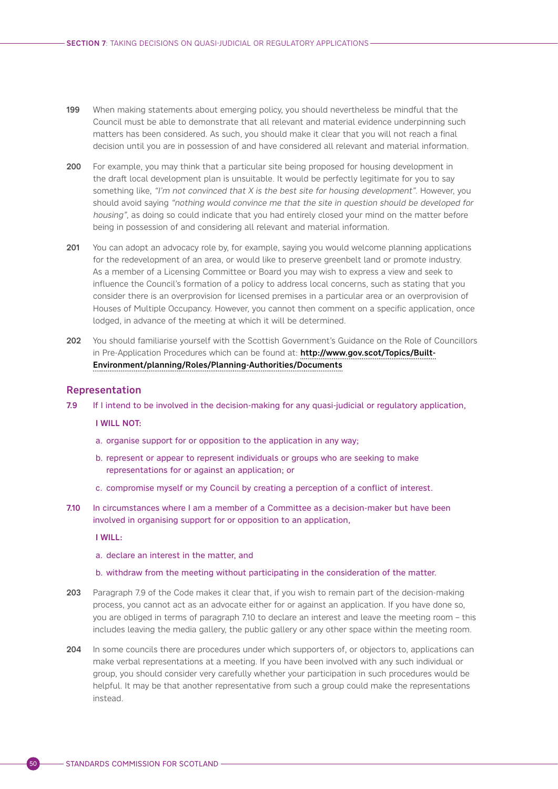- <span id="page-53-0"></span>199 When making statements about emerging policy, you should nevertheless be mindful that the Council must be able to demonstrate that all relevant and material evidence underpinning such matters has been considered. As such, you should make it clear that you will not reach a final decision until you are in possession of and have considered all relevant and material information.
- 200 For example, you may think that a particular site being proposed for housing development in the draft local development plan is unsuitable. It would be perfectly legitimate for you to say something like, "I'm not convinced that X is the best site for housing development". However, you should avoid saying "nothing would convince me that the site in question should be developed for housing", as doing so could indicate that you had entirely closed your mind on the matter before being in possession of and considering all relevant and material information.
- 201 You can adopt an advocacy role by, for example, saying you would welcome planning applications for the redevelopment of an area, or would like to preserve greenbelt land or promote industry. As a member of a Licensing Committee or Board you may wish to express a view and seek to influence the Council's formation of a policy to address local concerns, such as stating that you consider there is an overprovision for licensed premises in a particular area or an overprovision of Houses of Multiple Occupancy. However, you cannot then comment on a specific application, once lodged, in advance of the meeting at which it will be determined.
- 202 You should familiarise yourself with the Scottish Government's Guidance on the Role of Councillors in Pre-Application Procedures which can be found at: [http://www.gov.scot/Topics/Built-](http://www.gov.scot/Topics/Built-Environment/planning/Roles/Planning-Authorities/Documents)[Environment/planning/Roles/Planning-Authorities/Documents](http://www.gov.scot/Topics/Built-Environment/planning/Roles/Planning-Authorities/Documents)

#### Representation

7.9 If I intend to be involved in the decision-making for any quasi-judicial or regulatory application,

#### I WILL NOT:

- a. organise support for or opposition to the application in any way;
- b. represent or appear to represent individuals or groups who are seeking to make representations for or against an application; or
- c. compromise myself or my Council by creating a perception of a conflict of interest.
- 7.10 In circumstances where I am a member of a Committee as a decision-maker but have been involved in organising support for or opposition to an application,

#### I WILL:

#### a. declare an interest in the matter, and

- b. withdraw from the meeting without participating in the consideration of the matter.
- 203 Paragraph 7.9 of the Code makes it clear that, if you wish to remain part of the decision-making process, you cannot act as an advocate either for or against an application. If you have done so, you are obliged in terms of paragraph 7.10 to declare an interest and leave the meeting room – this includes leaving the media gallery, the public gallery or any other space within the meeting room.
- 204 In some councils there are procedures under which supporters of, or objectors to, applications can make verbal representations at a meeting. If you have been involved with any such individual or group, you should consider very carefully whether your participation in such procedures would be helpful. It may be that another representative from such a group could make the representations instead.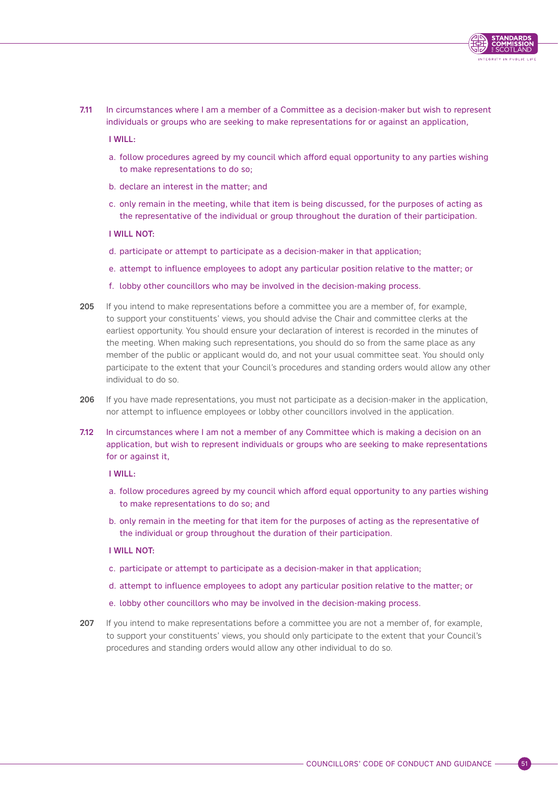7.11 In circumstances where I am a member of a Committee as a decision-maker but wish to represent individuals or groups who are seeking to make representations for or against an application,

I WILL:

- a. follow procedures agreed by my council which afford equal opportunity to any parties wishing to make representations to do so;
- b. declare an interest in the matter; and
- c. only remain in the meeting, while that item is being discussed, for the purposes of acting as the representative of the individual or group throughout the duration of their participation.

#### I WILL NOT:

- d. participate or attempt to participate as a decision-maker in that application;
- e. attempt to influence employees to adopt any particular position relative to the matter; or
- f. lobby other councillors who may be involved in the decision-making process.
- 205 If you intend to make representations before a committee you are a member of, for example, to support your constituents' views, you should advise the Chair and committee clerks at the earliest opportunity. You should ensure your declaration of interest is recorded in the minutes of the meeting. When making such representations, you should do so from the same place as any member of the public or applicant would do, and not your usual committee seat. You should only participate to the extent that your Council's procedures and standing orders would allow any other individual to do so.
- 206 If you have made representations, you must not participate as a decision-maker in the application, nor attempt to influence employees or lobby other councillors involved in the application.
- 7.12 In circumstances where I am not a member of any Committee which is making a decision on an application, but wish to represent individuals or groups who are seeking to make representations for or against it,

I WILL:

- a. follow procedures agreed by my council which afford equal opportunity to any parties wishing to make representations to do so; and
- b. only remain in the meeting for that item for the purposes of acting as the representative of the individual or group throughout the duration of their participation.

#### I WILL NOT:

- c. participate or attempt to participate as a decision-maker in that application;
- d. attempt to influence employees to adopt any particular position relative to the matter; or
- e. lobby other councillors who may be involved in the decision-making process.
- 207 If you intend to make representations before a committee you are not a member of, for example, to support your constituents' views, you should only participate to the extent that your Council's procedures and standing orders would allow any other individual to do so.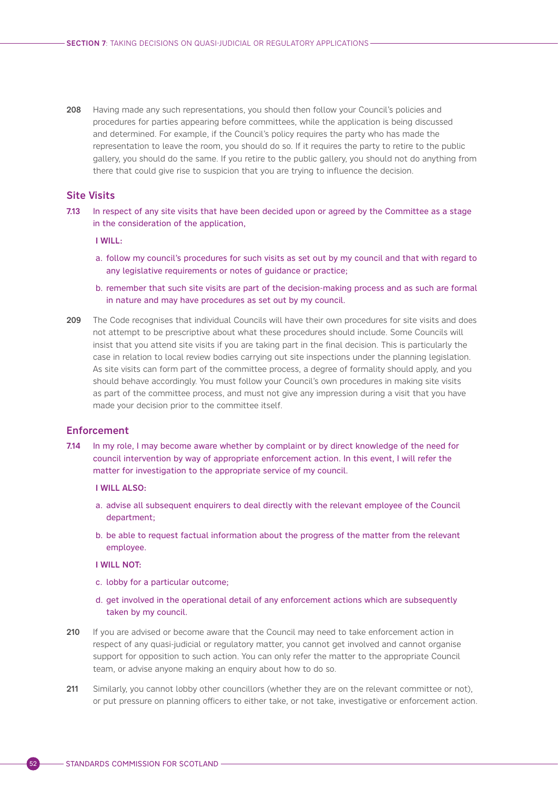<span id="page-55-0"></span>208 Having made any such representations, you should then follow your Council's policies and procedures for parties appearing before committees, while the application is being discussed and determined. For example, if the Council's policy requires the party who has made the representation to leave the room, you should do so. If it requires the party to retire to the public gallery, you should do the same. If you retire to the public gallery, you should not do anything from there that could give rise to suspicion that you are trying to influence the decision.

### Site Visits

7.13 In respect of any site visits that have been decided upon or agreed by the Committee as a stage in the consideration of the application,

I WILL:

- a. follow my council's procedures for such visits as set out by my council and that with regard to any legislative requirements or notes of guidance or practice;
- b. remember that such site visits are part of the decision-making process and as such are formal in nature and may have procedures as set out by my council.
- 209 The Code recognises that individual Councils will have their own procedures for site visits and does not attempt to be prescriptive about what these procedures should include. Some Councils will insist that you attend site visits if you are taking part in the final decision. This is particularly the case in relation to local review bodies carrying out site inspections under the planning legislation. As site visits can form part of the committee process, a degree of formality should apply, and you should behave accordingly. You must follow your Council's own procedures in making site visits as part of the committee process, and must not give any impression during a visit that you have made your decision prior to the committee itself.

### Enforcement

7.14 In my role, I may become aware whether by complaint or by direct knowledge of the need for council intervention by way of appropriate enforcement action. In this event, I will refer the matter for investigation to the appropriate service of my council.

#### I WILL ALSO:

- a. advise all subsequent enquirers to deal directly with the relevant employee of the Council department;
- b. be able to request factual information about the progress of the matter from the relevant employee.

#### I WILL NOT:

- c. lobby for a particular outcome;
- d. get involved in the operational detail of any enforcement actions which are subsequently taken by my council.
- 210 If you are advised or become aware that the Council may need to take enforcement action in respect of any quasi-judicial or regulatory matter, you cannot get involved and cannot organise support for opposition to such action. You can only refer the matter to the appropriate Council team, or advise anyone making an enquiry about how to do so.
- 211 Similarly, you cannot lobby other councillors (whether they are on the relevant committee or not), or put pressure on planning officers to either take, or not take, investigative or enforcement action.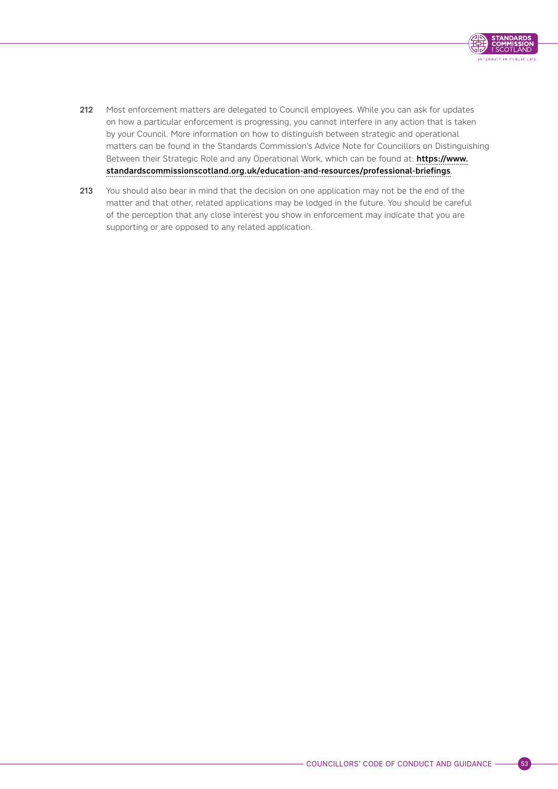

- 212 Most enforcement matters are delegated to Council employees. While you can ask for updates on how a particular enforcement is progressing, you cannot interfere in any action that is taken by your Council. More information on how to distinguish between strategic and operational matters can be found in the Standards Commission's Advice Note for Councillors on Distinguishing Between their Strategic Role and any Operational Work, which can be found at: [https://www.](https://www.standardscommissionscotland.org.uk/education-and-resources/professional-briefings) [standardscommissionscotland.org.uk/education-and-resources/professional-briefings](https://www.standardscommissionscotland.org.uk/education-and-resources/professional-briefings).
- 213 You should also bear in mind that the decision on one application may not be the end of the matter and that other, related applications may be lodged in the future. You should be careful of the perception that any close interest you show in enforcement may indicate that you are supporting or are opposed to any related application.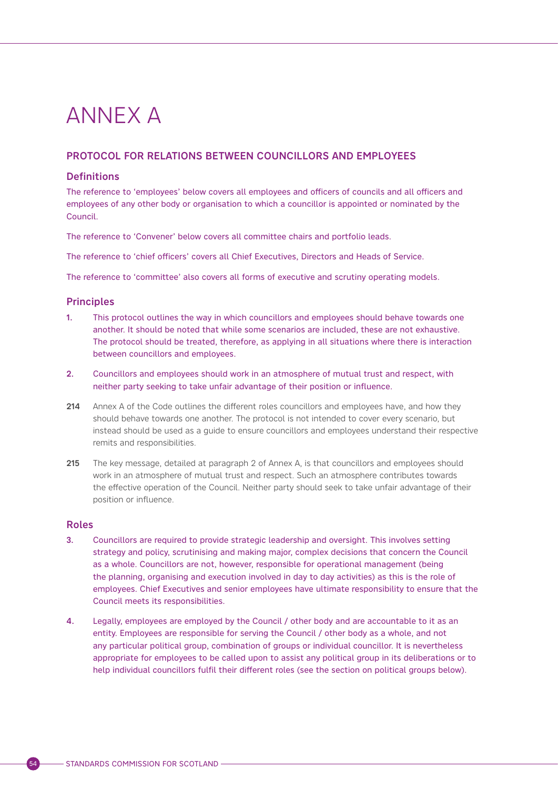# <span id="page-57-0"></span>ANNEX A

# PROTOCOL FOR RELATIONS BETWEEN COUNCILLORS AND EMPLOYEES

# **Definitions**

The reference to 'employees' below covers all employees and officers of councils and all officers and employees of any other body or organisation to which a councillor is appointed or nominated by the Council.

The reference to 'Convener' below covers all committee chairs and portfolio leads.

The reference to 'chief officers' covers all Chief Executives, Directors and Heads of Service.

The reference to 'committee' also covers all forms of executive and scrutiny operating models.

# Principles

- 1. This protocol outlines the way in which councillors and employees should behave towards one another. It should be noted that while some scenarios are included, these are not exhaustive. The protocol should be treated, therefore, as applying in all situations where there is interaction between councillors and employees.
- 2. Councillors and employees should work in an atmosphere of mutual trust and respect, with neither party seeking to take unfair advantage of their position or influence.
- 214 Annex A of the Code outlines the different roles councillors and employees have, and how they should behave towards one another. The protocol is not intended to cover every scenario, but instead should be used as a guide to ensure councillors and employees understand their respective remits and responsibilities.
- 215 The key message, detailed at paragraph 2 of Annex A, is that councillors and employees should work in an atmosphere of mutual trust and respect. Such an atmosphere contributes towards the effective operation of the Council. Neither party should seek to take unfair advantage of their position or influence.

### Roles

- 3. Councillors are required to provide strategic leadership and oversight. This involves setting strategy and policy, scrutinising and making major, complex decisions that concern the Council as a whole. Councillors are not, however, responsible for operational management (being the planning, organising and execution involved in day to day activities) as this is the role of employees. Chief Executives and senior employees have ultimate responsibility to ensure that the Council meets its responsibilities.
- 4. Legally, employees are employed by the Council / other body and are accountable to it as an entity. Employees are responsible for serving the Council / other body as a whole, and not any particular political group, combination of groups or individual councillor. It is nevertheless appropriate for employees to be called upon to assist any political group in its deliberations or to help individual councillors fulfil their different roles (see the section on political groups below).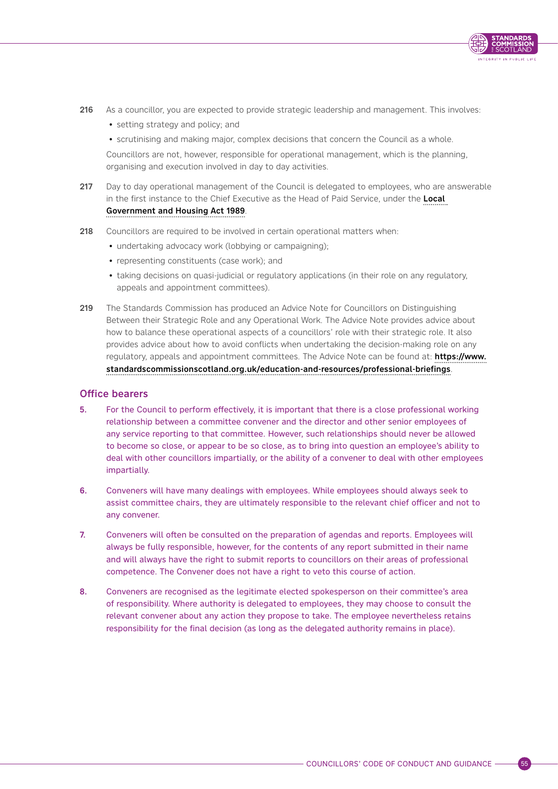

- 216 As a councillor, you are expected to provide strategic leadership and management. This involves:
	- setting strategy and policy; and
	- scrutinising and making major, complex decisions that concern the Council as a whole.

Councillors are not, however, responsible for operational management, which is the planning, organising and execution involved in day to day activities.

- 217 Day to day operational management of the Council is delegated to employees, who are answerable in the first instance to the Chief Executive as the Head of Paid Service, under the Local [Government and Housing Act 1989](https://www.legislation.gov.uk/ukpga/1989/42/section/4).
- 218 Councillors are required to be involved in certain operational matters when:
	- undertaking advocacy work (lobbying or campaigning);
	- representing constituents (case work); and
	- taking decisions on quasi-judicial or regulatory applications (in their role on any regulatory, appeals and appointment committees).
- 219 The Standards Commission has produced an Advice Note for Councillors on Distinguishing Between their Strategic Role and any Operational Work. The Advice Note provides advice about how to balance these operational aspects of a councillors' role with their strategic role. It also provides advice about how to avoid conflicts when undertaking the decision-making role on any regulatory, appeals and appointment committees. The Advice Note can be found at: **[https://www.](https://www.standardscommissionscotland.org.uk/education-and-resources/professional-briefings)** [standardscommissionscotland.org.uk/education-and-resources/professional-briefings](https://www.standardscommissionscotland.org.uk/education-and-resources/professional-briefings).

### Office bearers

- 5. For the Council to perform effectively, it is important that there is a close professional working relationship between a committee convener and the director and other senior employees of any service reporting to that committee. However, such relationships should never be allowed to become so close, or appear to be so close, as to bring into question an employee's ability to deal with other councillors impartially, or the ability of a convener to deal with other employees impartially.
- 6. Conveners will have many dealings with employees. While employees should always seek to assist committee chairs, they are ultimately responsible to the relevant chief officer and not to any convener.
- 7. Conveners will often be consulted on the preparation of agendas and reports. Employees will always be fully responsible, however, for the contents of any report submitted in their name and will always have the right to submit reports to councillors on their areas of professional competence. The Convener does not have a right to veto this course of action.
- 8. Conveners are recognised as the legitimate elected spokesperson on their committee's area of responsibility. Where authority is delegated to employees, they may choose to consult the relevant convener about any action they propose to take. The employee nevertheless retains responsibility for the final decision (as long as the delegated authority remains in place).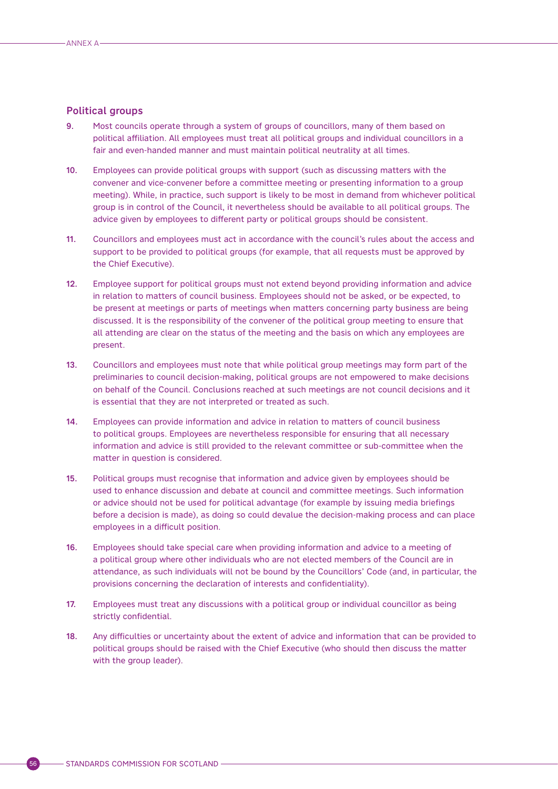#### Political groups

- 9. Most councils operate through a system of groups of councillors, many of them based on political affiliation. All employees must treat all political groups and individual councillors in a fair and even-handed manner and must maintain political neutrality at all times.
- 10. Employees can provide political groups with support (such as discussing matters with the convener and vice-convener before a committee meeting or presenting information to a group meeting). While, in practice, such support is likely to be most in demand from whichever political group is in control of the Council, it nevertheless should be available to all political groups. The advice given by employees to different party or political groups should be consistent.
- 11. Councillors and employees must act in accordance with the council's rules about the access and support to be provided to political groups (for example, that all requests must be approved by the Chief Executive).
- 12. Employee support for political groups must not extend beyond providing information and advice in relation to matters of council business. Employees should not be asked, or be expected, to be present at meetings or parts of meetings when matters concerning party business are being discussed. It is the responsibility of the convener of the political group meeting to ensure that all attending are clear on the status of the meeting and the basis on which any employees are present.
- 13. Councillors and employees must note that while political group meetings may form part of the preliminaries to council decision-making, political groups are not empowered to make decisions on behalf of the Council. Conclusions reached at such meetings are not council decisions and it is essential that they are not interpreted or treated as such.
- 14. Employees can provide information and advice in relation to matters of council business to political groups. Employees are nevertheless responsible for ensuring that all necessary information and advice is still provided to the relevant committee or sub-committee when the matter in question is considered.
- 15. Political groups must recognise that information and advice given by employees should be used to enhance discussion and debate at council and committee meetings. Such information or advice should not be used for political advantage (for example by issuing media briefings before a decision is made), as doing so could devalue the decision-making process and can place employees in a difficult position.
- 16. Employees should take special care when providing information and advice to a meeting of a political group where other individuals who are not elected members of the Council are in attendance, as such individuals will not be bound by the Councillors' Code (and, in particular, the provisions concerning the declaration of interests and confidentiality).
- 17. Employees must treat any discussions with a political group or individual councillor as being strictly confidential.
- 18. Any difficulties or uncertainty about the extent of advice and information that can be provided to political groups should be raised with the Chief Executive (who should then discuss the matter with the group leader).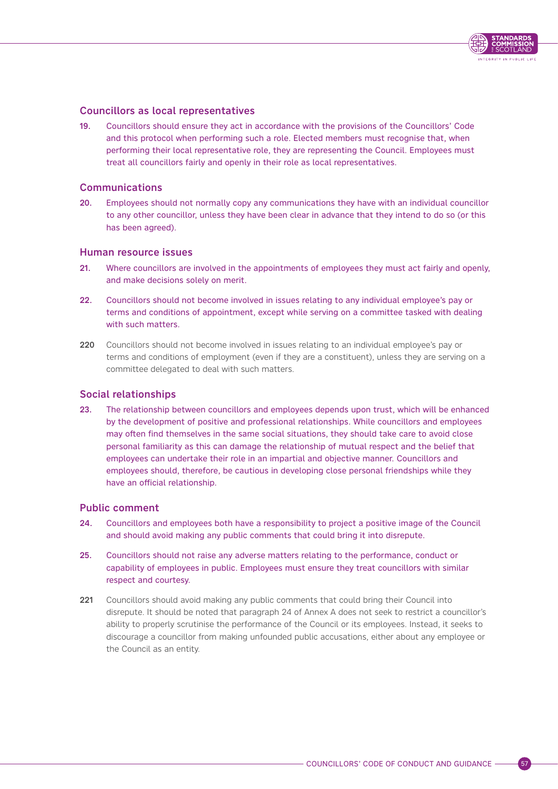

## Councillors as local representatives

19. Councillors should ensure they act in accordance with the provisions of the Councillors' Code and this protocol when performing such a role. Elected members must recognise that, when performing their local representative role, they are representing the Council. Employees must treat all councillors fairly and openly in their role as local representatives.

#### Communications

20. Employees should not normally copy any communications they have with an individual councillor to any other councillor, unless they have been clear in advance that they intend to do so (or this has been agreed).

#### Human resource issues

- 21. Where councillors are involved in the appointments of employees they must act fairly and openly, and make decisions solely on merit.
- 22. Councillors should not become involved in issues relating to any individual employee's pay or terms and conditions of appointment, except while serving on a committee tasked with dealing with such matters.
- 220 Councillors should not become involved in issues relating to an individual employee's pay or terms and conditions of employment (even if they are a constituent), unless they are serving on a committee delegated to deal with such matters.

#### Social relationships

23. The relationship between councillors and employees depends upon trust, which will be enhanced by the development of positive and professional relationships. While councillors and employees may often find themselves in the same social situations, they should take care to avoid close personal familiarity as this can damage the relationship of mutual respect and the belief that employees can undertake their role in an impartial and objective manner. Councillors and employees should, therefore, be cautious in developing close personal friendships while they have an official relationship.

# Public comment

- 24. Councillors and employees both have a responsibility to project a positive image of the Council and should avoid making any public comments that could bring it into disrepute.
- 25. Councillors should not raise any adverse matters relating to the performance, conduct or capability of employees in public. Employees must ensure they treat councillors with similar respect and courtesy.
- 221 Councillors should avoid making any public comments that could bring their Council into disrepute. It should be noted that paragraph 24 of Annex A does not seek to restrict a councillor's ability to properly scrutinise the performance of the Council or its employees. Instead, it seeks to discourage a councillor from making unfounded public accusations, either about any employee or the Council as an entity.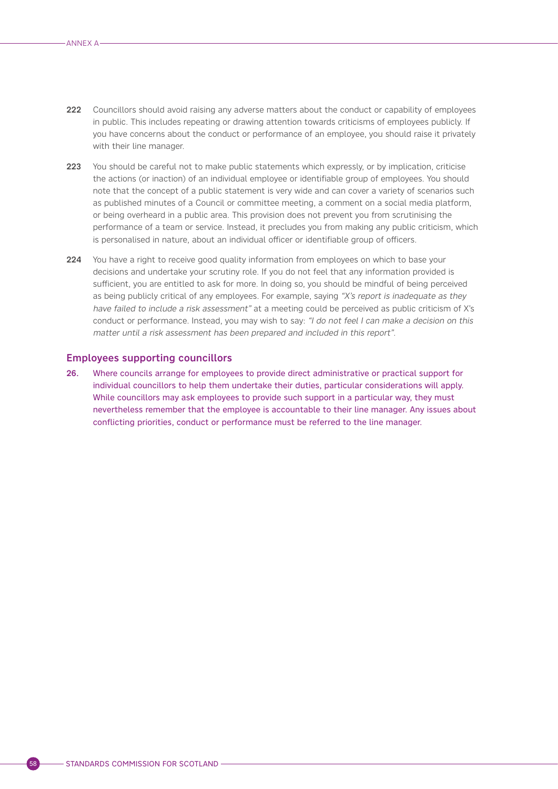- 222 Councillors should avoid raising any adverse matters about the conduct or capability of employees in public. This includes repeating or drawing attention towards criticisms of employees publicly. If you have concerns about the conduct or performance of an employee, you should raise it privately with their line manager.
- 223 You should be careful not to make public statements which expressly, or by implication, criticise the actions (or inaction) of an individual employee or identifiable group of employees. You should note that the concept of a public statement is very wide and can cover a variety of scenarios such as published minutes of a Council or committee meeting, a comment on a social media platform, or being overheard in a public area. This provision does not prevent you from scrutinising the performance of a team or service. Instead, it precludes you from making any public criticism, which is personalised in nature, about an individual officer or identifiable group of officers.
- 224 You have a right to receive good quality information from employees on which to base your decisions and undertake your scrutiny role. If you do not feel that any information provided is sufficient, you are entitled to ask for more. In doing so, you should be mindful of being perceived as being publicly critical of any employees. For example, saying "X's report is inadequate as they have failed to include a risk assessment" at a meeting could be perceived as public criticism of X's conduct or performance. Instead, you may wish to say: "I do not feel I can make a decision on this matter until a risk assessment has been prepared and included in this report".

#### Employees supporting councillors

26. Where councils arrange for employees to provide direct administrative or practical support for individual councillors to help them undertake their duties, particular considerations will apply. While councillors may ask employees to provide such support in a particular way, they must nevertheless remember that the employee is accountable to their line manager. Any issues about conflicting priorities, conduct or performance must be referred to the line manager.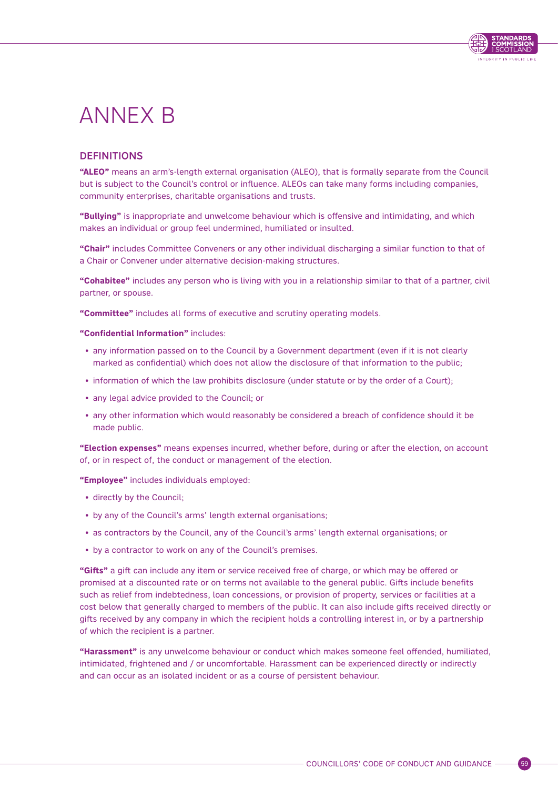

# <span id="page-62-0"></span>ANNEX B

# **DEFINITIONS**

**"ALEO"** means an arm's-length external organisation (ALEO), that is formally separate from the Council but is subject to the Council's control or influence. ALEOs can take many forms including companies, community enterprises, charitable organisations and trusts.

**"Bullying"** is inappropriate and unwelcome behaviour which is offensive and intimidating, and which makes an individual or group feel undermined, humiliated or insulted.

**"Chair"** includes Committee Conveners or any other individual discharging a similar function to that of a Chair or Convener under alternative decision-making structures.

**"Cohabitee"** includes any person who is living with you in a relationship similar to that of a partner, civil partner, or spouse.

**"Committee"** includes all forms of executive and scrutiny operating models.

**"Confidential Information"** includes:

- any information passed on to the Council by a Government department (even if it is not clearly marked as confidential) which does not allow the disclosure of that information to the public;
- information of which the law prohibits disclosure (under statute or by the order of a Court);
- any legal advice provided to the Council; or
- any other information which would reasonably be considered a breach of confidence should it be made public.

**"Election expenses"** means expenses incurred, whether before, during or after the election, on account of, or in respect of, the conduct or management of the election.

**"Employee"** includes individuals employed:

- directly by the Council;
- by any of the Council's arms' length external organisations;
- as contractors by the Council, any of the Council's arms' length external organisations; or
- by a contractor to work on any of the Council's premises.

**"Gifts"** a gift can include any item or service received free of charge, or which may be offered or promised at a discounted rate or on terms not available to the general public. Gifts include benefits such as relief from indebtedness, loan concessions, or provision of property, services or facilities at a cost below that generally charged to members of the public. It can also include gifts received directly or gifts received by any company in which the recipient holds a controlling interest in, or by a partnership of which the recipient is a partner.

**"Harassment"** is any unwelcome behaviour or conduct which makes someone feel offended, humiliated, intimidated, frightened and / or uncomfortable. Harassment can be experienced directly or indirectly and can occur as an isolated incident or as a course of persistent behaviour.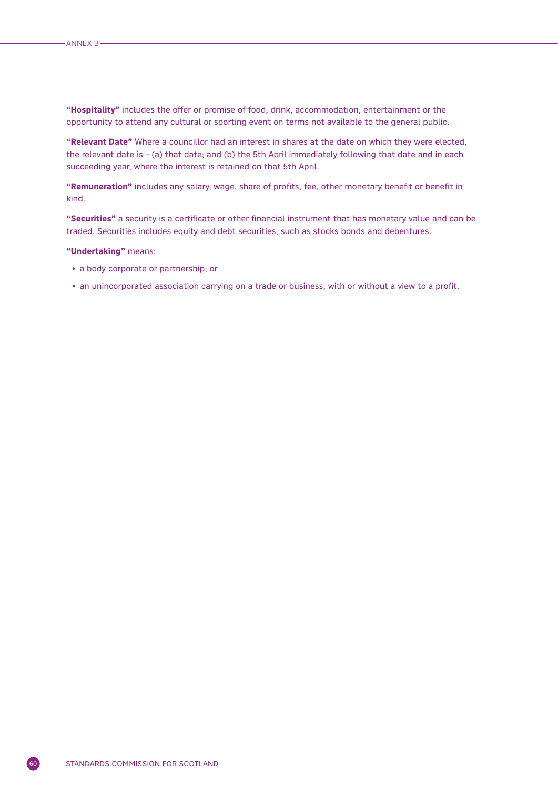**"Hospitality"** includes the offer or promise of food, drink, accommodation, entertainment or the opportunity to attend any cultural or sporting event on terms not available to the general public.

**"Relevant Date"** Where a councillor had an interest in shares at the date on which they were elected, the relevant date is – (a) that date; and (b) the 5th April immediately following that date and in each succeeding year, where the interest is retained on that 5th April.

**"Remuneration"** includes any salary, wage, share of profits, fee, other monetary benefit or benefit in kind.

**"Securities"** a security is a certificate or other financial instrument that has monetary value and can be traded. Securities includes equity and debt securities, such as stocks bonds and debentures.

#### **"Undertaking"** means:

- a body corporate or partnership; or
- an unincorporated association carrying on a trade or business, with or without a view to a profit.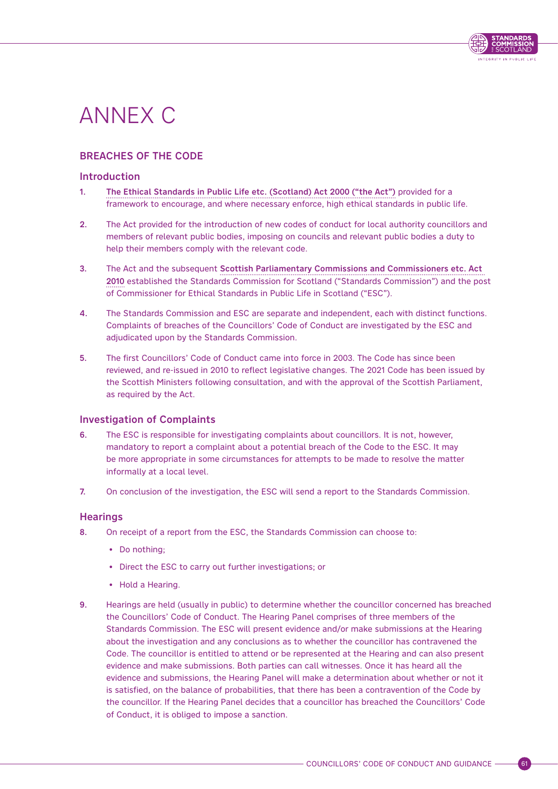

# <span id="page-64-0"></span>ANNEX C

# BREACHES OF THE CODE

## Introduction

- 1. [The Ethical Standards in Public Life etc. \(Scotland\) Act 2000 \("the Act"\)](https://www.legislation.gov.uk/asp/2000/7/contents) provided for a framework to encourage, and where necessary enforce, high ethical standards in public life.
- 2. The Act provided for the introduction of new codes of conduct for local authority councillors and members of relevant public bodies, imposing on councils and relevant public bodies a duty to help their members comply with the relevant code.
- 3. The Act and the subsequent [Scottish Parliamentary Commissions and Commissioners etc. Act](https://www.legislation.gov.uk/asp/2010/11/contents)  [2010](https://www.legislation.gov.uk/asp/2010/11/contents) established the Standards Commission for Scotland ("Standards Commission") and the post of Commissioner for Ethical Standards in Public Life in Scotland ("ESC").
- 4. The Standards Commission and ESC are separate and independent, each with distinct functions. Complaints of breaches of the Councillors' Code of Conduct are investigated by the ESC and adjudicated upon by the Standards Commission.
- 5. The first Councillors' Code of Conduct came into force in 2003. The Code has since been reviewed, and re-issued in 2010 to reflect legislative changes. The 2021 Code has been issued by the Scottish Ministers following consultation, and with the approval of the Scottish Parliament, as required by the Act.

# Investigation of Complaints

- 6. The ESC is responsible for investigating complaints about councillors. It is not, however, mandatory to report a complaint about a potential breach of the Code to the ESC. It may be more appropriate in some circumstances for attempts to be made to resolve the matter informally at a local level.
- 7. On conclusion of the investigation, the ESC will send a report to the Standards Commission.

### **Hearings**

- 8. On receipt of a report from the ESC, the Standards Commission can choose to:
	- Do nothing;
	- Direct the ESC to carry out further investigations; or
	- Hold a Hearing.
- 9. Hearings are held (usually in public) to determine whether the councillor concerned has breached the Councillors' Code of Conduct. The Hearing Panel comprises of three members of the Standards Commission. The ESC will present evidence and/or make submissions at the Hearing about the investigation and any conclusions as to whether the councillor has contravened the Code. The councillor is entitled to attend or be represented at the Hearing and can also present evidence and make submissions. Both parties can call witnesses. Once it has heard all the evidence and submissions, the Hearing Panel will make a determination about whether or not it is satisfied, on the balance of probabilities, that there has been a contravention of the Code by the councillor. If the Hearing Panel decides that a councillor has breached the Councillors' Code of Conduct, it is obliged to impose a sanction.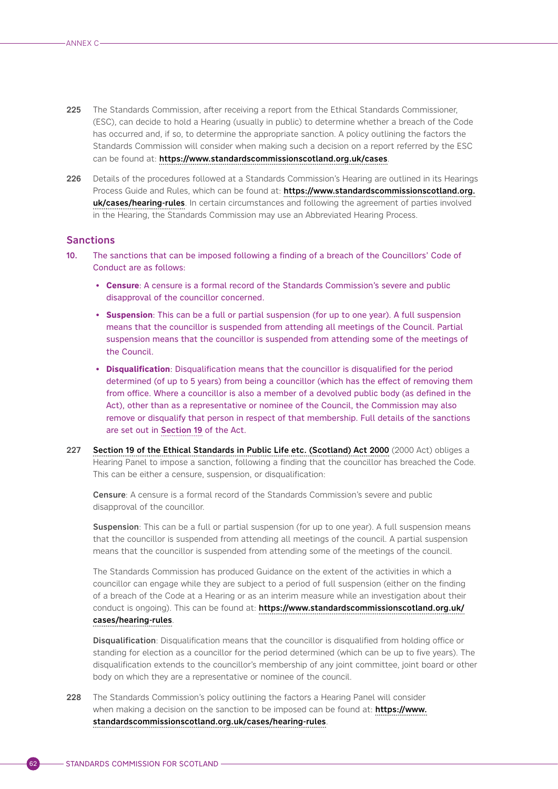- 225 The Standards Commission, after receiving a report from the Ethical Standards Commissioner. (ESC), can decide to hold a Hearing (usually in public) to determine whether a breach of the Code has occurred and, if so, to determine the appropriate sanction. A policy outlining the factors the Standards Commission will consider when making such a decision on a report referred by the ESC can be found at: <https://www.standardscommissionscotland.org.uk/cases>.
- 226 Details of the procedures followed at a Standards Commission's Hearing are outlined in its Hearings Process Guide and Rules, which can be found at: [https://www.standardscommissionscotland.org.](https://www.standardscommissionscotland.org.uk/cases/hearing-rules) [uk/cases/hearing-rules](https://www.standardscommissionscotland.org.uk/cases/hearing-rules). In certain circumstances and following the agreement of parties involved in the Hearing, the Standards Commission may use an Abbreviated Hearing Process.

## **Sanctions**

- 10. The sanctions that can be imposed following a finding of a breach of the Councillors' Code of Conduct are as follows:
	- **Censure**: A censure is a formal record of the Standards Commission's severe and public disapproval of the councillor concerned.
	- **Suspension**: This can be a full or partial suspension (for up to one year). A full suspension means that the councillor is suspended from attending all meetings of the Council. Partial suspension means that the councillor is suspended from attending some of the meetings of the Council.
	- **Disqualification**: Disqualification means that the councillor is disqualified for the period determined (of up to 5 years) from being a councillor (which has the effect of removing them from office. Where a councillor is also a member of a devolved public body (as defined in the Act), other than as a representative or nominee of the Council, the Commission may also remove or disqualify that person in respect of that membership. Full details of the sanctions are set out in [Section 19](https://www.legislation.gov.uk/asp/2000/7/section/19) of the Act.
- 227 [Section 19 of the Ethical Standards in Public Life etc. \(Scotland\) Act 2000](https://www.legislation.gov.uk/asp/2000/7/section/19) (2000 Act) obliges a Hearing Panel to impose a sanction, following a finding that the councillor has breached the Code. This can be either a censure, suspension, or disqualification:

Censure: A censure is a formal record of the Standards Commission's severe and public disapproval of the councillor.

Suspension: This can be a full or partial suspension (for up to one year). A full suspension means that the councillor is suspended from attending all meetings of the council. A partial suspension means that the councillor is suspended from attending some of the meetings of the council.

The Standards Commission has produced Guidance on the extent of the activities in which a councillor can engage while they are subject to a period of full suspension (either on the finding of a breach of the Code at a Hearing or as an interim measure while an investigation about their conduct is ongoing). This can be found at: [https://www.standardscommissionscotland.org.uk/](https://www.standardscommissionscotland.org.uk/cases/hearing-rules) [cases/hearing-rules](https://www.standardscommissionscotland.org.uk/cases/hearing-rules).

Disqualification: Disqualification means that the councillor is disqualified from holding office or standing for election as a councillor for the period determined (which can be up to five years). The disqualification extends to the councillor's membership of any joint committee, joint board or other body on which they are a representative or nominee of the council.

228 The Standards Commission's policy outlining the factors a Hearing Panel will consider when making a decision on the sanction to be imposed can be found at: [https://www.](https://www.standardscommissionscotland.org.uk/cases/hearing-rules) [standardscommissionscotland.org.uk/cases/hearing-rules](https://www.standardscommissionscotland.org.uk/cases/hearing-rules).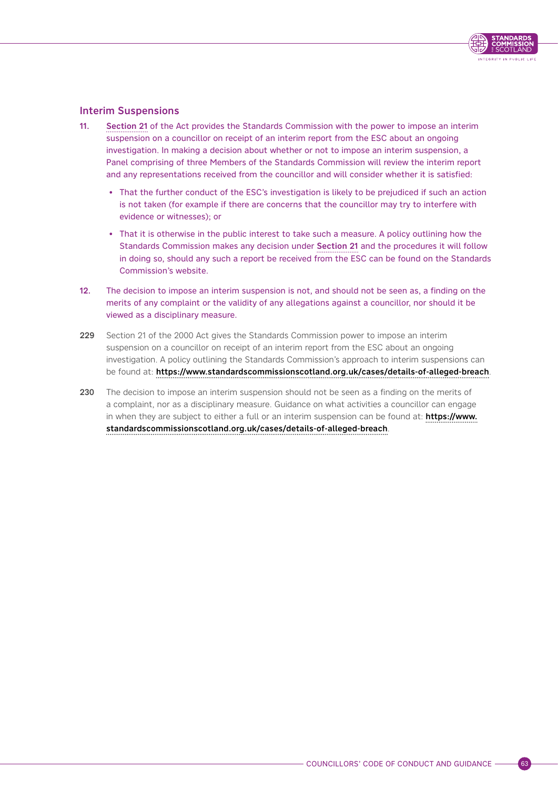# Interim Suspensions

- 11. [Section 21](https://www.legislation.gov.uk/asp/2000/7/section/21) of the Act provides the Standards Commission with the power to impose an interim suspension on a councillor on receipt of an interim report from the ESC about an ongoing investigation. In making a decision about whether or not to impose an interim suspension, a Panel comprising of three Members of the Standards Commission will review the interim report and any representations received from the councillor and will consider whether it is satisfied:
	- That the further conduct of the ESC's investigation is likely to be prejudiced if such an action is not taken (for example if there are concerns that the councillor may try to interfere with evidence or witnesses); or
	- That it is otherwise in the public interest to take such a measure. A policy outlining how the Standards Commission makes any decision under [Section 21](https://www.legislation.gov.uk/asp/2000/7/section/21) and the procedures it will follow in doing so, should any such a report be received from the ESC can be found on the Standards Commission's website.
- 12. The decision to impose an interim suspension is not, and should not be seen as, a finding on the merits of any complaint or the validity of any allegations against a councillor, nor should it be viewed as a disciplinary measure.
- 229 Section 21 of the 2000 Act gives the Standards Commission power to impose an interim suspension on a councillor on receipt of an interim report from the ESC about an ongoing investigation. A policy outlining the Standards Commission's approach to interim suspensions can be found at: <https://www.standardscommissionscotland.org.uk/cases/details-of-alleged-breach>.
- 230 The decision to impose an interim suspension should not be seen as a finding on the merits of a complaint, nor as a disciplinary measure. Guidance on what activities a councillor can engage in when they are subject to either a full or an interim suspension can be found at: [https://www.](https://www.standardscommissionscotland.org.uk/cases/details-of-alleged-breach) [standardscommissionscotland.org.uk/cases/details-of-alleged-breach](https://www.standardscommissionscotland.org.uk/cases/details-of-alleged-breach).